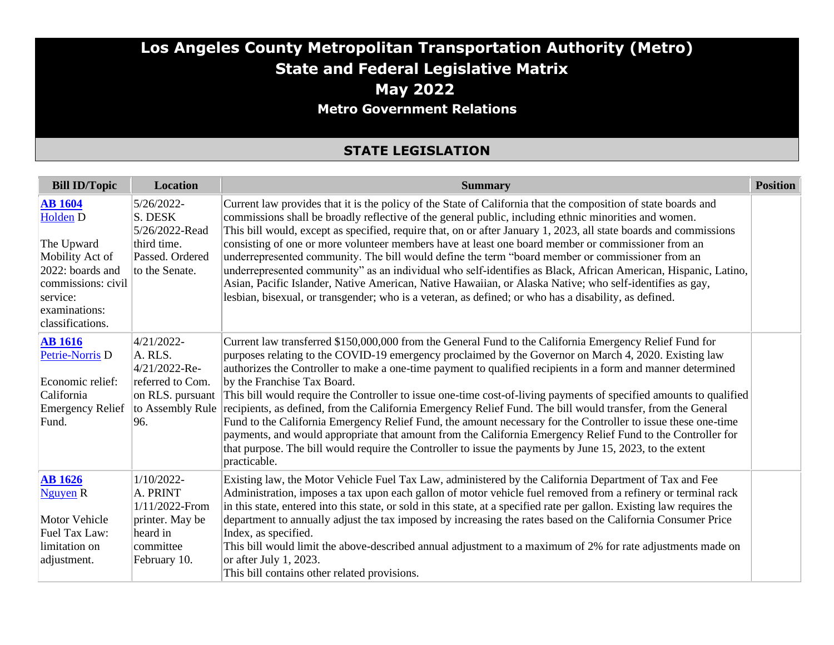## **Los Angeles County Metropolitan Transportation Authority (Metro) State and Federal Legislative Matrix May 2022 Metro Government Relations**

#### **STATE LEGISLATION**

| <b>Bill ID/Topic</b>                                                | <b>Location</b>                                  | <b>Summary</b>                                                                                                                                                                                                                                                                                                                                                                                                                                                            | <b>Position</b> |
|---------------------------------------------------------------------|--------------------------------------------------|---------------------------------------------------------------------------------------------------------------------------------------------------------------------------------------------------------------------------------------------------------------------------------------------------------------------------------------------------------------------------------------------------------------------------------------------------------------------------|-----------------|
| <b>AB</b> 1604<br><b>Holden D</b>                                   | 5/26/2022-<br>S. DESK<br>5/26/2022-Read          | Current law provides that it is the policy of the State of California that the composition of state boards and<br>commissions shall be broadly reflective of the general public, including ethnic minorities and women.<br>This bill would, except as specified, require that, on or after January 1, 2023, all state boards and commissions                                                                                                                              |                 |
| The Upward<br>Mobility Act of<br>2022: boards and                   | third time.<br>Passed. Ordered<br>to the Senate. | consisting of one or more volunteer members have at least one board member or commissioner from an<br>underrepresented community. The bill would define the term "board member or commissioner from an<br>underrepresented community" as an individual who self-identifies as Black, African American, Hispanic, Latino,                                                                                                                                                  |                 |
| commissions: civil<br>service:<br>examinations:<br>classifications. |                                                  | Asian, Pacific Islander, Native American, Native Hawaiian, or Alaska Native; who self-identifies as gay,<br>lesbian, bisexual, or transgender; who is a veteran, as defined; or who has a disability, as defined.                                                                                                                                                                                                                                                         |                 |
| <b>AB</b> 1616<br>Petrie-Norris <sub>D</sub>                        | 4/21/2022-<br>A. RLS.<br>$4/21/2022$ -Re-        | Current law transferred \$150,000,000 from the General Fund to the California Emergency Relief Fund for<br>purposes relating to the COVID-19 emergency proclaimed by the Governor on March 4, 2020. Existing law<br>authorizes the Controller to make a one-time payment to qualified recipients in a form and manner determined                                                                                                                                          |                 |
| Economic relief:<br>California                                      | referred to Com.<br>on RLS. pursuant $\vert$     | by the Franchise Tax Board.<br>This bill would require the Controller to issue one-time cost-of-living payments of specified amounts to qualified                                                                                                                                                                                                                                                                                                                         |                 |
| <b>Emergency Relief</b><br>Fund.                                    | to Assembly Rule<br>96.                          | recipients, as defined, from the California Emergency Relief Fund. The bill would transfer, from the General<br>Fund to the California Emergency Relief Fund, the amount necessary for the Controller to issue these one-time<br>payments, and would appropriate that amount from the California Emergency Relief Fund to the Controller for<br>that purpose. The bill would require the Controller to issue the payments by June 15, 2023, to the extent<br>practicable. |                 |
| <b>AB</b> 1626<br>Nguyen R                                          | $1/10/2022$ -<br>A. PRINT<br>1/11/2022-From      | Existing law, the Motor Vehicle Fuel Tax Law, administered by the California Department of Tax and Fee<br>Administration, imposes a tax upon each gallon of motor vehicle fuel removed from a refinery or terminal rack<br>in this state, entered into this state, or sold in this state, at a specified rate per gallon. Existing law requires the                                                                                                                       |                 |
| <b>Motor Vehicle</b><br>Fuel Tax Law:                               | printer. May be<br>heard in                      | department to annually adjust the tax imposed by increasing the rates based on the California Consumer Price<br>Index, as specified.                                                                                                                                                                                                                                                                                                                                      |                 |
| limitation on<br>adjustment.                                        | committee<br>February 10.                        | This bill would limit the above-described annual adjustment to a maximum of 2% for rate adjustments made on<br>or after July 1, 2023.<br>This bill contains other related provisions.                                                                                                                                                                                                                                                                                     |                 |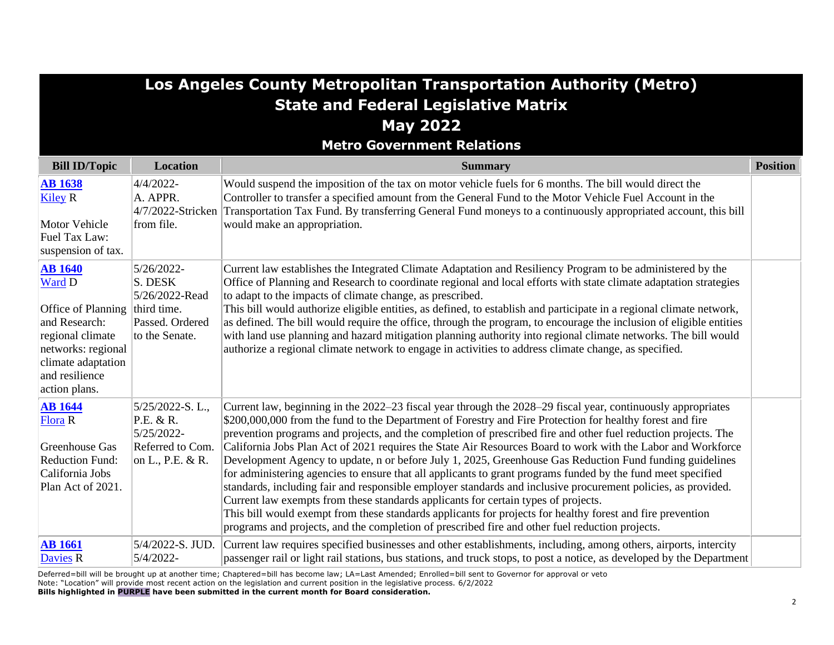| Los Angeles County Metropolitan Transportation Authority (Metro)                    |                                                                                             |                                                                                                                                                                                                                                                                                                                                                                                                                                                                                                                                                                                                                                                                                                                                                                  |                 |
|-------------------------------------------------------------------------------------|---------------------------------------------------------------------------------------------|------------------------------------------------------------------------------------------------------------------------------------------------------------------------------------------------------------------------------------------------------------------------------------------------------------------------------------------------------------------------------------------------------------------------------------------------------------------------------------------------------------------------------------------------------------------------------------------------------------------------------------------------------------------------------------------------------------------------------------------------------------------|-----------------|
|                                                                                     |                                                                                             | <b>State and Federal Legislative Matrix</b>                                                                                                                                                                                                                                                                                                                                                                                                                                                                                                                                                                                                                                                                                                                      |                 |
|                                                                                     |                                                                                             | <b>May 2022</b>                                                                                                                                                                                                                                                                                                                                                                                                                                                                                                                                                                                                                                                                                                                                                  |                 |
|                                                                                     |                                                                                             | <b>Metro Government Relations</b>                                                                                                                                                                                                                                                                                                                                                                                                                                                                                                                                                                                                                                                                                                                                |                 |
| <b>Bill ID/Topic</b>                                                                | Location                                                                                    | <b>Summary</b>                                                                                                                                                                                                                                                                                                                                                                                                                                                                                                                                                                                                                                                                                                                                                   | <b>Position</b> |
| <b>AB</b> 1638<br><b>Kiley R</b>                                                    | 4/4/2022-<br>A. APPR.<br>4/7/2022-Stricken                                                  | Would suspend the imposition of the tax on motor vehicle fuels for 6 months. The bill would direct the<br>Controller to transfer a specified amount from the General Fund to the Motor Vehicle Fuel Account in the<br>Transportation Tax Fund. By transferring General Fund moneys to a continuously appropriated account, this bill                                                                                                                                                                                                                                                                                                                                                                                                                             |                 |
| <b>Motor Vehicle</b><br>Fuel Tax Law:<br>suspension of tax.                         | from file.                                                                                  | would make an appropriation.                                                                                                                                                                                                                                                                                                                                                                                                                                                                                                                                                                                                                                                                                                                                     |                 |
| <b>AB</b> 1640<br>Ward D<br>Office of Planning<br>and Research:<br>regional climate | 5/26/2022-<br>S. DESK<br>5/26/2022-Read<br>third time.<br>Passed. Ordered<br>to the Senate. | Current law establishes the Integrated Climate Adaptation and Resiliency Program to be administered by the<br>Office of Planning and Research to coordinate regional and local efforts with state climate adaptation strategies<br>to adapt to the impacts of climate change, as prescribed.<br>This bill would authorize eligible entities, as defined, to establish and participate in a regional climate network,<br>as defined. The bill would require the office, through the program, to encourage the inclusion of eligible entities<br>with land use planning and hazard mitigation planning authority into regional climate networks. The bill would                                                                                                    |                 |
| networks: regional<br>climate adaptation<br>and resilience<br>action plans.         |                                                                                             | authorize a regional climate network to engage in activities to address climate change, as specified.                                                                                                                                                                                                                                                                                                                                                                                                                                                                                                                                                                                                                                                            |                 |
| <b>AB</b> 1644<br><b>Flora R</b>                                                    | 5/25/2022-S.L.,<br>P.E. & R.<br>5/25/2022-                                                  | Current law, beginning in the 2022–23 fiscal year through the 2028–29 fiscal year, continuously appropriates<br>\$200,000,000 from the fund to the Department of Forestry and Fire Protection for healthy forest and fire<br>prevention programs and projects, and the completion of prescribed fire and other fuel reduction projects. The                                                                                                                                                                                                                                                                                                                                                                                                                      |                 |
| Greenhouse Gas<br><b>Reduction Fund:</b><br>California Jobs<br>Plan Act of 2021.    | Referred to Com.<br>on L., P.E. & R.                                                        | California Jobs Plan Act of 2021 requires the State Air Resources Board to work with the Labor and Workforce<br>Development Agency to update, n or before July 1, 2025, Greenhouse Gas Reduction Fund funding guidelines<br>for administering agencies to ensure that all applicants to grant programs funded by the fund meet specified<br>standards, including fair and responsible employer standards and inclusive procurement policies, as provided.<br>Current law exempts from these standards applicants for certain types of projects.<br>This bill would exempt from these standards applicants for projects for healthy forest and fire prevention<br>programs and projects, and the completion of prescribed fire and other fuel reduction projects. |                 |
| <b>AB</b> 1661<br><b>Davies R</b>                                                   | 5/4/2022-S. JUD.<br>5/4/2022-                                                               | Current law requires specified businesses and other establishments, including, among others, airports, intercity<br>passenger rail or light rail stations, bus stations, and truck stops, to post a notice, as developed by the Department                                                                                                                                                                                                                                                                                                                                                                                                                                                                                                                       |                 |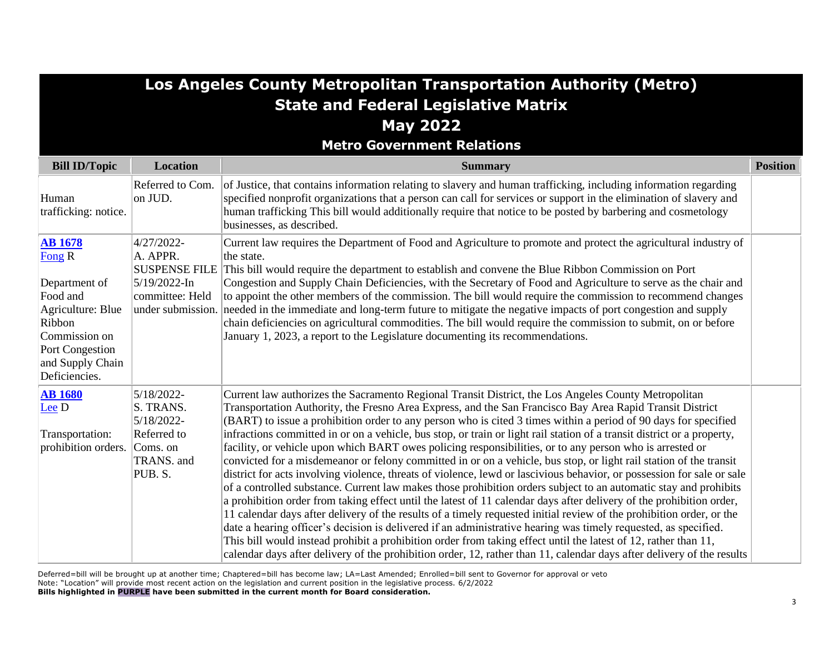|                                                                                                                                                               |                                                                                                        | Los Angeles County Metropolitan Transportation Authority (Metro)                                                                                                                                                                                                                                                                                                                                                                                                                                                                                                                                                                                                                                                                                                                                                                                                                                                                                                                                                                                                                                                                                                                                                                                                                                                                                                                                                                                                                                                                                               |                 |
|---------------------------------------------------------------------------------------------------------------------------------------------------------------|--------------------------------------------------------------------------------------------------------|----------------------------------------------------------------------------------------------------------------------------------------------------------------------------------------------------------------------------------------------------------------------------------------------------------------------------------------------------------------------------------------------------------------------------------------------------------------------------------------------------------------------------------------------------------------------------------------------------------------------------------------------------------------------------------------------------------------------------------------------------------------------------------------------------------------------------------------------------------------------------------------------------------------------------------------------------------------------------------------------------------------------------------------------------------------------------------------------------------------------------------------------------------------------------------------------------------------------------------------------------------------------------------------------------------------------------------------------------------------------------------------------------------------------------------------------------------------------------------------------------------------------------------------------------------------|-----------------|
|                                                                                                                                                               |                                                                                                        | <b>State and Federal Legislative Matrix</b><br><b>May 2022</b>                                                                                                                                                                                                                                                                                                                                                                                                                                                                                                                                                                                                                                                                                                                                                                                                                                                                                                                                                                                                                                                                                                                                                                                                                                                                                                                                                                                                                                                                                                 |                 |
|                                                                                                                                                               |                                                                                                        | <b>Metro Government Relations</b>                                                                                                                                                                                                                                                                                                                                                                                                                                                                                                                                                                                                                                                                                                                                                                                                                                                                                                                                                                                                                                                                                                                                                                                                                                                                                                                                                                                                                                                                                                                              |                 |
| <b>Bill ID/Topic</b>                                                                                                                                          | <b>Location</b>                                                                                        | <b>Summary</b>                                                                                                                                                                                                                                                                                                                                                                                                                                                                                                                                                                                                                                                                                                                                                                                                                                                                                                                                                                                                                                                                                                                                                                                                                                                                                                                                                                                                                                                                                                                                                 | <b>Position</b> |
| Human<br>trafficking: notice.                                                                                                                                 | Referred to Com.<br>on JUD.                                                                            | of Justice, that contains information relating to slavery and human trafficking, including information regarding<br>specified nonprofit organizations that a person can call for services or support in the elimination of slavery and<br>human trafficking This bill would additionally require that notice to be posted by barbering and cosmetology<br>businesses, as described.                                                                                                                                                                                                                                                                                                                                                                                                                                                                                                                                                                                                                                                                                                                                                                                                                                                                                                                                                                                                                                                                                                                                                                            |                 |
| <b>AB</b> 1678<br>Fong R<br>Department of<br>Food and<br>Agriculture: Blue<br>Ribbon<br>Commission on<br>Port Congestion<br>and Supply Chain<br>Deficiencies. | 4/27/2022-<br>A. APPR.<br><b>SUSPENSE FILE</b><br>5/19/2022-In<br>committee: Held<br>under submission. | Current law requires the Department of Food and Agriculture to promote and protect the agricultural industry of<br>the state.<br>This bill would require the department to establish and convene the Blue Ribbon Commission on Port<br>Congestion and Supply Chain Deficiencies, with the Secretary of Food and Agriculture to serve as the chair and<br>to appoint the other members of the commission. The bill would require the commission to recommend changes<br>needed in the immediate and long-term future to mitigate the negative impacts of port congestion and supply<br>chain deficiencies on agricultural commodities. The bill would require the commission to submit, on or before<br>January 1, 2023, a report to the Legislature documenting its recommendations.                                                                                                                                                                                                                                                                                                                                                                                                                                                                                                                                                                                                                                                                                                                                                                           |                 |
| <b>AB</b> 1680<br>Lee D<br>Transportation:<br>prohibition orders.                                                                                             | 5/18/2022-<br>S. TRANS.<br>5/18/2022-<br>Referred to<br>Coms. on<br>TRANS. and<br>PUB.S.               | Current law authorizes the Sacramento Regional Transit District, the Los Angeles County Metropolitan<br>Transportation Authority, the Fresno Area Express, and the San Francisco Bay Area Rapid Transit District<br>(BART) to issue a prohibition order to any person who is cited 3 times within a period of 90 days for specified<br>infractions committed in or on a vehicle, bus stop, or train or light rail station of a transit district or a property,<br>facility, or vehicle upon which BART owes policing responsibilities, or to any person who is arrested or<br>convicted for a misdemeanor or felony committed in or on a vehicle, bus stop, or light rail station of the transit<br>district for acts involving violence, threats of violence, lewd or lascivious behavior, or possession for sale or sale<br>of a controlled substance. Current law makes those prohibition orders subject to an automatic stay and prohibits<br>a prohibition order from taking effect until the latest of 11 calendar days after delivery of the prohibition order,<br>11 calendar days after delivery of the results of a timely requested initial review of the prohibition order, or the<br>date a hearing officer's decision is delivered if an administrative hearing was timely requested, as specified.<br>This bill would instead prohibit a prohibition order from taking effect until the latest of 12, rather than 11,<br>calendar days after delivery of the prohibition order, 12, rather than 11, calendar days after delivery of the results |                 |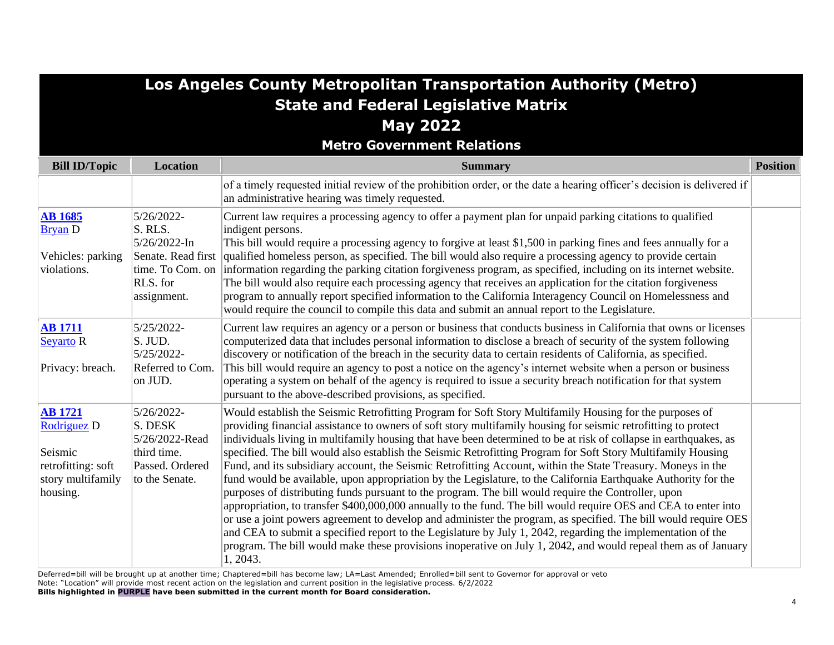# **Los Angeles County Metropolitan Transportation Authority (Metro) State and Federal Legislative Matrix May 2022**

#### **Metro Government Relations**

| <b>Bill ID/Topic</b>                                                                            | <b>Location</b>                                                                             | <b>Summary</b>                                                                                                                                                                                                                                                                                                                                                                                                                                                                                                                                                                                                                                                                                                                                                                                                                                                                                                                                                                                                                                                                                                                                                                                                                                                                             | <b>Position</b> |
|-------------------------------------------------------------------------------------------------|---------------------------------------------------------------------------------------------|--------------------------------------------------------------------------------------------------------------------------------------------------------------------------------------------------------------------------------------------------------------------------------------------------------------------------------------------------------------------------------------------------------------------------------------------------------------------------------------------------------------------------------------------------------------------------------------------------------------------------------------------------------------------------------------------------------------------------------------------------------------------------------------------------------------------------------------------------------------------------------------------------------------------------------------------------------------------------------------------------------------------------------------------------------------------------------------------------------------------------------------------------------------------------------------------------------------------------------------------------------------------------------------------|-----------------|
|                                                                                                 |                                                                                             | of a timely requested initial review of the prohibition order, or the date a hearing officer's decision is delivered if<br>an administrative hearing was timely requested.                                                                                                                                                                                                                                                                                                                                                                                                                                                                                                                                                                                                                                                                                                                                                                                                                                                                                                                                                                                                                                                                                                                 |                 |
| <b>AB 1685</b><br><b>Bryan D</b><br>Vehicles: parking<br>violations.                            | 5/26/2022-<br>S. RLS.<br>5/26/2022-In<br>Senate. Read first<br>RLS. for<br>assignment.      | Current law requires a processing agency to offer a payment plan for unpaid parking citations to qualified<br>indigent persons.<br>This bill would require a processing agency to forgive at least \$1,500 in parking fines and fees annually for a<br>qualified homeless person, as specified. The bill would also require a processing agency to provide certain<br>time. To Com. on information regarding the parking citation forgiveness program, as specified, including on its internet website.<br>The bill would also require each processing agency that receives an application for the citation forgiveness<br>program to annually report specified information to the California Interagency Council on Homelessness and<br>would require the council to compile this data and submit an annual report to the Legislature.                                                                                                                                                                                                                                                                                                                                                                                                                                                    |                 |
| <b>AB</b> 1711<br><b>Seyarto R</b><br>Privacy: breach.                                          | 5/25/2022-<br>S. JUD.<br>5/25/2022-<br>Referred to Com.<br>on JUD.                          | Current law requires an agency or a person or business that conducts business in California that owns or licenses<br>computerized data that includes personal information to disclose a breach of security of the system following<br>discovery or notification of the breach in the security data to certain residents of California, as specified.<br>This bill would require an agency to post a notice on the agency's internet website when a person or business<br>operating a system on behalf of the agency is required to issue a security breach notification for that system<br>pursuant to the above-described provisions, as specified.                                                                                                                                                                                                                                                                                                                                                                                                                                                                                                                                                                                                                                       |                 |
| <b>AB</b> 1721<br>Rodriguez D<br>Seismic<br>retrofitting: soft<br>story multifamily<br>housing. | 5/26/2022-<br>S. DESK<br>5/26/2022-Read<br>third time.<br>Passed. Ordered<br>to the Senate. | Would establish the Seismic Retrofitting Program for Soft Story Multifamily Housing for the purposes of<br>providing financial assistance to owners of soft story multifamily housing for seismic retrofitting to protect<br>individuals living in multifamily housing that have been determined to be at risk of collapse in earthquakes, as<br>specified. The bill would also establish the Seismic Retrofitting Program for Soft Story Multifamily Housing<br>Fund, and its subsidiary account, the Seismic Retrofitting Account, within the State Treasury. Moneys in the<br>fund would be available, upon appropriation by the Legislature, to the California Earthquake Authority for the<br>purposes of distributing funds pursuant to the program. The bill would require the Controller, upon<br>appropriation, to transfer \$400,000,000 annually to the fund. The bill would require OES and CEA to enter into<br>or use a joint powers agreement to develop and administer the program, as specified. The bill would require OES<br>and CEA to submit a specified report to the Legislature by July 1, 2042, regarding the implementation of the<br>program. The bill would make these provisions inoperative on July 1, 2042, and would repeal them as of January<br>1, 2043. |                 |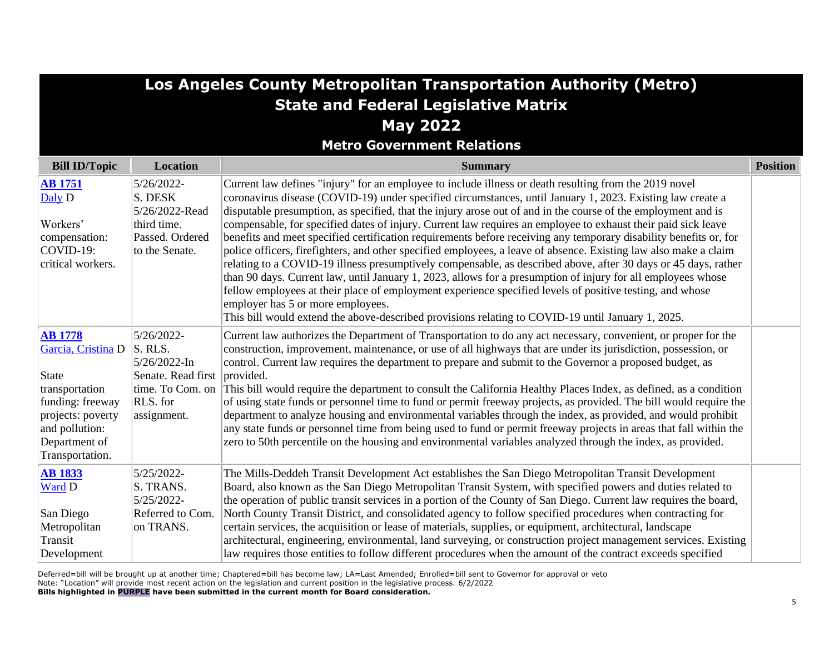| Los Angeles County Metropolitan Transportation Authority (Metro)                                                                                                      |                                                                                                                      |                                                                                                                                                                                                                                                                                                                                                                                                                                                                                                                                                                                                                                                                                                                                                                                                                                                                                                                                                                                                                                                                                                                                                                                         |                 |
|-----------------------------------------------------------------------------------------------------------------------------------------------------------------------|----------------------------------------------------------------------------------------------------------------------|-----------------------------------------------------------------------------------------------------------------------------------------------------------------------------------------------------------------------------------------------------------------------------------------------------------------------------------------------------------------------------------------------------------------------------------------------------------------------------------------------------------------------------------------------------------------------------------------------------------------------------------------------------------------------------------------------------------------------------------------------------------------------------------------------------------------------------------------------------------------------------------------------------------------------------------------------------------------------------------------------------------------------------------------------------------------------------------------------------------------------------------------------------------------------------------------|-----------------|
|                                                                                                                                                                       |                                                                                                                      | <b>State and Federal Legislative Matrix</b>                                                                                                                                                                                                                                                                                                                                                                                                                                                                                                                                                                                                                                                                                                                                                                                                                                                                                                                                                                                                                                                                                                                                             |                 |
|                                                                                                                                                                       |                                                                                                                      | <b>May 2022</b>                                                                                                                                                                                                                                                                                                                                                                                                                                                                                                                                                                                                                                                                                                                                                                                                                                                                                                                                                                                                                                                                                                                                                                         |                 |
|                                                                                                                                                                       |                                                                                                                      | <b>Metro Government Relations</b>                                                                                                                                                                                                                                                                                                                                                                                                                                                                                                                                                                                                                                                                                                                                                                                                                                                                                                                                                                                                                                                                                                                                                       |                 |
| <b>Bill ID/Topic</b>                                                                                                                                                  | Location                                                                                                             | <b>Summary</b>                                                                                                                                                                                                                                                                                                                                                                                                                                                                                                                                                                                                                                                                                                                                                                                                                                                                                                                                                                                                                                                                                                                                                                          | <b>Position</b> |
| <b>AB</b> 1751<br>Daly D<br>Workers'<br>compensation:<br>COVID-19:<br>critical workers.                                                                               | 5/26/2022-<br>S. DESK<br>5/26/2022-Read<br>third time.<br>Passed. Ordered<br>to the Senate.                          | Current law defines "injury" for an employee to include illness or death resulting from the 2019 novel<br>coronavirus disease (COVID-19) under specified circumstances, until January 1, 2023. Existing law create a<br>disputable presumption, as specified, that the injury arose out of and in the course of the employment and is<br>compensable, for specified dates of injury. Current law requires an employee to exhaust their paid sick leave<br>benefits and meet specified certification requirements before receiving any temporary disability benefits or, for<br>police officers, firefighters, and other specified employees, a leave of absence. Existing law also make a claim<br>relating to a COVID-19 illness presumptively compensable, as described above, after 30 days or 45 days, rather<br>than 90 days. Current law, until January 1, 2023, allows for a presumption of injury for all employees whose<br>fellow employees at their place of employment experience specified levels of positive testing, and whose<br>employer has 5 or more employees.<br>This bill would extend the above-described provisions relating to COVID-19 until January 1, 2025. |                 |
| <b>AB</b> 1778<br>Garcia, Cristina D<br><b>State</b><br>transportation<br>funding: freeway<br>projects: poverty<br>and pollution:<br>Department of<br>Transportation. | 5/26/2022-<br>S. RLS.<br>5/26/2022-In<br>Senate. Read first provided.<br>time. To Com. on<br>RLS. for<br>assignment. | Current law authorizes the Department of Transportation to do any act necessary, convenient, or proper for the<br>construction, improvement, maintenance, or use of all highways that are under its jurisdiction, possession, or<br>control. Current law requires the department to prepare and submit to the Governor a proposed budget, as<br>This bill would require the department to consult the California Healthy Places Index, as defined, as a condition<br>of using state funds or personnel time to fund or permit freeway projects, as provided. The bill would require the<br>department to analyze housing and environmental variables through the index, as provided, and would prohibit<br>any state funds or personnel time from being used to fund or permit freeway projects in areas that fall within the<br>zero to 50th percentile on the housing and environmental variables analyzed through the index, as provided.                                                                                                                                                                                                                                            |                 |
| <b>AB 1833</b><br>Ward D<br>San Diego<br>Metropolitan<br>Transit<br>Development                                                                                       | 5/25/2022-<br>S. TRANS.<br>5/25/2022-<br>Referred to Com.<br>on TRANS.                                               | The Mills-Deddeh Transit Development Act establishes the San Diego Metropolitan Transit Development<br>Board, also known as the San Diego Metropolitan Transit System, with specified powers and duties related to<br>the operation of public transit services in a portion of the County of San Diego. Current law requires the board,<br>North County Transit District, and consolidated agency to follow specified procedures when contracting for<br>certain services, the acquisition or lease of materials, supplies, or equipment, architectural, landscape<br>architectural, engineering, environmental, land surveying, or construction project management services. Existing<br>law requires those entities to follow different procedures when the amount of the contract exceeds specified                                                                                                                                                                                                                                                                                                                                                                                  |                 |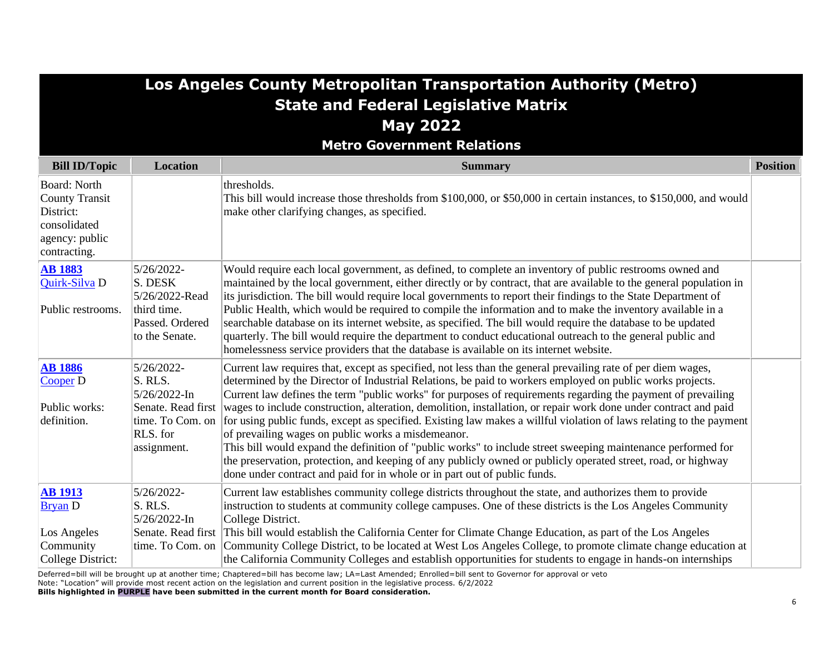|                                                                                                             |                                                                                                                | Los Angeles County Metropolitan Transportation Authority (Metro)<br><b>State and Federal Legislative Matrix</b><br><b>May 2022</b><br><b>Metro Government Relations</b>                                                                                                                                                                                                                                                                                                                                                                                                                                                                                                                                                                                                                                                                                                                                                                                  |                 |
|-------------------------------------------------------------------------------------------------------------|----------------------------------------------------------------------------------------------------------------|----------------------------------------------------------------------------------------------------------------------------------------------------------------------------------------------------------------------------------------------------------------------------------------------------------------------------------------------------------------------------------------------------------------------------------------------------------------------------------------------------------------------------------------------------------------------------------------------------------------------------------------------------------------------------------------------------------------------------------------------------------------------------------------------------------------------------------------------------------------------------------------------------------------------------------------------------------|-----------------|
| <b>Bill ID/Topic</b>                                                                                        | <b>Location</b>                                                                                                | <b>Summary</b>                                                                                                                                                                                                                                                                                                                                                                                                                                                                                                                                                                                                                                                                                                                                                                                                                                                                                                                                           | <b>Position</b> |
| <b>Board: North</b><br><b>County Transit</b><br>District:<br>consolidated<br>agency: public<br>contracting. |                                                                                                                | thresholds.<br>This bill would increase those thresholds from \$100,000, or \$50,000 in certain instances, to \$150,000, and would<br>make other clarifying changes, as specified.                                                                                                                                                                                                                                                                                                                                                                                                                                                                                                                                                                                                                                                                                                                                                                       |                 |
| <b>AB 1883</b><br>Quirk-Silva D<br>Public restrooms.                                                        | 5/26/2022-<br>S. DESK<br>5/26/2022-Read<br>third time.<br>Passed. Ordered<br>to the Senate.                    | Would require each local government, as defined, to complete an inventory of public restrooms owned and<br>maintained by the local government, either directly or by contract, that are available to the general population in<br>its jurisdiction. The bill would require local governments to report their findings to the State Department of<br>Public Health, which would be required to compile the information and to make the inventory available in a<br>searchable database on its internet website, as specified. The bill would require the database to be updated<br>quarterly. The bill would require the department to conduct educational outreach to the general public and<br>homelessness service providers that the database is available on its internet website.                                                                                                                                                                   |                 |
| <b>AB 1886</b><br>Cooper D<br>Public works:<br>definition.                                                  | 5/26/2022-<br>S. RLS.<br>$5/26/2022 - In$<br>Senate. Read first<br>time. To Com. on<br>RLS. for<br>assignment. | Current law requires that, except as specified, not less than the general prevailing rate of per diem wages,<br>determined by the Director of Industrial Relations, be paid to workers employed on public works projects.<br>Current law defines the term "public works" for purposes of requirements regarding the payment of prevailing<br>wages to include construction, alteration, demolition, installation, or repair work done under contract and paid<br>for using public funds, except as specified. Existing law makes a willful violation of laws relating to the payment<br>of prevailing wages on public works a misdemeanor.<br>This bill would expand the definition of "public works" to include street sweeping maintenance performed for<br>the preservation, protection, and keeping of any publicly owned or publicly operated street, road, or highway<br>done under contract and paid for in whole or in part out of public funds. |                 |
| <b>AB 1913</b><br><b>Bryan</b> D<br>Los Angeles<br>Community<br><b>College District:</b>                    | 5/26/2022-<br>S. RLS.<br>$5/26/2022$ -In<br>Senate. Read first<br>time. To Com. on                             | Current law establishes community college districts throughout the state, and authorizes them to provide<br>instruction to students at community college campuses. One of these districts is the Los Angeles Community<br>College District.<br>This bill would establish the California Center for Climate Change Education, as part of the Los Angeles<br>Community College District, to be located at West Los Angeles College, to promote climate change education at<br>the California Community Colleges and establish opportunities for students to engage in hands-on internships                                                                                                                                                                                                                                                                                                                                                                 |                 |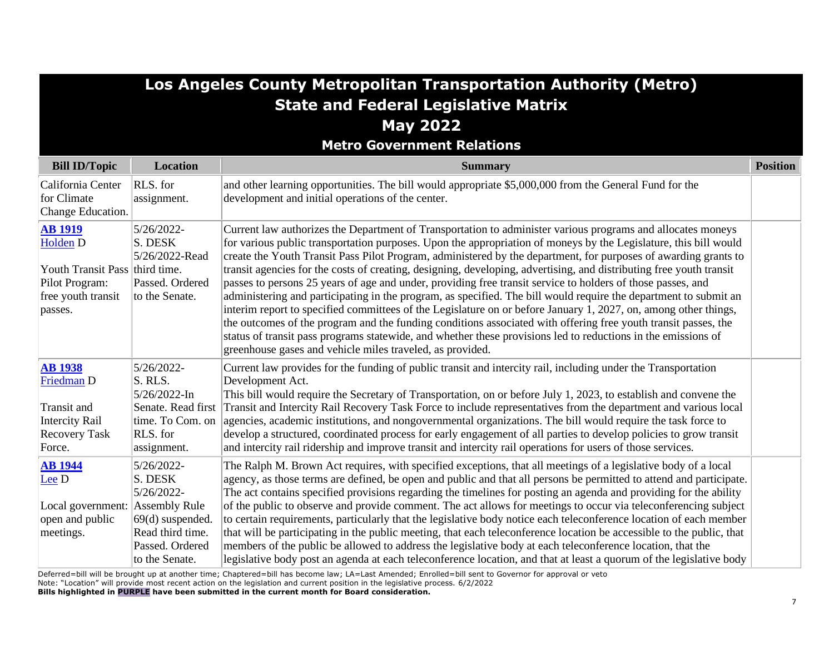| Los Angeles County Metropolitan Transportation Authority (Metro)                                                           |                                                                                                                    |                                                                                                                                                                                                                                                                                                                                                                                                                                                                                                                                                                                                                                                                                                                                                                                                                                                                                                                                                                                                                                                                                                                                 |                 |
|----------------------------------------------------------------------------------------------------------------------------|--------------------------------------------------------------------------------------------------------------------|---------------------------------------------------------------------------------------------------------------------------------------------------------------------------------------------------------------------------------------------------------------------------------------------------------------------------------------------------------------------------------------------------------------------------------------------------------------------------------------------------------------------------------------------------------------------------------------------------------------------------------------------------------------------------------------------------------------------------------------------------------------------------------------------------------------------------------------------------------------------------------------------------------------------------------------------------------------------------------------------------------------------------------------------------------------------------------------------------------------------------------|-----------------|
|                                                                                                                            |                                                                                                                    | <b>State and Federal Legislative Matrix</b>                                                                                                                                                                                                                                                                                                                                                                                                                                                                                                                                                                                                                                                                                                                                                                                                                                                                                                                                                                                                                                                                                     |                 |
|                                                                                                                            |                                                                                                                    | <b>May 2022</b>                                                                                                                                                                                                                                                                                                                                                                                                                                                                                                                                                                                                                                                                                                                                                                                                                                                                                                                                                                                                                                                                                                                 |                 |
|                                                                                                                            |                                                                                                                    | <b>Metro Government Relations</b>                                                                                                                                                                                                                                                                                                                                                                                                                                                                                                                                                                                                                                                                                                                                                                                                                                                                                                                                                                                                                                                                                               |                 |
| <b>Bill ID/Topic</b>                                                                                                       | <b>Location</b>                                                                                                    | <b>Summary</b>                                                                                                                                                                                                                                                                                                                                                                                                                                                                                                                                                                                                                                                                                                                                                                                                                                                                                                                                                                                                                                                                                                                  | <b>Position</b> |
| California Center<br>for Climate<br>Change Education.                                                                      | RLS. for<br>assignment.                                                                                            | and other learning opportunities. The bill would appropriate \$5,000,000 from the General Fund for the<br>development and initial operations of the center.                                                                                                                                                                                                                                                                                                                                                                                                                                                                                                                                                                                                                                                                                                                                                                                                                                                                                                                                                                     |                 |
| <b>AB 1919</b><br>Holden <sub>D</sub><br>Youth Transit Pass third time.<br>Pilot Program:<br>free youth transit<br>passes. | 5/26/2022-<br>S. DESK<br>5/26/2022-Read<br>Passed. Ordered<br>to the Senate.                                       | Current law authorizes the Department of Transportation to administer various programs and allocates moneys<br>for various public transportation purposes. Upon the appropriation of moneys by the Legislature, this bill would<br>create the Youth Transit Pass Pilot Program, administered by the department, for purposes of awarding grants to<br>transit agencies for the costs of creating, designing, developing, advertising, and distributing free youth transit<br>passes to persons 25 years of age and under, providing free transit service to holders of those passes, and<br>administering and participating in the program, as specified. The bill would require the department to submit an<br>interim report to specified committees of the Legislature on or before January 1, 2027, on, among other things,<br>the outcomes of the program and the funding conditions associated with offering free youth transit passes, the<br>status of transit pass programs statewide, and whether these provisions led to reductions in the emissions of<br>greenhouse gases and vehicle miles traveled, as provided. |                 |
| <b>AB</b> 1938<br>Friedman D<br>Transit and<br><b>Intercity Rail</b><br><b>Recovery Task</b><br>Force.                     | 5/26/2022-<br>S. RLS.<br>5/26/2022-In<br>Senate. Read first<br>time. To Com. on<br>RLS. for<br>assignment.         | Current law provides for the funding of public transit and intercity rail, including under the Transportation<br>Development Act.<br>This bill would require the Secretary of Transportation, on or before July 1, 2023, to establish and convene the<br>Transit and Intercity Rail Recovery Task Force to include representatives from the department and various local<br>agencies, academic institutions, and nongovernmental organizations. The bill would require the task force to<br>develop a structured, coordinated process for early engagement of all parties to develop policies to grow transit<br>and intercity rail ridership and improve transit and intercity rail operations for users of those services.                                                                                                                                                                                                                                                                                                                                                                                                    |                 |
| <b>AB</b> 1944<br>$\text{Lee}$ D<br>Local government: Assembly Rule<br>open and public<br>meetings.                        | 5/26/2022-<br>S. DESK<br>5/26/2022-<br>$69(d)$ suspended.<br>Read third time.<br>Passed. Ordered<br>to the Senate. | The Ralph M. Brown Act requires, with specified exceptions, that all meetings of a legislative body of a local<br>agency, as those terms are defined, be open and public and that all persons be permitted to attend and participate.<br>The act contains specified provisions regarding the timelines for posting an agenda and providing for the ability<br>of the public to observe and provide comment. The act allows for meetings to occur via teleconferencing subject<br>to certain requirements, particularly that the legislative body notice each teleconference location of each member<br>that will be participating in the public meeting, that each teleconference location be accessible to the public, that<br>members of the public be allowed to address the legislative body at each teleconference location, that the<br>legislative body post an agenda at each teleconference location, and that at least a quorum of the legislative body                                                                                                                                                               |                 |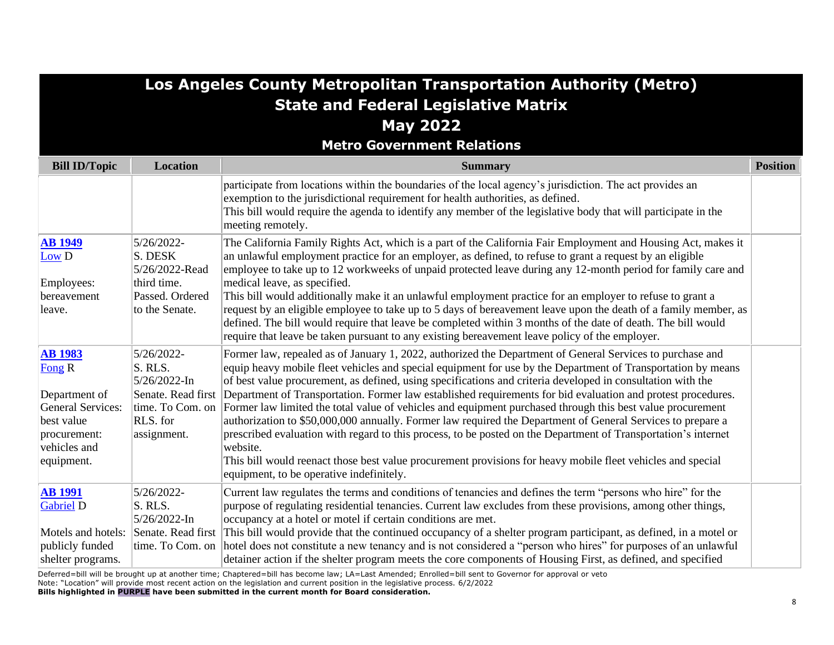|                                                                                                                                   |                                                                                                            | Los Angeles County Metropolitan Transportation Authority (Metro)<br><b>State and Federal Legislative Matrix</b><br><b>May 2022</b><br><b>Metro Government Relations</b>                                                                                                                                                                                                                                                                                                                                                                                                                                                                                                                                                                                                                                                                                                                                                                                                        |                 |
|-----------------------------------------------------------------------------------------------------------------------------------|------------------------------------------------------------------------------------------------------------|--------------------------------------------------------------------------------------------------------------------------------------------------------------------------------------------------------------------------------------------------------------------------------------------------------------------------------------------------------------------------------------------------------------------------------------------------------------------------------------------------------------------------------------------------------------------------------------------------------------------------------------------------------------------------------------------------------------------------------------------------------------------------------------------------------------------------------------------------------------------------------------------------------------------------------------------------------------------------------|-----------------|
| <b>Bill ID/Topic</b>                                                                                                              | Location                                                                                                   | <b>Summary</b>                                                                                                                                                                                                                                                                                                                                                                                                                                                                                                                                                                                                                                                                                                                                                                                                                                                                                                                                                                 | <b>Position</b> |
|                                                                                                                                   |                                                                                                            | participate from locations within the boundaries of the local agency's jurisdiction. The act provides an<br>exemption to the jurisdictional requirement for health authorities, as defined.<br>This bill would require the agenda to identify any member of the legislative body that will participate in the<br>meeting remotely.                                                                                                                                                                                                                                                                                                                                                                                                                                                                                                                                                                                                                                             |                 |
| <b>AB</b> 1949<br>Low D<br>Employees:<br>bereavement<br>leave.                                                                    | 5/26/2022-<br>S. DESK<br>5/26/2022-Read<br>third time.<br>Passed. Ordered<br>to the Senate.                | The California Family Rights Act, which is a part of the California Fair Employment and Housing Act, makes it<br>an unlawful employment practice for an employer, as defined, to refuse to grant a request by an eligible<br>employee to take up to 12 workweeks of unpaid protected leave during any 12-month period for family care and<br>medical leave, as specified.<br>This bill would additionally make it an unlawful employment practice for an employer to refuse to grant a<br>request by an eligible employee to take up to 5 days of bereavement leave upon the death of a family member, as<br>defined. The bill would require that leave be completed within 3 months of the date of death. The bill would<br>require that leave be taken pursuant to any existing bereavement leave policy of the employer.                                                                                                                                                    |                 |
| <b>AB</b> 1983<br>Fong R<br>Department of<br><b>General Services:</b><br>best value<br>procurement:<br>vehicles and<br>equipment. | 5/26/2022-<br>S. RLS.<br>5/26/2022-In<br>Senate. Read first<br>time. To Com. on<br>RLS. for<br>assignment. | Former law, repealed as of January 1, 2022, authorized the Department of General Services to purchase and<br>equip heavy mobile fleet vehicles and special equipment for use by the Department of Transportation by means<br>of best value procurement, as defined, using specifications and criteria developed in consultation with the<br>Department of Transportation. Former law established requirements for bid evaluation and protest procedures.<br>Former law limited the total value of vehicles and equipment purchased through this best value procurement<br>authorization to \$50,000,000 annually. Former law required the Department of General Services to prepare a<br>prescribed evaluation with regard to this process, to be posted on the Department of Transportation's internet<br>website.<br>This bill would reenact those best value procurement provisions for heavy mobile fleet vehicles and special<br>equipment, to be operative indefinitely. |                 |
| <b>AB</b> 1991<br><b>Gabriel D</b><br>Motels and hotels:<br>publicly funded<br>shelter programs.                                  | 5/26/2022-<br>S. RLS.<br>5/26/2022-In<br>Senate. Read first                                                | Current law regulates the terms and conditions of tenancies and defines the term "persons who hire" for the<br>purpose of regulating residential tenancies. Current law excludes from these provisions, among other things,<br>occupancy at a hotel or motel if certain conditions are met.<br>This bill would provide that the continued occupancy of a shelter program participant, as defined, in a motel or<br>time. To Com. on hotel does not constitute a new tenancy and is not considered a "person who hires" for purposes of an unlawful<br>detainer action if the shelter program meets the core components of Housing First, as defined, and specified<br>Defensed will will be bosystem at excelse time. Chaptersed will be a become lower 1 A. Leat Amended: Canalled Will contrib Corrented for engineeral anywhere                                                                                                                                             |                 |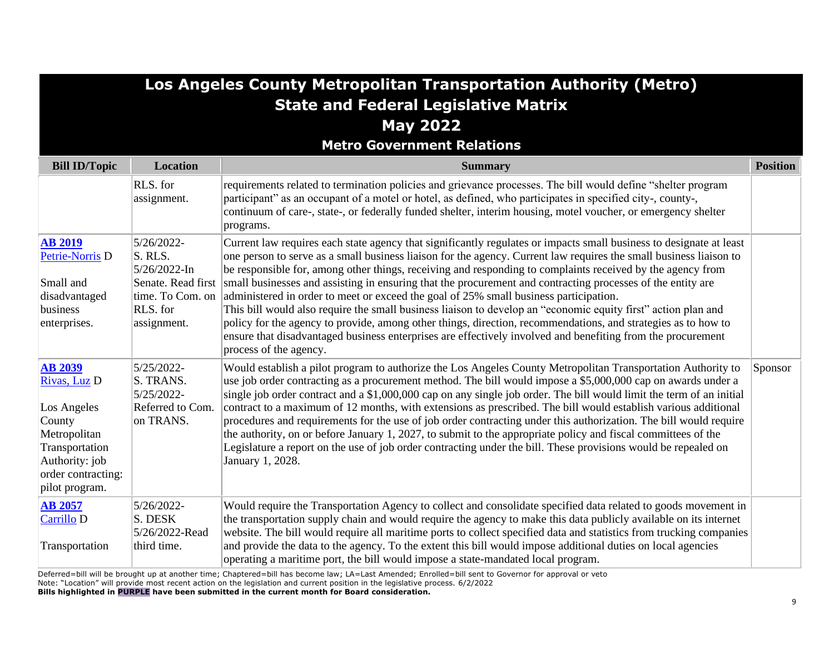|                                                                                                                                                     |                                                                                                               | Los Angeles County Metropolitan Transportation Authority (Metro)<br><b>State and Federal Legislative Matrix</b><br><b>May 2022</b>                                                                                                                                                                                                                                                                                                                                                                                                                                                                                                                                                                                                                                                                                                                                                                                                         |                 |
|-----------------------------------------------------------------------------------------------------------------------------------------------------|---------------------------------------------------------------------------------------------------------------|--------------------------------------------------------------------------------------------------------------------------------------------------------------------------------------------------------------------------------------------------------------------------------------------------------------------------------------------------------------------------------------------------------------------------------------------------------------------------------------------------------------------------------------------------------------------------------------------------------------------------------------------------------------------------------------------------------------------------------------------------------------------------------------------------------------------------------------------------------------------------------------------------------------------------------------------|-----------------|
|                                                                                                                                                     |                                                                                                               | <b>Metro Government Relations</b>                                                                                                                                                                                                                                                                                                                                                                                                                                                                                                                                                                                                                                                                                                                                                                                                                                                                                                          |                 |
| <b>Bill ID/Topic</b>                                                                                                                                | <b>Location</b>                                                                                               | <b>Summary</b>                                                                                                                                                                                                                                                                                                                                                                                                                                                                                                                                                                                                                                                                                                                                                                                                                                                                                                                             | <b>Position</b> |
|                                                                                                                                                     | RLS. for<br>assignment.                                                                                       | requirements related to termination policies and grievance processes. The bill would define "shelter program<br>participant" as an occupant of a motel or hotel, as defined, who participates in specified city-, county-,<br>continuum of care-, state-, or federally funded shelter, interim housing, motel voucher, or emergency shelter<br>programs.                                                                                                                                                                                                                                                                                                                                                                                                                                                                                                                                                                                   |                 |
| <b>AB 2019</b><br>Petrie-Norris D<br>Small and<br>disadvantaged<br>business<br>enterprises.                                                         | 5/26/2022-<br>S. RLS.<br>$5/26/2022$ -In<br>Senate. Read first<br>time. To Com. on<br>RLS. for<br>assignment. | Current law requires each state agency that significantly regulates or impacts small business to designate at least<br>one person to serve as a small business liaison for the agency. Current law requires the small business liaison to<br>be responsible for, among other things, receiving and responding to complaints received by the agency from<br>small businesses and assisting in ensuring that the procurement and contracting processes of the entity are<br>administered in order to meet or exceed the goal of 25% small business participation.<br>This bill would also require the small business liaison to develop an "economic equity first" action plan and<br>policy for the agency to provide, among other things, direction, recommendations, and strategies as to how to<br>ensure that disadvantaged business enterprises are effectively involved and benefiting from the procurement<br>process of the agency. |                 |
| <b>AB 2039</b><br>Rivas, Luz D<br>Los Angeles<br>County<br>Metropolitan<br>Transportation<br>Authority: job<br>order contracting:<br>pilot program. | 5/25/2022-<br>S. TRANS.<br>5/25/2022-<br>Referred to Com.<br>on TRANS.                                        | Would establish a pilot program to authorize the Los Angeles County Metropolitan Transportation Authority to<br>use job order contracting as a procurement method. The bill would impose a \$5,000,000 cap on awards under a<br>single job order contract and a \$1,000,000 cap on any single job order. The bill would limit the term of an initial<br>contract to a maximum of 12 months, with extensions as prescribed. The bill would establish various additional<br>procedures and requirements for the use of job order contracting under this authorization. The bill would require<br>the authority, on or before January 1, 2027, to submit to the appropriate policy and fiscal committees of the<br>Legislature a report on the use of job order contracting under the bill. These provisions would be repealed on<br>January 1, 2028.                                                                                         | Sponsor         |
| <b>AB 2057</b><br>Carrillo D<br>Transportation                                                                                                      | 5/26/2022-<br>S. DESK<br>5/26/2022-Read<br>third time.                                                        | Would require the Transportation Agency to collect and consolidate specified data related to goods movement in<br>the transportation supply chain and would require the agency to make this data publicly available on its internet<br>website. The bill would require all maritime ports to collect specified data and statistics from trucking companies<br>and provide the data to the agency. To the extent this bill would impose additional duties on local agencies<br>operating a maritime port, the bill would impose a state-mandated local program.                                                                                                                                                                                                                                                                                                                                                                             |                 |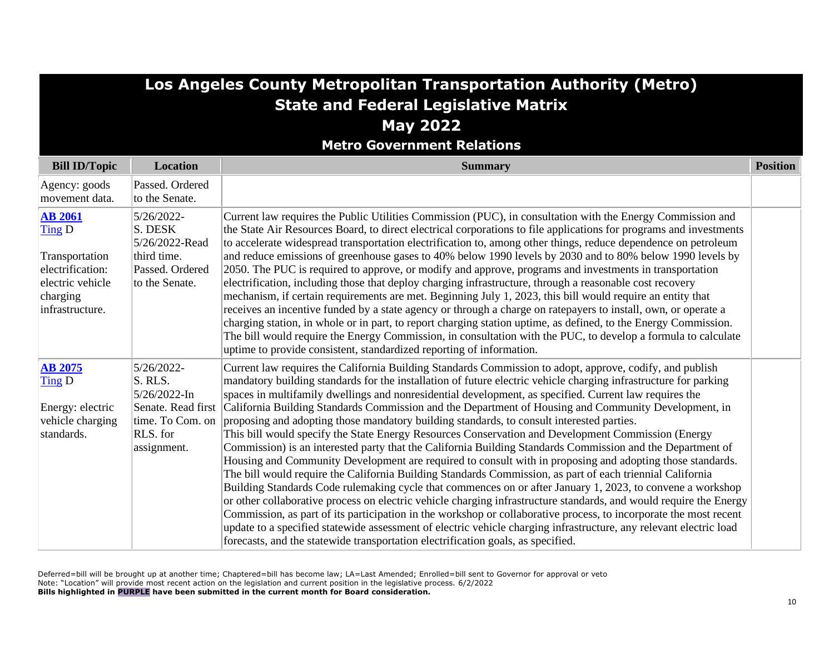| <b>Los Angeles County Metropolitan Transportation Authority (Metro)</b>                                           |                                                                                                            |                                                                                                                                                                                                                                                                                                                                                                                                                                                                                                                                                                                                                                                                                                                                                                                                                                                                                                                                                                                                                                                                                                                                                                                                                                                                                                                                                                                                                                                                                                                                                              |                 |
|-------------------------------------------------------------------------------------------------------------------|------------------------------------------------------------------------------------------------------------|--------------------------------------------------------------------------------------------------------------------------------------------------------------------------------------------------------------------------------------------------------------------------------------------------------------------------------------------------------------------------------------------------------------------------------------------------------------------------------------------------------------------------------------------------------------------------------------------------------------------------------------------------------------------------------------------------------------------------------------------------------------------------------------------------------------------------------------------------------------------------------------------------------------------------------------------------------------------------------------------------------------------------------------------------------------------------------------------------------------------------------------------------------------------------------------------------------------------------------------------------------------------------------------------------------------------------------------------------------------------------------------------------------------------------------------------------------------------------------------------------------------------------------------------------------------|-----------------|
|                                                                                                                   |                                                                                                            | <b>State and Federal Legislative Matrix</b>                                                                                                                                                                                                                                                                                                                                                                                                                                                                                                                                                                                                                                                                                                                                                                                                                                                                                                                                                                                                                                                                                                                                                                                                                                                                                                                                                                                                                                                                                                                  |                 |
|                                                                                                                   |                                                                                                            | <b>May 2022</b>                                                                                                                                                                                                                                                                                                                                                                                                                                                                                                                                                                                                                                                                                                                                                                                                                                                                                                                                                                                                                                                                                                                                                                                                                                                                                                                                                                                                                                                                                                                                              |                 |
|                                                                                                                   |                                                                                                            | <b>Metro Government Relations</b>                                                                                                                                                                                                                                                                                                                                                                                                                                                                                                                                                                                                                                                                                                                                                                                                                                                                                                                                                                                                                                                                                                                                                                                                                                                                                                                                                                                                                                                                                                                            |                 |
| <b>Bill ID/Topic</b>                                                                                              | <b>Location</b>                                                                                            | <b>Summary</b>                                                                                                                                                                                                                                                                                                                                                                                                                                                                                                                                                                                                                                                                                                                                                                                                                                                                                                                                                                                                                                                                                                                                                                                                                                                                                                                                                                                                                                                                                                                                               | <b>Position</b> |
| Agency: goods<br>movement data.                                                                                   | Passed. Ordered<br>to the Senate.                                                                          |                                                                                                                                                                                                                                                                                                                                                                                                                                                                                                                                                                                                                                                                                                                                                                                                                                                                                                                                                                                                                                                                                                                                                                                                                                                                                                                                                                                                                                                                                                                                                              |                 |
| <b>AB 2061</b><br>Ting D<br>Transportation<br>electrification:<br>electric vehicle<br>charging<br>infrastructure. | 5/26/2022-<br>S. DESK<br>5/26/2022-Read<br>third time.<br>Passed. Ordered<br>to the Senate.                | Current law requires the Public Utilities Commission (PUC), in consultation with the Energy Commission and<br>the State Air Resources Board, to direct electrical corporations to file applications for programs and investments<br>to accelerate widespread transportation electrification to, among other things, reduce dependence on petroleum<br>and reduce emissions of greenhouse gases to 40% below 1990 levels by 2030 and to 80% below 1990 levels by<br>2050. The PUC is required to approve, or modify and approve, programs and investments in transportation<br>electrification, including those that deploy charging infrastructure, through a reasonable cost recovery<br>mechanism, if certain requirements are met. Beginning July 1, 2023, this bill would require an entity that<br>receives an incentive funded by a state agency or through a charge on ratepayers to install, own, or operate a<br>charging station, in whole or in part, to report charging station uptime, as defined, to the Energy Commission.<br>The bill would require the Energy Commission, in consultation with the PUC, to develop a formula to calculate<br>uptime to provide consistent, standardized reporting of information.                                                                                                                                                                                                                                                                                                                           |                 |
| <b>AB 2075</b><br>Ting D<br>Energy: electric<br>vehicle charging<br>standards.                                    | 5/26/2022-<br>S. RLS.<br>5/26/2022-In<br>Senate. Read first<br>time. To Com. on<br>RLS. for<br>assignment. | Current law requires the California Building Standards Commission to adopt, approve, codify, and publish<br>mandatory building standards for the installation of future electric vehicle charging infrastructure for parking<br>spaces in multifamily dwellings and nonresidential development, as specified. Current law requires the<br>California Building Standards Commission and the Department of Housing and Community Development, in<br>proposing and adopting those mandatory building standards, to consult interested parties.<br>This bill would specify the State Energy Resources Conservation and Development Commission (Energy<br>Commission) is an interested party that the California Building Standards Commission and the Department of<br>Housing and Community Development are required to consult with in proposing and adopting those standards.<br>The bill would require the California Building Standards Commission, as part of each triennial California<br>Building Standards Code rulemaking cycle that commences on or after January 1, 2023, to convene a workshop<br>or other collaborative process on electric vehicle charging infrastructure standards, and would require the Energy<br>Commission, as part of its participation in the workshop or collaborative process, to incorporate the most recent<br>update to a specified statewide assessment of electric vehicle charging infrastructure, any relevant electric load<br>forecasts, and the statewide transportation electrification goals, as specified. |                 |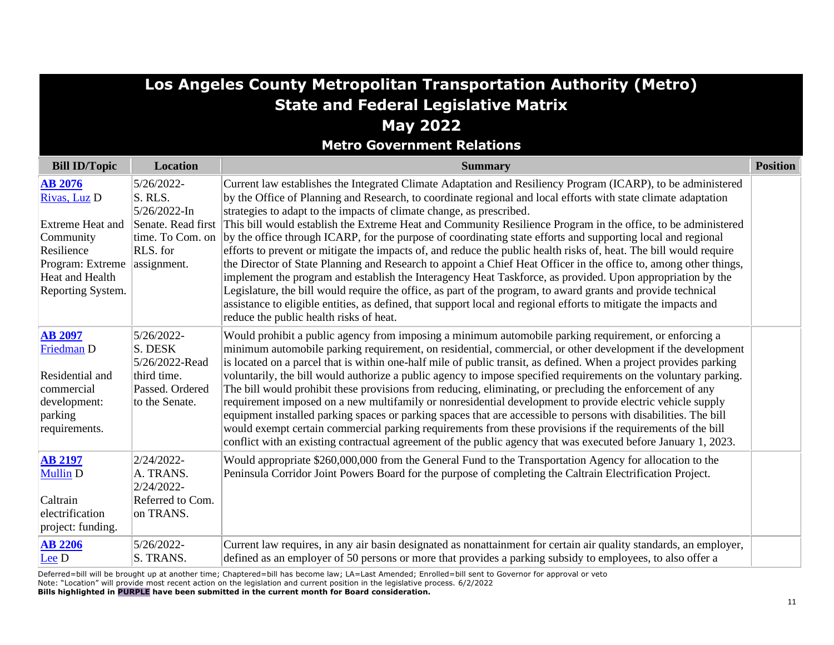|                                                                                                                                           |                                                                                                               | Los Angeles County Metropolitan Transportation Authority (Metro)<br><b>State and Federal Legislative Matrix</b>                                                                                                                                                                                                                                                                                                                                                                                                                                                                                                                                                                                                                                                                                                                                                                                                                                                                                                                                                                                                                                                                  |                 |
|-------------------------------------------------------------------------------------------------------------------------------------------|---------------------------------------------------------------------------------------------------------------|----------------------------------------------------------------------------------------------------------------------------------------------------------------------------------------------------------------------------------------------------------------------------------------------------------------------------------------------------------------------------------------------------------------------------------------------------------------------------------------------------------------------------------------------------------------------------------------------------------------------------------------------------------------------------------------------------------------------------------------------------------------------------------------------------------------------------------------------------------------------------------------------------------------------------------------------------------------------------------------------------------------------------------------------------------------------------------------------------------------------------------------------------------------------------------|-----------------|
|                                                                                                                                           |                                                                                                               | <b>May 2022</b>                                                                                                                                                                                                                                                                                                                                                                                                                                                                                                                                                                                                                                                                                                                                                                                                                                                                                                                                                                                                                                                                                                                                                                  |                 |
|                                                                                                                                           |                                                                                                               | <b>Metro Government Relations</b>                                                                                                                                                                                                                                                                                                                                                                                                                                                                                                                                                                                                                                                                                                                                                                                                                                                                                                                                                                                                                                                                                                                                                |                 |
| <b>Bill ID/Topic</b>                                                                                                                      | <b>Location</b>                                                                                               | <b>Summary</b>                                                                                                                                                                                                                                                                                                                                                                                                                                                                                                                                                                                                                                                                                                                                                                                                                                                                                                                                                                                                                                                                                                                                                                   | <b>Position</b> |
| <b>AB 2076</b><br>Rivas, Luz D<br>Extreme Heat and<br>Community<br>Resilience<br>Program: Extreme<br>Heat and Health<br>Reporting System. | 5/26/2022-<br>S. RLS.<br>$5/26/2022$ -In<br>Senate. Read first<br>time. To Com. on<br>RLS. for<br>assignment. | Current law establishes the Integrated Climate Adaptation and Resiliency Program (ICARP), to be administered<br>by the Office of Planning and Research, to coordinate regional and local efforts with state climate adaptation<br>strategies to adapt to the impacts of climate change, as prescribed.<br>This bill would establish the Extreme Heat and Community Resilience Program in the office, to be administered<br>by the office through ICARP, for the purpose of coordinating state efforts and supporting local and regional<br>efforts to prevent or mitigate the impacts of, and reduce the public health risks of, heat. The bill would require<br>the Director of State Planning and Research to appoint a Chief Heat Officer in the office to, among other things,<br>implement the program and establish the Interagency Heat Taskforce, as provided. Upon appropriation by the<br>Legislature, the bill would require the office, as part of the program, to award grants and provide technical<br>assistance to eligible entities, as defined, that support local and regional efforts to mitigate the impacts and<br>reduce the public health risks of heat. |                 |
| <b>AB 2097</b><br>Friedman D<br>Residential and<br>commercial<br>development:<br>parking<br>requirements.                                 | 5/26/2022-<br>S. DESK<br>5/26/2022-Read<br>third time.<br>Passed. Ordered<br>to the Senate.                   | Would prohibit a public agency from imposing a minimum automobile parking requirement, or enforcing a<br>minimum automobile parking requirement, on residential, commercial, or other development if the development<br>is located on a parcel that is within one-half mile of public transit, as defined. When a project provides parking<br>voluntarily, the bill would authorize a public agency to impose specified requirements on the voluntary parking.<br>The bill would prohibit these provisions from reducing, eliminating, or precluding the enforcement of any<br>requirement imposed on a new multifamily or nonresidential development to provide electric vehicle supply<br>equipment installed parking spaces or parking spaces that are accessible to persons with disabilities. The bill<br>would exempt certain commercial parking requirements from these provisions if the requirements of the bill<br>conflict with an existing contractual agreement of the public agency that was executed before January 1, 2023.                                                                                                                                      |                 |
| <b>AB 2197</b><br><b>Mullin D</b><br>Caltrain<br>electrification<br>project: funding.                                                     | 2/24/2022-<br>A. TRANS.<br>2/24/2022-<br>Referred to Com.<br>on TRANS.                                        | Would appropriate \$260,000,000 from the General Fund to the Transportation Agency for allocation to the<br>Peninsula Corridor Joint Powers Board for the purpose of completing the Caltrain Electrification Project.                                                                                                                                                                                                                                                                                                                                                                                                                                                                                                                                                                                                                                                                                                                                                                                                                                                                                                                                                            |                 |
| <b>AB 2206</b><br>Lee D                                                                                                                   | 5/26/2022-<br>S. TRANS.                                                                                       | Current law requires, in any air basin designated as nonattainment for certain air quality standards, an employer,<br>defined as an employer of 50 persons or more that provides a parking subsidy to employees, to also offer a                                                                                                                                                                                                                                                                                                                                                                                                                                                                                                                                                                                                                                                                                                                                                                                                                                                                                                                                                 |                 |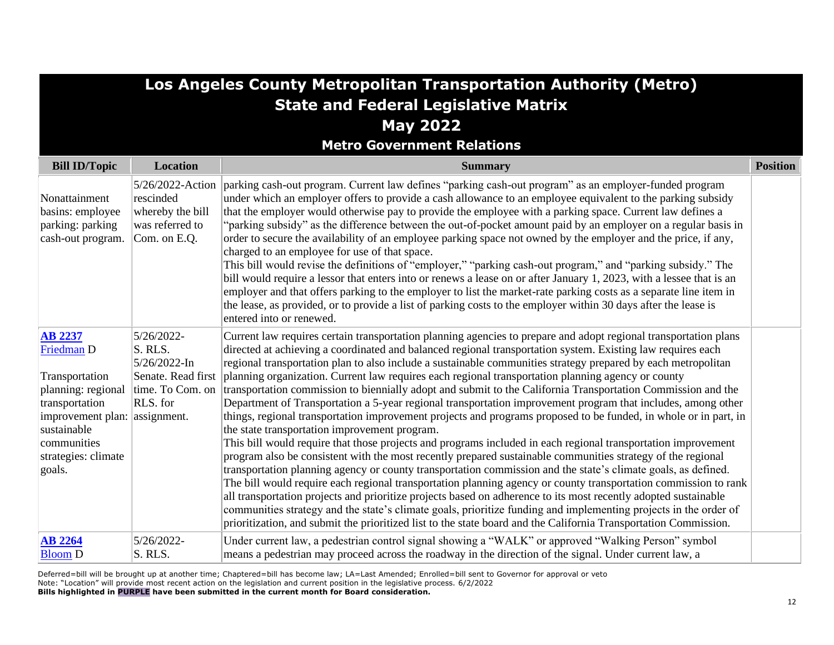| Los Angeles County Metropolitan Transportation Authority (Metro)                                                                                                                       |                                                                                             |                                                                                                                                                                                                                                                                                                                                                                                                                                                                                                                                                                                                                                                                                                                                                                                                                                                                                                                                                                                                                                                                                                                                                                                                                                                                                                                                                                                                                                                                                                                                                                                                                                                                                            |                 |
|----------------------------------------------------------------------------------------------------------------------------------------------------------------------------------------|---------------------------------------------------------------------------------------------|--------------------------------------------------------------------------------------------------------------------------------------------------------------------------------------------------------------------------------------------------------------------------------------------------------------------------------------------------------------------------------------------------------------------------------------------------------------------------------------------------------------------------------------------------------------------------------------------------------------------------------------------------------------------------------------------------------------------------------------------------------------------------------------------------------------------------------------------------------------------------------------------------------------------------------------------------------------------------------------------------------------------------------------------------------------------------------------------------------------------------------------------------------------------------------------------------------------------------------------------------------------------------------------------------------------------------------------------------------------------------------------------------------------------------------------------------------------------------------------------------------------------------------------------------------------------------------------------------------------------------------------------------------------------------------------------|-----------------|
|                                                                                                                                                                                        |                                                                                             | <b>State and Federal Legislative Matrix</b>                                                                                                                                                                                                                                                                                                                                                                                                                                                                                                                                                                                                                                                                                                                                                                                                                                                                                                                                                                                                                                                                                                                                                                                                                                                                                                                                                                                                                                                                                                                                                                                                                                                |                 |
|                                                                                                                                                                                        |                                                                                             | <b>May 2022</b>                                                                                                                                                                                                                                                                                                                                                                                                                                                                                                                                                                                                                                                                                                                                                                                                                                                                                                                                                                                                                                                                                                                                                                                                                                                                                                                                                                                                                                                                                                                                                                                                                                                                            |                 |
|                                                                                                                                                                                        |                                                                                             | <b>Metro Government Relations</b>                                                                                                                                                                                                                                                                                                                                                                                                                                                                                                                                                                                                                                                                                                                                                                                                                                                                                                                                                                                                                                                                                                                                                                                                                                                                                                                                                                                                                                                                                                                                                                                                                                                          |                 |
| <b>Bill ID/Topic</b>                                                                                                                                                                   | <b>Location</b>                                                                             | <b>Summary</b>                                                                                                                                                                                                                                                                                                                                                                                                                                                                                                                                                                                                                                                                                                                                                                                                                                                                                                                                                                                                                                                                                                                                                                                                                                                                                                                                                                                                                                                                                                                                                                                                                                                                             | <b>Position</b> |
| Nonattainment<br>basins: employee<br>parking: parking<br>cash-out program.                                                                                                             | 5/26/2022-Action<br>rescinded<br>whereby the bill<br>was referred to<br>Com. on E.Q.        | parking cash-out program. Current law defines "parking cash-out program" as an employer-funded program<br>under which an employer offers to provide a cash allowance to an employee equivalent to the parking subsidy<br>that the employer would otherwise pay to provide the employee with a parking space. Current law defines a<br>"parking subsidy" as the difference between the out-of-pocket amount paid by an employer on a regular basis in<br>order to secure the availability of an employee parking space not owned by the employer and the price, if any,<br>charged to an employee for use of that space.<br>This bill would revise the definitions of "employer," "parking cash-out program," and "parking subsidy." The<br>bill would require a lessor that enters into or renews a lease on or after January 1, 2023, with a lessee that is an<br>employer and that offers parking to the employer to list the market-rate parking costs as a separate line item in<br>the lease, as provided, or to provide a list of parking costs to the employer within 30 days after the lease is<br>entered into or renewed.                                                                                                                                                                                                                                                                                                                                                                                                                                                                                                                                                        |                 |
| <b>AB 2237</b><br>Friedman D<br>Transportation<br>planning: regional<br>transportation<br>improvement plan: assignment.<br>sustainable<br>communities<br>strategies: climate<br>goals. | 5/26/2022-<br>S. RLS.<br>5/26/2022-In<br>Senate. Read first<br>time. To Com. on<br>RLS. for | Current law requires certain transportation planning agencies to prepare and adopt regional transportation plans<br>directed at achieving a coordinated and balanced regional transportation system. Existing law requires each<br>regional transportation plan to also include a sustainable communities strategy prepared by each metropolitan<br>planning organization. Current law requires each regional transportation planning agency or county<br>transportation commission to biennially adopt and submit to the California Transportation Commission and the<br>Department of Transportation a 5-year regional transportation improvement program that includes, among other<br>things, regional transportation improvement projects and programs proposed to be funded, in whole or in part, in<br>the state transportation improvement program.<br>This bill would require that those projects and programs included in each regional transportation improvement<br>program also be consistent with the most recently prepared sustainable communities strategy of the regional<br>transportation planning agency or county transportation commission and the state's climate goals, as defined.<br>The bill would require each regional transportation planning agency or county transportation commission to rank<br>all transportation projects and prioritize projects based on adherence to its most recently adopted sustainable<br>communities strategy and the state's climate goals, prioritize funding and implementing projects in the order of<br>prioritization, and submit the prioritized list to the state board and the California Transportation Commission. |                 |
| <b>AB 2264</b><br><b>Bloom D</b>                                                                                                                                                       | 5/26/2022-<br>S. RLS.                                                                       | Under current law, a pedestrian control signal showing a "WALK" or approved "Walking Person" symbol<br>means a pedestrian may proceed across the roadway in the direction of the signal. Under current law, a                                                                                                                                                                                                                                                                                                                                                                                                                                                                                                                                                                                                                                                                                                                                                                                                                                                                                                                                                                                                                                                                                                                                                                                                                                                                                                                                                                                                                                                                              |                 |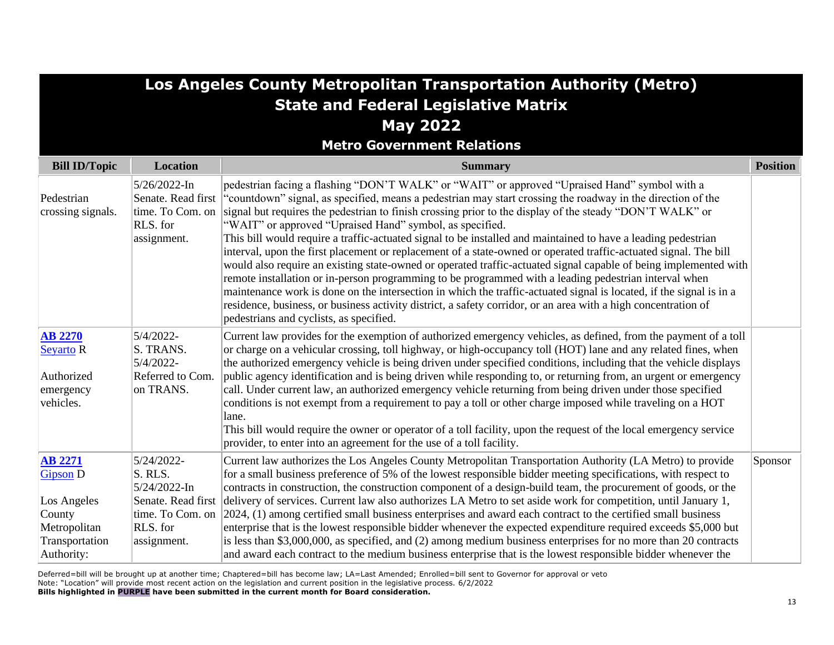| Los Angeles County Metropolitan Transportation Authority (Metro)                                           |                                                                                      |                                                                                                                                                                                                                                                                                                                                                                                                                                                                                                                                                                                                                                                                                                                                                                                                                                                                                                                                                                                                                                                                                                                                            |                 |
|------------------------------------------------------------------------------------------------------------|--------------------------------------------------------------------------------------|--------------------------------------------------------------------------------------------------------------------------------------------------------------------------------------------------------------------------------------------------------------------------------------------------------------------------------------------------------------------------------------------------------------------------------------------------------------------------------------------------------------------------------------------------------------------------------------------------------------------------------------------------------------------------------------------------------------------------------------------------------------------------------------------------------------------------------------------------------------------------------------------------------------------------------------------------------------------------------------------------------------------------------------------------------------------------------------------------------------------------------------------|-----------------|
|                                                                                                            |                                                                                      | <b>State and Federal Legislative Matrix</b>                                                                                                                                                                                                                                                                                                                                                                                                                                                                                                                                                                                                                                                                                                                                                                                                                                                                                                                                                                                                                                                                                                |                 |
|                                                                                                            |                                                                                      | <b>May 2022</b>                                                                                                                                                                                                                                                                                                                                                                                                                                                                                                                                                                                                                                                                                                                                                                                                                                                                                                                                                                                                                                                                                                                            |                 |
|                                                                                                            |                                                                                      | <b>Metro Government Relations</b>                                                                                                                                                                                                                                                                                                                                                                                                                                                                                                                                                                                                                                                                                                                                                                                                                                                                                                                                                                                                                                                                                                          |                 |
| <b>Bill ID/Topic</b>                                                                                       | <b>Location</b>                                                                      | <b>Summary</b>                                                                                                                                                                                                                                                                                                                                                                                                                                                                                                                                                                                                                                                                                                                                                                                                                                                                                                                                                                                                                                                                                                                             | <b>Position</b> |
| Pedestrian<br>crossing signals.                                                                            | $5/26/2022$ -In<br>Senate. Read first<br>time. To Com. on<br>RLS. for<br>assignment. | pedestrian facing a flashing "DON'T WALK" or "WAIT" or approved "Upraised Hand" symbol with a<br>"countdown" signal, as specified, means a pedestrian may start crossing the roadway in the direction of the<br>signal but requires the pedestrian to finish crossing prior to the display of the steady "DON'T WALK" or<br>"WAIT" or approved "Upraised Hand" symbol, as specified.<br>This bill would require a traffic-actuated signal to be installed and maintained to have a leading pedestrian<br>interval, upon the first placement or replacement of a state-owned or operated traffic-actuated signal. The bill<br>would also require an existing state-owned or operated traffic-actuated signal capable of being implemented with<br>remote installation or in-person programming to be programmed with a leading pedestrian interval when<br>maintenance work is done on the intersection in which the traffic-actuated signal is located, if the signal is in a<br>residence, business, or business activity district, a safety corridor, or an area with a high concentration of<br>pedestrians and cyclists, as specified. |                 |
| <b>AB 2270</b><br>Seyarto R<br>Authorized<br>emergency<br>vehicles.                                        | 5/4/2022-<br>S. TRANS.<br>5/4/2022-<br>Referred to Com.<br>on TRANS.                 | Current law provides for the exemption of authorized emergency vehicles, as defined, from the payment of a toll<br>or charge on a vehicular crossing, toll highway, or high-occupancy toll (HOT) lane and any related fines, when<br>the authorized emergency vehicle is being driven under specified conditions, including that the vehicle displays<br>public agency identification and is being driven while responding to, or returning from, an urgent or emergency<br>call. Under current law, an authorized emergency vehicle returning from being driven under those specified<br>conditions is not exempt from a requirement to pay a toll or other charge imposed while traveling on a HOT<br>lane.<br>This bill would require the owner or operator of a toll facility, upon the request of the local emergency service<br>provider, to enter into an agreement for the use of a toll facility.                                                                                                                                                                                                                                 |                 |
| <b>AB 2271</b><br><b>Gipson D</b><br>Los Angeles<br>County<br>Metropolitan<br>Transportation<br>Authority: | 5/24/2022-<br>S. RLS.<br>5/24/2022-In<br>RLS. for<br>assignment.                     | Current law authorizes the Los Angeles County Metropolitan Transportation Authority (LA Metro) to provide<br>for a small business preference of 5% of the lowest responsible bidder meeting specifications, with respect to<br>contracts in construction, the construction component of a design-build team, the procurement of goods, or the<br>Senate. Read first delivery of services. Current law also authorizes LA Metro to set aside work for competition, until January 1,<br>time. To Com. on $\vert 2024, (1)$ among certified small business enterprises and award each contract to the certified small business<br>enterprise that is the lowest responsible bidder whenever the expected expenditure required exceeds \$5,000 but<br>is less than \$3,000,000, as specified, and (2) among medium business enterprises for no more than 20 contracts<br>and award each contract to the medium business enterprise that is the lowest responsible bidder whenever the                                                                                                                                                          | Sponsor         |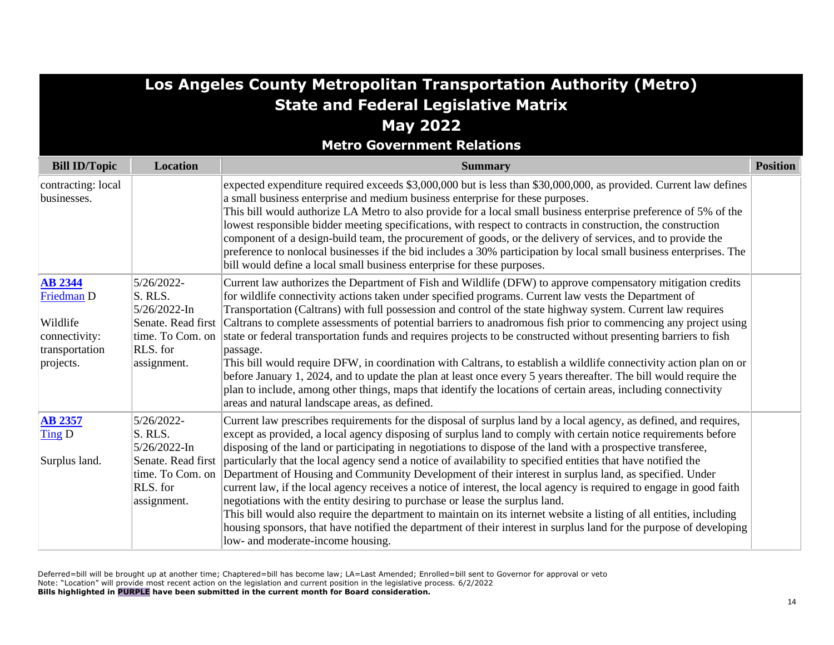|                                                                                                     |                                                                                                            | Los Angeles County Metropolitan Transportation Authority (Metro)                                                                                                                                                                                                                                                                                                                                                                                                                                                                                                                                                                                                                                                                                                                                                                                                                                                                                                                                                                                                           |                 |
|-----------------------------------------------------------------------------------------------------|------------------------------------------------------------------------------------------------------------|----------------------------------------------------------------------------------------------------------------------------------------------------------------------------------------------------------------------------------------------------------------------------------------------------------------------------------------------------------------------------------------------------------------------------------------------------------------------------------------------------------------------------------------------------------------------------------------------------------------------------------------------------------------------------------------------------------------------------------------------------------------------------------------------------------------------------------------------------------------------------------------------------------------------------------------------------------------------------------------------------------------------------------------------------------------------------|-----------------|
|                                                                                                     |                                                                                                            | <b>State and Federal Legislative Matrix</b>                                                                                                                                                                                                                                                                                                                                                                                                                                                                                                                                                                                                                                                                                                                                                                                                                                                                                                                                                                                                                                |                 |
|                                                                                                     |                                                                                                            | <b>May 2022</b>                                                                                                                                                                                                                                                                                                                                                                                                                                                                                                                                                                                                                                                                                                                                                                                                                                                                                                                                                                                                                                                            |                 |
|                                                                                                     |                                                                                                            | <b>Metro Government Relations</b>                                                                                                                                                                                                                                                                                                                                                                                                                                                                                                                                                                                                                                                                                                                                                                                                                                                                                                                                                                                                                                          |                 |
| <b>Bill ID/Topic</b>                                                                                | <b>Location</b>                                                                                            | <b>Summary</b>                                                                                                                                                                                                                                                                                                                                                                                                                                                                                                                                                                                                                                                                                                                                                                                                                                                                                                                                                                                                                                                             | <b>Position</b> |
| contracting: local<br>businesses.                                                                   |                                                                                                            | expected expenditure required exceeds \$3,000,000 but is less than \$30,000,000, as provided. Current law defines<br>a small business enterprise and medium business enterprise for these purposes.<br>This bill would authorize LA Metro to also provide for a local small business enterprise preference of 5% of the<br>lowest responsible bidder meeting specifications, with respect to contracts in construction, the construction<br>component of a design-build team, the procurement of goods, or the delivery of services, and to provide the<br>preference to nonlocal businesses if the bid includes a 30% participation by local small business enterprises. The<br>bill would define a local small business enterprise for these purposes.                                                                                                                                                                                                                                                                                                                   |                 |
| <b>AB 2344</b><br>Friedman <sub>D</sub><br>Wildlife<br>connectivity:<br>transportation<br>projects. | 5/26/2022-<br>S. RLS.<br>5/26/2022-In<br>time. To Com. on<br>RLS. for<br>assignment.                       | Current law authorizes the Department of Fish and Wildlife (DFW) to approve compensatory mitigation credits<br>for wildlife connectivity actions taken under specified programs. Current law vests the Department of<br>Transportation (Caltrans) with full possession and control of the state highway system. Current law requires<br>Senate. Read first Caltrans to complete assessments of potential barriers to anadromous fish prior to commencing any project using<br>state or federal transportation funds and requires projects to be constructed without presenting barriers to fish<br>passage.<br>This bill would require DFW, in coordination with Caltrans, to establish a wildlife connectivity action plan on or<br>before January 1, 2024, and to update the plan at least once every 5 years thereafter. The bill would require the<br>plan to include, among other things, maps that identify the locations of certain areas, including connectivity<br>areas and natural landscape areas, as defined.                                                 |                 |
| <b>AB 2357</b><br>Ting D<br>Surplus land.                                                           | 5/26/2022-<br>S. RLS.<br>5/26/2022-In<br>Senate. Read first<br>time. To Com. on<br>RLS. for<br>assignment. | Current law prescribes requirements for the disposal of surplus land by a local agency, as defined, and requires,<br>except as provided, a local agency disposing of surplus land to comply with certain notice requirements before<br>disposing of the land or participating in negotiations to dispose of the land with a prospective transferee,<br>particularly that the local agency send a notice of availability to specified entities that have notified the<br>Department of Housing and Community Development of their interest in surplus land, as specified. Under<br>current law, if the local agency receives a notice of interest, the local agency is required to engage in good faith<br>negotiations with the entity desiring to purchase or lease the surplus land.<br>This bill would also require the department to maintain on its internet website a listing of all entities, including<br>housing sponsors, that have notified the department of their interest in surplus land for the purpose of developing<br>low- and moderate-income housing. |                 |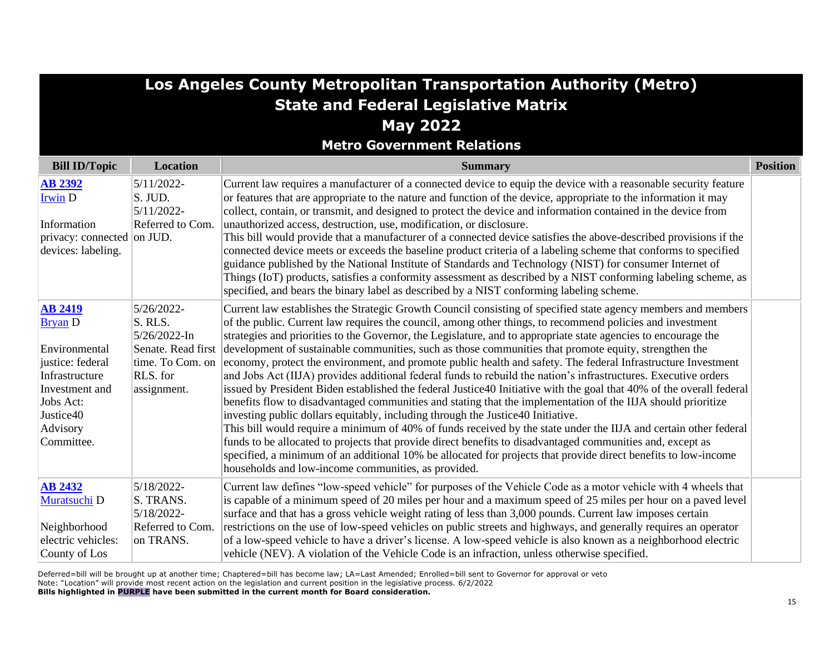| Los Angeles County Metropolitan Transportation Authority (Metro)                      |                                                                        |                                                                                                                                                                                                                                                                                                                                                                                                                                                                                                                                                                                                                                                                                    |                 |
|---------------------------------------------------------------------------------------|------------------------------------------------------------------------|------------------------------------------------------------------------------------------------------------------------------------------------------------------------------------------------------------------------------------------------------------------------------------------------------------------------------------------------------------------------------------------------------------------------------------------------------------------------------------------------------------------------------------------------------------------------------------------------------------------------------------------------------------------------------------|-----------------|
|                                                                                       |                                                                        | <b>State and Federal Legislative Matrix</b>                                                                                                                                                                                                                                                                                                                                                                                                                                                                                                                                                                                                                                        |                 |
|                                                                                       |                                                                        | <b>May 2022</b>                                                                                                                                                                                                                                                                                                                                                                                                                                                                                                                                                                                                                                                                    |                 |
|                                                                                       |                                                                        | <b>Metro Government Relations</b>                                                                                                                                                                                                                                                                                                                                                                                                                                                                                                                                                                                                                                                  |                 |
| <b>Bill ID/Topic</b>                                                                  | <b>Location</b>                                                        | <b>Summary</b>                                                                                                                                                                                                                                                                                                                                                                                                                                                                                                                                                                                                                                                                     | <b>Position</b> |
| <b>AB 2392</b><br><b>Irwin D</b><br>Information<br>privacy: connected on JUD.         | 5/11/2022-<br>$\vert$ S. JUD.<br>5/11/2022-<br>Referred to Com.        | Current law requires a manufacturer of a connected device to equip the device with a reasonable security feature<br>or features that are appropriate to the nature and function of the device, appropriate to the information it may<br>collect, contain, or transmit, and designed to protect the device and information contained in the device from<br>unauthorized access, destruction, use, modification, or disclosure.<br>This bill would provide that a manufacturer of a connected device satisfies the above-described provisions if the                                                                                                                                 |                 |
| devices: labeling.                                                                    |                                                                        | connected device meets or exceeds the baseline product criteria of a labeling scheme that conforms to specified<br>guidance published by the National Institute of Standards and Technology (NIST) for consumer Internet of<br>Things (IoT) products, satisfies a conformity assessment as described by a NIST conforming labeling scheme, as<br>specified, and bears the binary label as described by a NIST conforming labeling scheme.                                                                                                                                                                                                                                          |                 |
| <b>AB 2419</b><br><b>Bryan D</b>                                                      | 5/26/2022-<br>S. RLS.<br>5/26/2022-In                                  | Current law establishes the Strategic Growth Council consisting of specified state agency members and members<br>of the public. Current law requires the council, among other things, to recommend policies and investment<br>strategies and priorities to the Governor, the Legislature, and to appropriate state agencies to encourage the                                                                                                                                                                                                                                                                                                                                       |                 |
| Environmental<br>justice: federal<br>Infrastructure<br>Investment and                 | Senate. Read first<br>RLS. for<br>assignment.                          | development of sustainable communities, such as those communities that promote equity, strengthen the<br>time. To Com. on economy, protect the environment, and promote public health and safety. The federal Infrastructure Investment<br>and Jobs Act (IIJA) provides additional federal funds to rebuild the nation's infrastructures. Executive orders<br>issued by President Biden established the federal Justice 40 Initiative with the goal that 40% of the overall federal                                                                                                                                                                                                |                 |
| Jobs Act:<br>Justice40<br>Advisory<br>Committee.                                      |                                                                        | benefits flow to disadvantaged communities and stating that the implementation of the IIJA should prioritize<br>investing public dollars equitably, including through the Justice40 Initiative.<br>This bill would require a minimum of 40% of funds received by the state under the IIJA and certain other federal<br>funds to be allocated to projects that provide direct benefits to disadvantaged communities and, except as<br>specified, a minimum of an additional 10% be allocated for projects that provide direct benefits to low-income<br>households and low-income communities, as provided.                                                                         |                 |
| <b>AB 2432</b><br>Muratsuchi D<br>Neighborhood<br>electric vehicles:<br>County of Los | 5/18/2022-<br>S. TRANS.<br>5/18/2022-<br>Referred to Com.<br>on TRANS. | Current law defines "low-speed vehicle" for purposes of the Vehicle Code as a motor vehicle with 4 wheels that<br>is capable of a minimum speed of 20 miles per hour and a maximum speed of 25 miles per hour on a paved level<br>surface and that has a gross vehicle weight rating of less than 3,000 pounds. Current law imposes certain<br>restrictions on the use of low-speed vehicles on public streets and highways, and generally requires an operator<br>of a low-speed vehicle to have a driver's license. A low-speed vehicle is also known as a neighborhood electric<br>vehicle (NEV). A violation of the Vehicle Code is an infraction, unless otherwise specified. |                 |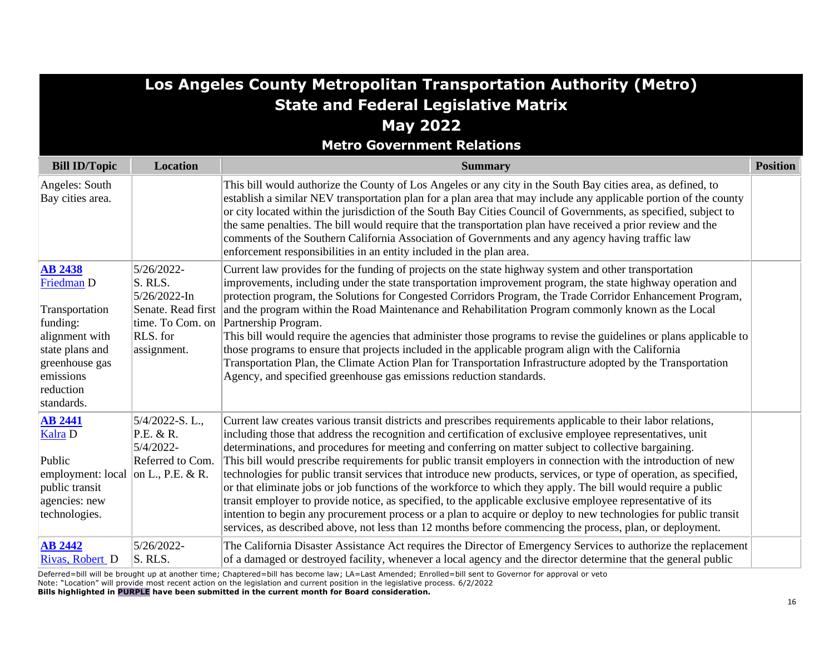| Los Angeles County Metropolitan Transportation Authority (Metro)                                                                                          |                                                                                                            |                                                                                                                                                                                                                                                                                                                                                                                                                                                                                                                                                                                                                                                                                                                                                                                                                                                                                                                                                                                                                                                  |                 |
|-----------------------------------------------------------------------------------------------------------------------------------------------------------|------------------------------------------------------------------------------------------------------------|--------------------------------------------------------------------------------------------------------------------------------------------------------------------------------------------------------------------------------------------------------------------------------------------------------------------------------------------------------------------------------------------------------------------------------------------------------------------------------------------------------------------------------------------------------------------------------------------------------------------------------------------------------------------------------------------------------------------------------------------------------------------------------------------------------------------------------------------------------------------------------------------------------------------------------------------------------------------------------------------------------------------------------------------------|-----------------|
|                                                                                                                                                           |                                                                                                            | <b>State and Federal Legislative Matrix</b>                                                                                                                                                                                                                                                                                                                                                                                                                                                                                                                                                                                                                                                                                                                                                                                                                                                                                                                                                                                                      |                 |
|                                                                                                                                                           |                                                                                                            | <b>May 2022</b>                                                                                                                                                                                                                                                                                                                                                                                                                                                                                                                                                                                                                                                                                                                                                                                                                                                                                                                                                                                                                                  |                 |
|                                                                                                                                                           |                                                                                                            | <b>Metro Government Relations</b>                                                                                                                                                                                                                                                                                                                                                                                                                                                                                                                                                                                                                                                                                                                                                                                                                                                                                                                                                                                                                |                 |
| <b>Bill ID/Topic</b>                                                                                                                                      | <b>Location</b>                                                                                            | <b>Summary</b>                                                                                                                                                                                                                                                                                                                                                                                                                                                                                                                                                                                                                                                                                                                                                                                                                                                                                                                                                                                                                                   | <b>Position</b> |
| Angeles: South<br>Bay cities area.                                                                                                                        |                                                                                                            | This bill would authorize the County of Los Angeles or any city in the South Bay cities area, as defined, to<br>establish a similar NEV transportation plan for a plan area that may include any applicable portion of the county<br>or city located within the jurisdiction of the South Bay Cities Council of Governments, as specified, subject to<br>the same penalties. The bill would require that the transportation plan have received a prior review and the<br>comments of the Southern California Association of Governments and any agency having traffic law<br>enforcement responsibilities in an entity included in the plan area.                                                                                                                                                                                                                                                                                                                                                                                                |                 |
| <b>AB 2438</b><br>Friedman D<br>Transportation<br>funding:<br>alignment with<br>state plans and<br>greenhouse gas<br>emissions<br>reduction<br>standards. | 5/26/2022-<br>S. RLS.<br>5/26/2022-In<br>Senate. Read first<br>time. To Com. on<br>RLS. for<br>assignment. | Current law provides for the funding of projects on the state highway system and other transportation<br>improvements, including under the state transportation improvement program, the state highway operation and<br>protection program, the Solutions for Congested Corridors Program, the Trade Corridor Enhancement Program,<br>and the program within the Road Maintenance and Rehabilitation Program commonly known as the Local<br>Partnership Program.<br>This bill would require the agencies that administer those programs to revise the guidelines or plans applicable to<br>those programs to ensure that projects included in the applicable program align with the California<br>Transportation Plan, the Climate Action Plan for Transportation Infrastructure adopted by the Transportation<br>Agency, and specified greenhouse gas emissions reduction standards.                                                                                                                                                            |                 |
| <b>AB 2441</b><br>Kalra D<br>Public<br>employment: local<br>public transit<br>agencies: new<br>technologies.                                              | $5/4/2022-S. L.,$<br>P.E. & R.<br>5/4/2022-<br>Referred to Com.<br>on L., P.E. & R.                        | Current law creates various transit districts and prescribes requirements applicable to their labor relations,<br>including those that address the recognition and certification of exclusive employee representatives, unit<br>determinations, and procedures for meeting and conferring on matter subject to collective bargaining.<br>This bill would prescribe requirements for public transit employers in connection with the introduction of new<br>technologies for public transit services that introduce new products, services, or type of operation, as specified,<br>or that eliminate jobs or job functions of the workforce to which they apply. The bill would require a public<br>transit employer to provide notice, as specified, to the applicable exclusive employee representative of its<br>intention to begin any procurement process or a plan to acquire or deploy to new technologies for public transit<br>services, as described above, not less than 12 months before commencing the process, plan, or deployment. |                 |
| <b>AB 2442</b><br>Rivas, Robert D                                                                                                                         | 5/26/2022-<br>S. RLS.                                                                                      | The California Disaster Assistance Act requires the Director of Emergency Services to authorize the replacement<br>of a damaged or destroyed facility, whenever a local agency and the director determine that the general public                                                                                                                                                                                                                                                                                                                                                                                                                                                                                                                                                                                                                                                                                                                                                                                                                |                 |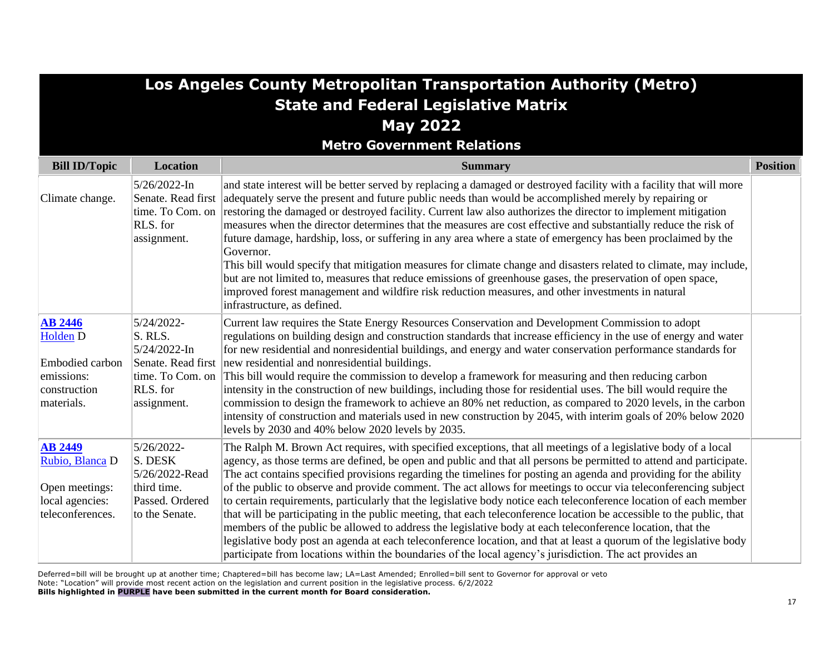| Los Angeles County Metropolitan Transportation Authority (Metro)                           |                                                                                                               |                                                                                                                                                                                                                                                                                                                                                                                                                                                                                                                                                                                                                                                                                                                                                                                                                                                                                                                                                                                                                                                                               |                 |
|--------------------------------------------------------------------------------------------|---------------------------------------------------------------------------------------------------------------|-------------------------------------------------------------------------------------------------------------------------------------------------------------------------------------------------------------------------------------------------------------------------------------------------------------------------------------------------------------------------------------------------------------------------------------------------------------------------------------------------------------------------------------------------------------------------------------------------------------------------------------------------------------------------------------------------------------------------------------------------------------------------------------------------------------------------------------------------------------------------------------------------------------------------------------------------------------------------------------------------------------------------------------------------------------------------------|-----------------|
|                                                                                            |                                                                                                               | <b>State and Federal Legislative Matrix</b>                                                                                                                                                                                                                                                                                                                                                                                                                                                                                                                                                                                                                                                                                                                                                                                                                                                                                                                                                                                                                                   |                 |
|                                                                                            |                                                                                                               | <b>May 2022</b>                                                                                                                                                                                                                                                                                                                                                                                                                                                                                                                                                                                                                                                                                                                                                                                                                                                                                                                                                                                                                                                               |                 |
|                                                                                            |                                                                                                               | <b>Metro Government Relations</b>                                                                                                                                                                                                                                                                                                                                                                                                                                                                                                                                                                                                                                                                                                                                                                                                                                                                                                                                                                                                                                             |                 |
| <b>Bill ID/Topic</b>                                                                       | <b>Location</b>                                                                                               | <b>Summary</b>                                                                                                                                                                                                                                                                                                                                                                                                                                                                                                                                                                                                                                                                                                                                                                                                                                                                                                                                                                                                                                                                | <b>Position</b> |
| Climate change.                                                                            | 5/26/2022-In<br>Senate. Read first<br>time. To Com. on<br>RLS. for<br>assignment.                             | and state interest will be better served by replacing a damaged or destroyed facility with a facility that will more<br>adequately serve the present and future public needs than would be accomplished merely by repairing or<br>restoring the damaged or destroyed facility. Current law also authorizes the director to implement mitigation<br>measures when the director determines that the measures are cost effective and substantially reduce the risk of<br>future damage, hardship, loss, or suffering in any area where a state of emergency has been proclaimed by the<br>Governor.<br>This bill would specify that mitigation measures for climate change and disasters related to climate, may include,<br>but are not limited to, measures that reduce emissions of greenhouse gases, the preservation of open space,<br>improved forest management and wildfire risk reduction measures, and other investments in natural<br>infrastructure, as defined.                                                                                                     |                 |
| <b>AB 2446</b><br>Holden D<br>Embodied carbon<br>emissions:<br>construction<br>materials.  | 5/24/2022-<br>S. RLS.<br>$5/24/2022$ -In<br>Senate. Read first<br>time. To Com. on<br>RLS. for<br>assignment. | Current law requires the State Energy Resources Conservation and Development Commission to adopt<br>regulations on building design and construction standards that increase efficiency in the use of energy and water<br>for new residential and nonresidential buildings, and energy and water conservation performance standards for<br>new residential and nonresidential buildings.<br>This bill would require the commission to develop a framework for measuring and then reducing carbon<br>intensity in the construction of new buildings, including those for residential uses. The bill would require the<br>commission to design the framework to achieve an 80% net reduction, as compared to 2020 levels, in the carbon<br>intensity of construction and materials used in new construction by 2045, with interim goals of 20% below 2020<br>levels by 2030 and 40% below 2020 levels by 2035.                                                                                                                                                                   |                 |
| <b>AB 2449</b><br>Rubio, Blanca D<br>Open meetings:<br>local agencies:<br>teleconferences. | 5/26/2022-<br>S. DESK<br>5/26/2022-Read<br>third time.<br>Passed. Ordered<br>to the Senate.                   | The Ralph M. Brown Act requires, with specified exceptions, that all meetings of a legislative body of a local<br>agency, as those terms are defined, be open and public and that all persons be permitted to attend and participate.<br>The act contains specified provisions regarding the timelines for posting an agenda and providing for the ability<br>of the public to observe and provide comment. The act allows for meetings to occur via teleconferencing subject<br>to certain requirements, particularly that the legislative body notice each teleconference location of each member<br>that will be participating in the public meeting, that each teleconference location be accessible to the public, that<br>members of the public be allowed to address the legislative body at each teleconference location, that the<br>legislative body post an agenda at each teleconference location, and that at least a quorum of the legislative body<br>participate from locations within the boundaries of the local agency's jurisdiction. The act provides an |                 |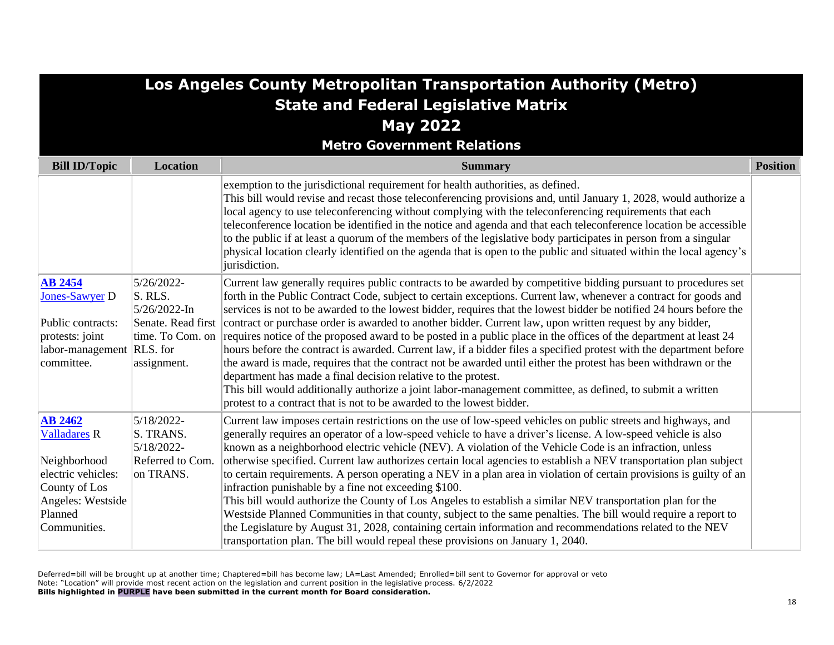| Los Angeles County Metropolitan Transportation Authority (Metro)                                                                             |                                                                                                |                                                                                                                                                                                                                                                                                                                                                                                                                                                                                                                                                                                                                                                                                                                                                                                                                                                                                                                                                                                                                                                                                                |                 |
|----------------------------------------------------------------------------------------------------------------------------------------------|------------------------------------------------------------------------------------------------|------------------------------------------------------------------------------------------------------------------------------------------------------------------------------------------------------------------------------------------------------------------------------------------------------------------------------------------------------------------------------------------------------------------------------------------------------------------------------------------------------------------------------------------------------------------------------------------------------------------------------------------------------------------------------------------------------------------------------------------------------------------------------------------------------------------------------------------------------------------------------------------------------------------------------------------------------------------------------------------------------------------------------------------------------------------------------------------------|-----------------|
|                                                                                                                                              |                                                                                                | <b>State and Federal Legislative Matrix</b>                                                                                                                                                                                                                                                                                                                                                                                                                                                                                                                                                                                                                                                                                                                                                                                                                                                                                                                                                                                                                                                    |                 |
|                                                                                                                                              |                                                                                                | <b>May 2022</b>                                                                                                                                                                                                                                                                                                                                                                                                                                                                                                                                                                                                                                                                                                                                                                                                                                                                                                                                                                                                                                                                                |                 |
|                                                                                                                                              |                                                                                                | <b>Metro Government Relations</b>                                                                                                                                                                                                                                                                                                                                                                                                                                                                                                                                                                                                                                                                                                                                                                                                                                                                                                                                                                                                                                                              |                 |
| <b>Bill ID/Topic</b>                                                                                                                         | <b>Location</b>                                                                                | <b>Summary</b>                                                                                                                                                                                                                                                                                                                                                                                                                                                                                                                                                                                                                                                                                                                                                                                                                                                                                                                                                                                                                                                                                 | <b>Position</b> |
|                                                                                                                                              |                                                                                                | exemption to the jurisdictional requirement for health authorities, as defined.<br>This bill would revise and recast those teleconferencing provisions and, until January 1, 2028, would authorize a<br>local agency to use teleconferencing without complying with the teleconferencing requirements that each<br>teleconference location be identified in the notice and agenda and that each teleconference location be accessible<br>to the public if at least a quorum of the members of the legislative body participates in person from a singular<br>physical location clearly identified on the agenda that is open to the public and situated within the local agency's<br>jurisdiction.                                                                                                                                                                                                                                                                                                                                                                                             |                 |
| <b>AB 2454</b><br>Jones-Sawyer D<br>Public contracts:<br>protests: joint<br>labor-management RLS. for<br>committee.                          | 5/26/2022-<br>S. RLS.<br>5/26/2022-In<br>Senate. Read first<br>time. To Com. on<br>assignment. | Current law generally requires public contracts to be awarded by competitive bidding pursuant to procedures set<br>forth in the Public Contract Code, subject to certain exceptions. Current law, whenever a contract for goods and<br>services is not to be awarded to the lowest bidder, requires that the lowest bidder be notified 24 hours before the<br>contract or purchase order is awarded to another bidder. Current law, upon written request by any bidder,<br>requires notice of the proposed award to be posted in a public place in the offices of the department at least 24<br>hours before the contract is awarded. Current law, if a bidder files a specified protest with the department before<br>the award is made, requires that the contract not be awarded until either the protest has been withdrawn or the<br>department has made a final decision relative to the protest.<br>This bill would additionally authorize a joint labor-management committee, as defined, to submit a written<br>protest to a contract that is not to be awarded to the lowest bidder. |                 |
| <b>AB 2462</b><br><b>Valladares R</b><br>Neighborhood<br>electric vehicles:<br>County of Los<br>Angeles: Westside<br>Planned<br>Communities. | 5/18/2022-<br>S. TRANS.<br>5/18/2022-<br>Referred to Com.<br>on TRANS.                         | Current law imposes certain restrictions on the use of low-speed vehicles on public streets and highways, and<br>generally requires an operator of a low-speed vehicle to have a driver's license. A low-speed vehicle is also<br>known as a neighborhood electric vehicle (NEV). A violation of the Vehicle Code is an infraction, unless<br>otherwise specified. Current law authorizes certain local agencies to establish a NEV transportation plan subject<br>to certain requirements. A person operating a NEV in a plan area in violation of certain provisions is guilty of an<br>infraction punishable by a fine not exceeding \$100.<br>This bill would authorize the County of Los Angeles to establish a similar NEV transportation plan for the<br>Westside Planned Communities in that county, subject to the same penalties. The bill would require a report to<br>the Legislature by August 31, 2028, containing certain information and recommendations related to the NEV<br>transportation plan. The bill would repeal these provisions on January 1, 2040.                 |                 |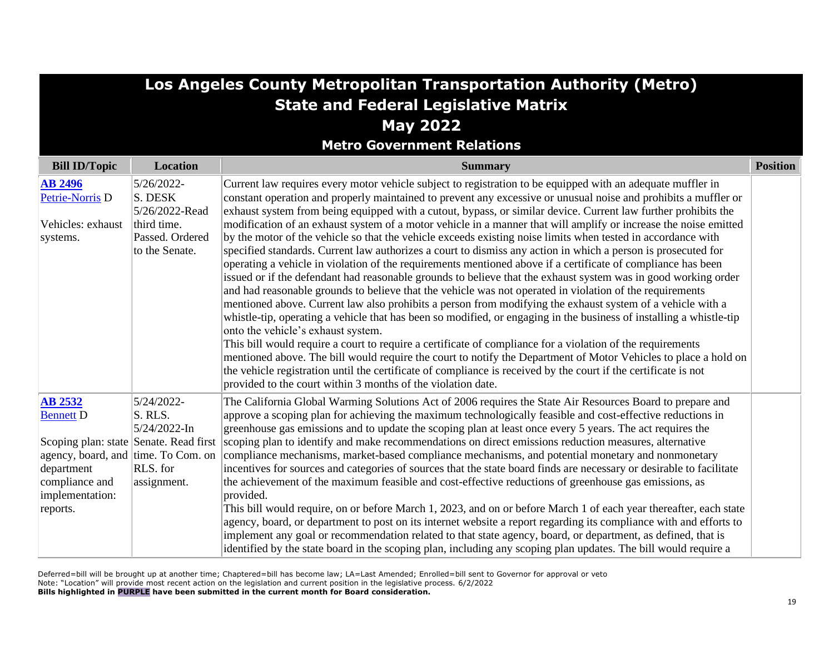| Los Angeles County Metropolitan Transportation Authority (Metro)   |                                                                                             |                                                                                                                                                                                                                                                                                                                                                                                                                                                                                                                                                                                                                                                                                                                                                                                                                                                                                                                                                                                                                                                                                                                                                                                                                                                                                                                                                                                                                                              |                 |
|--------------------------------------------------------------------|---------------------------------------------------------------------------------------------|----------------------------------------------------------------------------------------------------------------------------------------------------------------------------------------------------------------------------------------------------------------------------------------------------------------------------------------------------------------------------------------------------------------------------------------------------------------------------------------------------------------------------------------------------------------------------------------------------------------------------------------------------------------------------------------------------------------------------------------------------------------------------------------------------------------------------------------------------------------------------------------------------------------------------------------------------------------------------------------------------------------------------------------------------------------------------------------------------------------------------------------------------------------------------------------------------------------------------------------------------------------------------------------------------------------------------------------------------------------------------------------------------------------------------------------------|-----------------|
|                                                                    |                                                                                             | <b>State and Federal Legislative Matrix</b>                                                                                                                                                                                                                                                                                                                                                                                                                                                                                                                                                                                                                                                                                                                                                                                                                                                                                                                                                                                                                                                                                                                                                                                                                                                                                                                                                                                                  |                 |
|                                                                    |                                                                                             | <b>May 2022</b>                                                                                                                                                                                                                                                                                                                                                                                                                                                                                                                                                                                                                                                                                                                                                                                                                                                                                                                                                                                                                                                                                                                                                                                                                                                                                                                                                                                                                              |                 |
|                                                                    |                                                                                             | <b>Metro Government Relations</b>                                                                                                                                                                                                                                                                                                                                                                                                                                                                                                                                                                                                                                                                                                                                                                                                                                                                                                                                                                                                                                                                                                                                                                                                                                                                                                                                                                                                            |                 |
| <b>Bill ID/Topic</b>                                               | <b>Location</b>                                                                             | <b>Summary</b>                                                                                                                                                                                                                                                                                                                                                                                                                                                                                                                                                                                                                                                                                                                                                                                                                                                                                                                                                                                                                                                                                                                                                                                                                                                                                                                                                                                                                               | <b>Position</b> |
| <b>AB 2496</b><br>Petrie-Norris D<br>Vehicles: exhaust<br>systems. | 5/26/2022-<br>S. DESK<br>5/26/2022-Read<br>third time.<br>Passed. Ordered<br>to the Senate. | Current law requires every motor vehicle subject to registration to be equipped with an adequate muffler in<br>constant operation and properly maintained to prevent any excessive or unusual noise and prohibits a muffler or<br>exhaust system from being equipped with a cutout, bypass, or similar device. Current law further prohibits the<br>modification of an exhaust system of a motor vehicle in a manner that will amplify or increase the noise emitted<br>by the motor of the vehicle so that the vehicle exceeds existing noise limits when tested in accordance with<br>specified standards. Current law authorizes a court to dismiss any action in which a person is prosecuted for<br>operating a vehicle in violation of the requirements mentioned above if a certificate of compliance has been<br>issued or if the defendant had reasonable grounds to believe that the exhaust system was in good working order<br>and had reasonable grounds to believe that the vehicle was not operated in violation of the requirements<br>mentioned above. Current law also prohibits a person from modifying the exhaust system of a vehicle with a<br>whistle-tip, operating a vehicle that has been so modified, or engaging in the business of installing a whistle-tip<br>onto the vehicle's exhaust system.<br>This bill would require a court to require a certificate of compliance for a violation of the requirements |                 |
|                                                                    |                                                                                             | mentioned above. The bill would require the court to notify the Department of Motor Vehicles to place a hold on<br>the vehicle registration until the certificate of compliance is received by the court if the certificate is not<br>provided to the court within 3 months of the violation date.                                                                                                                                                                                                                                                                                                                                                                                                                                                                                                                                                                                                                                                                                                                                                                                                                                                                                                                                                                                                                                                                                                                                           |                 |
| <b>AB 2532</b><br><b>Bennett D</b>                                 | 5/24/2022-<br>S. RLS.<br>5/24/2022-In                                                       | The California Global Warming Solutions Act of 2006 requires the State Air Resources Board to prepare and<br>approve a scoping plan for achieving the maximum technologically feasible and cost-effective reductions in<br>greenhouse gas emissions and to update the scoping plan at least once every 5 years. The act requires the                                                                                                                                                                                                                                                                                                                                                                                                                                                                                                                                                                                                                                                                                                                                                                                                                                                                                                                                                                                                                                                                                                         |                 |
| Scoping plan: state Senate. Read first                             |                                                                                             | scoping plan to identify and make recommendations on direct emissions reduction measures, alternative                                                                                                                                                                                                                                                                                                                                                                                                                                                                                                                                                                                                                                                                                                                                                                                                                                                                                                                                                                                                                                                                                                                                                                                                                                                                                                                                        |                 |
| agency, board, and time. To Com. on<br>department                  | RLS. for                                                                                    | compliance mechanisms, market-based compliance mechanisms, and potential monetary and nonmonetary<br>incentives for sources and categories of sources that the state board finds are necessary or desirable to facilitate                                                                                                                                                                                                                                                                                                                                                                                                                                                                                                                                                                                                                                                                                                                                                                                                                                                                                                                                                                                                                                                                                                                                                                                                                    |                 |
| compliance and                                                     | assignment.                                                                                 | the achievement of the maximum feasible and cost-effective reductions of greenhouse gas emissions, as                                                                                                                                                                                                                                                                                                                                                                                                                                                                                                                                                                                                                                                                                                                                                                                                                                                                                                                                                                                                                                                                                                                                                                                                                                                                                                                                        |                 |
| implementation:                                                    |                                                                                             | provided.                                                                                                                                                                                                                                                                                                                                                                                                                                                                                                                                                                                                                                                                                                                                                                                                                                                                                                                                                                                                                                                                                                                                                                                                                                                                                                                                                                                                                                    |                 |
| reports.                                                           |                                                                                             | This bill would require, on or before March 1, 2023, and on or before March 1 of each year thereafter, each state                                                                                                                                                                                                                                                                                                                                                                                                                                                                                                                                                                                                                                                                                                                                                                                                                                                                                                                                                                                                                                                                                                                                                                                                                                                                                                                            |                 |
|                                                                    |                                                                                             | agency, board, or department to post on its internet website a report regarding its compliance with and efforts to<br>implement any goal or recommendation related to that state agency, board, or department, as defined, that is<br>identified by the state board in the scoping plan, including any scoping plan updates. The bill would require a                                                                                                                                                                                                                                                                                                                                                                                                                                                                                                                                                                                                                                                                                                                                                                                                                                                                                                                                                                                                                                                                                        |                 |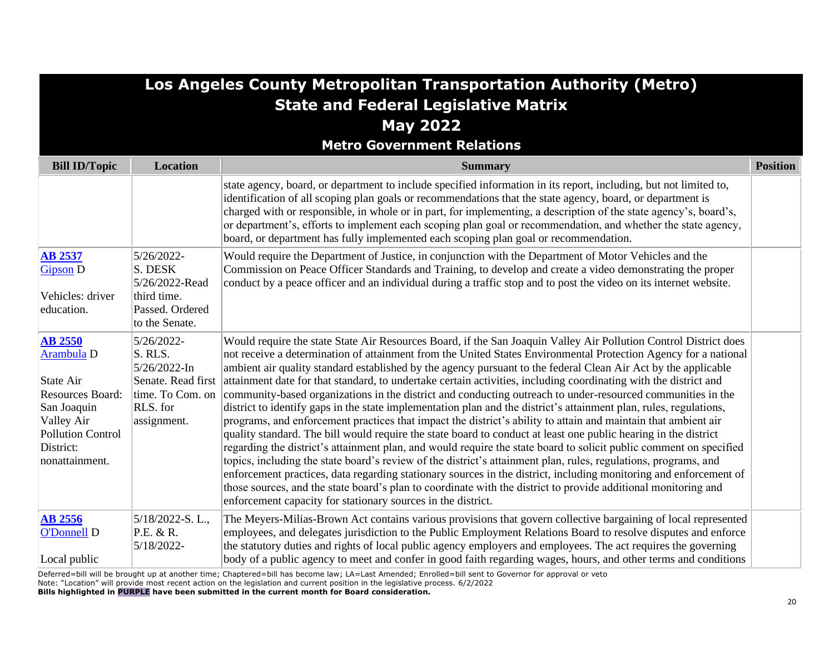|                                                                                                                                                       | Los Angeles County Metropolitan Transportation Authority (Metro)<br><b>State and Federal Legislative Matrix</b> |                                                                                                                                                                                                                                                                                                                                                                                                                                                                                                                                                                                                                                                                                                                                                                                                                                                                                                                                                                                                                                                                                                                                                                                                                                                                                                                                                                                                                                                                                                     |                 |  |
|-------------------------------------------------------------------------------------------------------------------------------------------------------|-----------------------------------------------------------------------------------------------------------------|-----------------------------------------------------------------------------------------------------------------------------------------------------------------------------------------------------------------------------------------------------------------------------------------------------------------------------------------------------------------------------------------------------------------------------------------------------------------------------------------------------------------------------------------------------------------------------------------------------------------------------------------------------------------------------------------------------------------------------------------------------------------------------------------------------------------------------------------------------------------------------------------------------------------------------------------------------------------------------------------------------------------------------------------------------------------------------------------------------------------------------------------------------------------------------------------------------------------------------------------------------------------------------------------------------------------------------------------------------------------------------------------------------------------------------------------------------------------------------------------------------|-----------------|--|
|                                                                                                                                                       |                                                                                                                 | <b>May 2022</b>                                                                                                                                                                                                                                                                                                                                                                                                                                                                                                                                                                                                                                                                                                                                                                                                                                                                                                                                                                                                                                                                                                                                                                                                                                                                                                                                                                                                                                                                                     |                 |  |
|                                                                                                                                                       |                                                                                                                 | <b>Metro Government Relations</b>                                                                                                                                                                                                                                                                                                                                                                                                                                                                                                                                                                                                                                                                                                                                                                                                                                                                                                                                                                                                                                                                                                                                                                                                                                                                                                                                                                                                                                                                   |                 |  |
| <b>Bill ID/Topic</b>                                                                                                                                  | <b>Location</b>                                                                                                 | <b>Summary</b>                                                                                                                                                                                                                                                                                                                                                                                                                                                                                                                                                                                                                                                                                                                                                                                                                                                                                                                                                                                                                                                                                                                                                                                                                                                                                                                                                                                                                                                                                      | <b>Position</b> |  |
|                                                                                                                                                       |                                                                                                                 | state agency, board, or department to include specified information in its report, including, but not limited to,<br>identification of all scoping plan goals or recommendations that the state agency, board, or department is<br>charged with or responsible, in whole or in part, for implementing, a description of the state agency's, board's,<br>or department's, efforts to implement each scoping plan goal or recommendation, and whether the state agency,<br>board, or department has fully implemented each scoping plan goal or recommendation.                                                                                                                                                                                                                                                                                                                                                                                                                                                                                                                                                                                                                                                                                                                                                                                                                                                                                                                                       |                 |  |
| <b>AB 2537</b><br><b>Gipson D</b><br>Vehicles: driver<br>education.                                                                                   | 5/26/2022-<br>S. DESK<br>5/26/2022-Read<br>third time.<br>Passed. Ordered<br>to the Senate.                     | Would require the Department of Justice, in conjunction with the Department of Motor Vehicles and the<br>Commission on Peace Officer Standards and Training, to develop and create a video demonstrating the proper<br>conduct by a peace officer and an individual during a traffic stop and to post the video on its internet website.                                                                                                                                                                                                                                                                                                                                                                                                                                                                                                                                                                                                                                                                                                                                                                                                                                                                                                                                                                                                                                                                                                                                                            |                 |  |
| <b>AB 2550</b><br>Arambula D<br>State Air<br>Resources Board:<br>San Joaquin<br>Valley Air<br><b>Pollution Control</b><br>District:<br>nonattainment. | 5/26/2022-<br>S. RLS.<br>5/26/2022-In<br>Senate. Read first<br>time. To Com. on<br>RLS. for<br>assignment.      | Would require the state State Air Resources Board, if the San Joaquin Valley Air Pollution Control District does<br>not receive a determination of attainment from the United States Environmental Protection Agency for a national<br>ambient air quality standard established by the agency pursuant to the federal Clean Air Act by the applicable<br>attainment date for that standard, to undertake certain activities, including coordinating with the district and<br>community-based organizations in the district and conducting outreach to under-resourced communities in the<br>district to identify gaps in the state implementation plan and the district's attainment plan, rules, regulations,<br>programs, and enforcement practices that impact the district's ability to attain and maintain that ambient air<br>quality standard. The bill would require the state board to conduct at least one public hearing in the district<br>regarding the district's attainment plan, and would require the state board to solicit public comment on specified<br>topics, including the state board's review of the district's attainment plan, rules, regulations, programs, and<br>enforcement practices, data regarding stationary sources in the district, including monitoring and enforcement of<br>those sources, and the state board's plan to coordinate with the district to provide additional monitoring and<br>enforcement capacity for stationary sources in the district. |                 |  |
| <b>AB 2556</b><br>O'Donnell D<br>Local public                                                                                                         | 5/18/2022-S.L.,<br>P.E. & R.<br>5/18/2022-                                                                      | The Meyers-Milias-Brown Act contains various provisions that govern collective bargaining of local represented<br>employees, and delegates jurisdiction to the Public Employment Relations Board to resolve disputes and enforce<br>the statutory duties and rights of local public agency employers and employees. The act requires the governing<br>body of a public agency to meet and confer in good faith regarding wages, hours, and other terms and conditions                                                                                                                                                                                                                                                                                                                                                                                                                                                                                                                                                                                                                                                                                                                                                                                                                                                                                                                                                                                                                               |                 |  |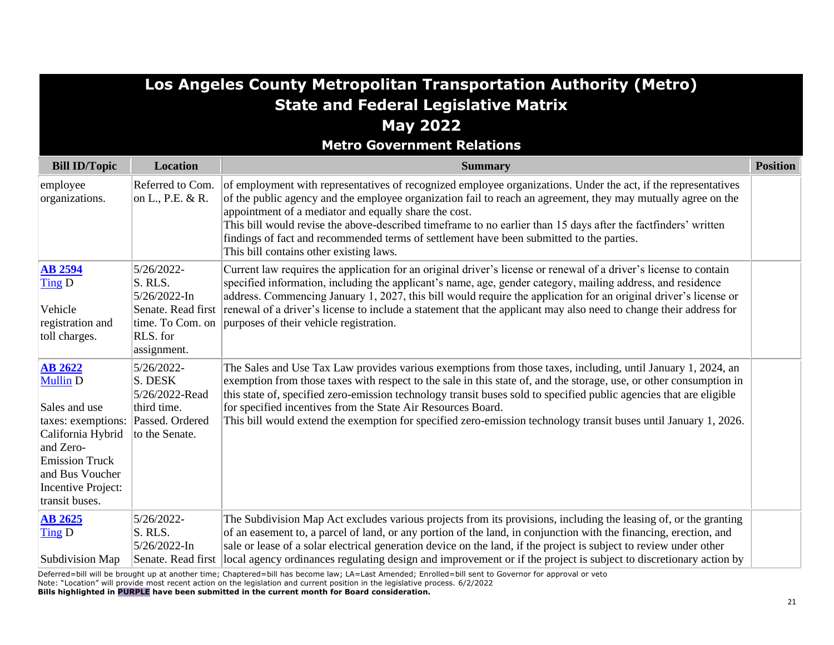|                                                                                                                                                                                                       |                                                                                                            | Los Angeles County Metropolitan Transportation Authority (Metro)                                                                                                                                                                                                                                                                                                                                                                                                                                                                                  |                 |
|-------------------------------------------------------------------------------------------------------------------------------------------------------------------------------------------------------|------------------------------------------------------------------------------------------------------------|---------------------------------------------------------------------------------------------------------------------------------------------------------------------------------------------------------------------------------------------------------------------------------------------------------------------------------------------------------------------------------------------------------------------------------------------------------------------------------------------------------------------------------------------------|-----------------|
|                                                                                                                                                                                                       |                                                                                                            | <b>State and Federal Legislative Matrix</b>                                                                                                                                                                                                                                                                                                                                                                                                                                                                                                       |                 |
|                                                                                                                                                                                                       |                                                                                                            | <b>May 2022</b>                                                                                                                                                                                                                                                                                                                                                                                                                                                                                                                                   |                 |
|                                                                                                                                                                                                       |                                                                                                            | <b>Metro Government Relations</b>                                                                                                                                                                                                                                                                                                                                                                                                                                                                                                                 |                 |
| <b>Bill ID/Topic</b>                                                                                                                                                                                  | <b>Location</b>                                                                                            | <b>Summary</b>                                                                                                                                                                                                                                                                                                                                                                                                                                                                                                                                    | <b>Position</b> |
| employee<br>organizations.                                                                                                                                                                            | Referred to Com.<br>on L., P.E. & R.                                                                       | of employment with representatives of recognized employee organizations. Under the act, if the representatives<br>of the public agency and the employee organization fail to reach an agreement, they may mutually agree on the<br>appointment of a mediator and equally share the cost.<br>This bill would revise the above-described timeframe to no earlier than 15 days after the factfinders' written<br>findings of fact and recommended terms of settlement have been submitted to the parties.<br>This bill contains other existing laws. |                 |
| <b>AB 2594</b><br>Ting D<br>Vehicle<br>registration and<br>toll charges.                                                                                                                              | 5/26/2022-<br>S. RLS.<br>5/26/2022-In<br>Senate. Read first<br>time. To Com. on<br>RLS. for<br>assignment. | Current law requires the application for an original driver's license or renewal of a driver's license to contain<br>specified information, including the applicant's name, age, gender category, mailing address, and residence<br>address. Commencing January 1, 2027, this bill would require the application for an original driver's license or<br>renewal of a driver's license to include a statement that the applicant may also need to change their address for<br>purposes of their vehicle registration.                              |                 |
| <b>AB 2622</b><br><b>Mullin D</b><br>Sales and use<br>taxes: exemptions:<br>California Hybrid<br>and Zero-<br><b>Emission Truck</b><br>and Bus Voucher<br><b>Incentive Project:</b><br>transit buses. | 5/26/2022-<br>S. DESK<br>5/26/2022-Read<br>third time.<br>Passed. Ordered<br>to the Senate.                | The Sales and Use Tax Law provides various exemptions from those taxes, including, until January 1, 2024, an<br>exemption from those taxes with respect to the sale in this state of, and the storage, use, or other consumption in<br>this state of, specified zero-emission technology transit buses sold to specified public agencies that are eligible<br>for specified incentives from the State Air Resources Board.<br>This bill would extend the exemption for specified zero-emission technology transit buses until January 1, 2026.    |                 |
| <b>AB 2625</b><br>$\overline{\text{Ting}}$ D<br>Subdivision Map                                                                                                                                       | 5/26/2022-<br>S. RLS.<br>5/26/2022-In<br>Senate. Read first                                                | The Subdivision Map Act excludes various projects from its provisions, including the leasing of, or the granting<br>of an easement to, a parcel of land, or any portion of the land, in conjunction with the financing, erection, and<br>sale or lease of a solar electrical generation device on the land, if the project is subject to review under other<br>local agency ordinances regulating design and improvement or if the project is subject to discretionary action by                                                                  |                 |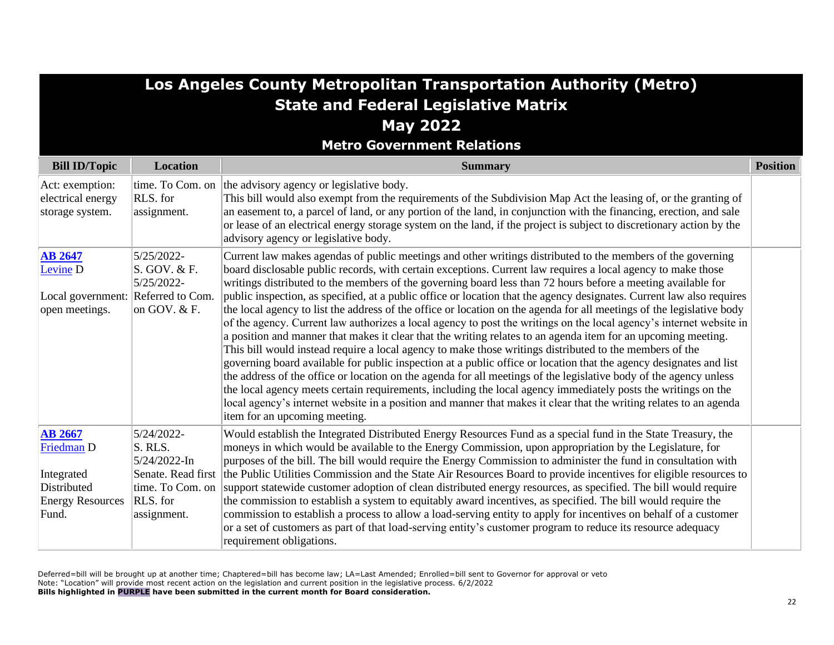| Los Angeles County Metropolitan Transportation Authority (Metro)                              |                                                                                      |                                                                                                                                                                                                                                                                                                                                                                                                                                                                                                                                                                                                                                                                                                                                                                                                                                                                                                                                                                                                                                                                                                                                                                                                                                                                                                                                                                                                                                                                     |                 |
|-----------------------------------------------------------------------------------------------|--------------------------------------------------------------------------------------|---------------------------------------------------------------------------------------------------------------------------------------------------------------------------------------------------------------------------------------------------------------------------------------------------------------------------------------------------------------------------------------------------------------------------------------------------------------------------------------------------------------------------------------------------------------------------------------------------------------------------------------------------------------------------------------------------------------------------------------------------------------------------------------------------------------------------------------------------------------------------------------------------------------------------------------------------------------------------------------------------------------------------------------------------------------------------------------------------------------------------------------------------------------------------------------------------------------------------------------------------------------------------------------------------------------------------------------------------------------------------------------------------------------------------------------------------------------------|-----------------|
|                                                                                               |                                                                                      | <b>State and Federal Legislative Matrix</b>                                                                                                                                                                                                                                                                                                                                                                                                                                                                                                                                                                                                                                                                                                                                                                                                                                                                                                                                                                                                                                                                                                                                                                                                                                                                                                                                                                                                                         |                 |
|                                                                                               |                                                                                      | <b>May 2022</b>                                                                                                                                                                                                                                                                                                                                                                                                                                                                                                                                                                                                                                                                                                                                                                                                                                                                                                                                                                                                                                                                                                                                                                                                                                                                                                                                                                                                                                                     |                 |
|                                                                                               |                                                                                      | <b>Metro Government Relations</b>                                                                                                                                                                                                                                                                                                                                                                                                                                                                                                                                                                                                                                                                                                                                                                                                                                                                                                                                                                                                                                                                                                                                                                                                                                                                                                                                                                                                                                   |                 |
| <b>Bill ID/Topic</b>                                                                          | <b>Location</b>                                                                      | <b>Summary</b>                                                                                                                                                                                                                                                                                                                                                                                                                                                                                                                                                                                                                                                                                                                                                                                                                                                                                                                                                                                                                                                                                                                                                                                                                                                                                                                                                                                                                                                      | <b>Position</b> |
| Act: exemption:<br>electrical energy<br>storage system.                                       | RLS. for<br>assignment.                                                              | time. To Com. on the advisory agency or legislative body.<br>This bill would also exempt from the requirements of the Subdivision Map Act the leasing of, or the granting of<br>an easement to, a parcel of land, or any portion of the land, in conjunction with the financing, erection, and sale<br>or lease of an electrical energy storage system on the land, if the project is subject to discretionary action by the<br>advisory agency or legislative body.                                                                                                                                                                                                                                                                                                                                                                                                                                                                                                                                                                                                                                                                                                                                                                                                                                                                                                                                                                                                |                 |
| <b>AB 2647</b><br>Levine <sub>D</sub><br>Local government: Referred to Com.<br>open meetings. | 5/25/2022-<br>S. GOV. & F.<br>5/25/2022-<br>on GOV. $&$ F.                           | Current law makes agendas of public meetings and other writings distributed to the members of the governing<br>board disclosable public records, with certain exceptions. Current law requires a local agency to make those<br>writings distributed to the members of the governing board less than 72 hours before a meeting available for<br>public inspection, as specified, at a public office or location that the agency designates. Current law also requires<br>the local agency to list the address of the office or location on the agenda for all meetings of the legislative body<br>of the agency. Current law authorizes a local agency to post the writings on the local agency's internet website in<br>a position and manner that makes it clear that the writing relates to an agenda item for an upcoming meeting.<br>This bill would instead require a local agency to make those writings distributed to the members of the<br>governing board available for public inspection at a public office or location that the agency designates and list<br>the address of the office or location on the agenda for all meetings of the legislative body of the agency unless<br>the local agency meets certain requirements, including the local agency immediately posts the writings on the<br>local agency's internet website in a position and manner that makes it clear that the writing relates to an agenda<br>item for an upcoming meeting. |                 |
| <b>AB 2667</b><br>Friedman D<br>Integrated<br>Distributed<br><b>Energy Resources</b><br>Fund. | 5/24/2022-<br>S. RLS.<br>5/24/2022-In<br>time. To Com. on<br>RLS. for<br>assignment. | Would establish the Integrated Distributed Energy Resources Fund as a special fund in the State Treasury, the<br>moneys in which would be available to the Energy Commission, upon appropriation by the Legislature, for<br>purposes of the bill. The bill would require the Energy Commission to administer the fund in consultation with<br>Senate. Read first the Public Utilities Commission and the State Air Resources Board to provide incentives for eligible resources to<br>support statewide customer adoption of clean distributed energy resources, as specified. The bill would require<br>the commission to establish a system to equitably award incentives, as specified. The bill would require the<br>commission to establish a process to allow a load-serving entity to apply for incentives on behalf of a customer<br>or a set of customers as part of that load-serving entity's customer program to reduce its resource adequacy<br>requirement obligations.                                                                                                                                                                                                                                                                                                                                                                                                                                                                               |                 |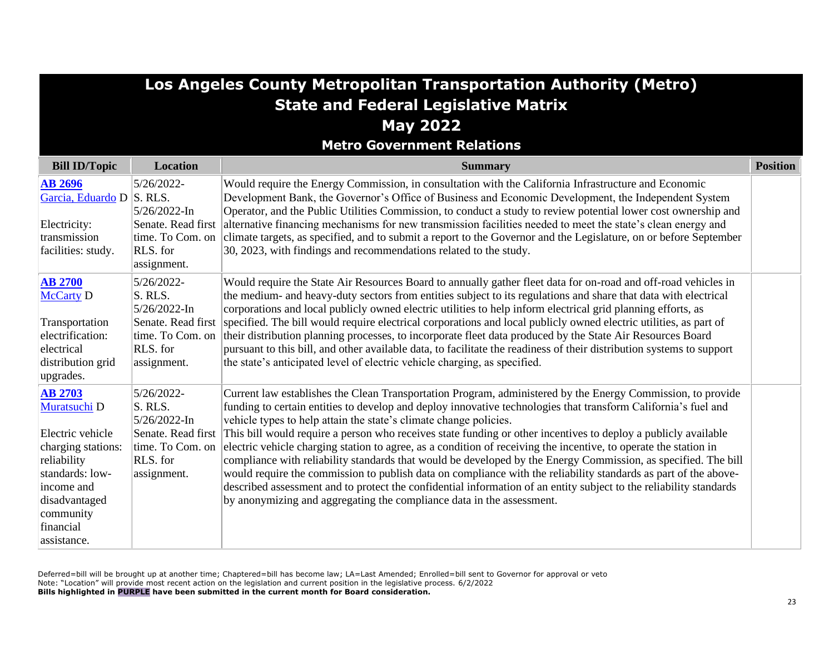| Los Angeles County Metropolitan Transportation Authority (Metro)                                                                                                                                |                                                                                                            |                                                                                                                                                                                                                                                                                                                                                                                                                                                                                                                                                                                                                                                                                                                                                                                                                                                                                                                                                                              |                 |
|-------------------------------------------------------------------------------------------------------------------------------------------------------------------------------------------------|------------------------------------------------------------------------------------------------------------|------------------------------------------------------------------------------------------------------------------------------------------------------------------------------------------------------------------------------------------------------------------------------------------------------------------------------------------------------------------------------------------------------------------------------------------------------------------------------------------------------------------------------------------------------------------------------------------------------------------------------------------------------------------------------------------------------------------------------------------------------------------------------------------------------------------------------------------------------------------------------------------------------------------------------------------------------------------------------|-----------------|
|                                                                                                                                                                                                 |                                                                                                            | <b>State and Federal Legislative Matrix</b>                                                                                                                                                                                                                                                                                                                                                                                                                                                                                                                                                                                                                                                                                                                                                                                                                                                                                                                                  |                 |
|                                                                                                                                                                                                 |                                                                                                            | <b>May 2022</b>                                                                                                                                                                                                                                                                                                                                                                                                                                                                                                                                                                                                                                                                                                                                                                                                                                                                                                                                                              |                 |
|                                                                                                                                                                                                 |                                                                                                            | <b>Metro Government Relations</b>                                                                                                                                                                                                                                                                                                                                                                                                                                                                                                                                                                                                                                                                                                                                                                                                                                                                                                                                            |                 |
| <b>Bill ID/Topic</b>                                                                                                                                                                            | <b>Location</b>                                                                                            | <b>Summary</b>                                                                                                                                                                                                                                                                                                                                                                                                                                                                                                                                                                                                                                                                                                                                                                                                                                                                                                                                                               | <b>Position</b> |
| <b>AB 2696</b><br>Garcia, Eduardo D S. RLS.                                                                                                                                                     | 5/26/2022-<br>5/26/2022-In                                                                                 | Would require the Energy Commission, in consultation with the California Infrastructure and Economic<br>Development Bank, the Governor's Office of Business and Economic Development, the Independent System<br>Operator, and the Public Utilities Commission, to conduct a study to review potential lower cost ownership and                                                                                                                                                                                                                                                                                                                                                                                                                                                                                                                                                                                                                                               |                 |
| Electricity:<br>transmission<br>facilities: study.                                                                                                                                              | Senate. Read first<br>time. To Com. on<br>RLS. for<br>assignment.                                          | alternative financing mechanisms for new transmission facilities needed to meet the state's clean energy and<br>climate targets, as specified, and to submit a report to the Governor and the Legislature, on or before September<br>30, 2023, with findings and recommendations related to the study.                                                                                                                                                                                                                                                                                                                                                                                                                                                                                                                                                                                                                                                                       |                 |
| <b>AB 2700</b><br><b>McCarty D</b><br>Transportation<br>electrification:<br>electrical<br>distribution grid                                                                                     | 5/26/2022-<br>S. RLS.<br>5/26/2022-In<br>Senate. Read first<br>time. To Com. on<br>RLS. for<br>assignment. | Would require the State Air Resources Board to annually gather fleet data for on-road and off-road vehicles in<br>the medium- and heavy-duty sectors from entities subject to its regulations and share that data with electrical<br>corporations and local publicly owned electric utilities to help inform electrical grid planning efforts, as<br>specified. The bill would require electrical corporations and local publicly owned electric utilities, as part of<br>their distribution planning processes, to incorporate fleet data produced by the State Air Resources Board<br>pursuant to this bill, and other available data, to facilitate the readiness of their distribution systems to support<br>the state's anticipated level of electric vehicle charging, as specified.                                                                                                                                                                                   |                 |
| upgrades.<br><b>AB 2703</b><br>Muratsuchi D<br>Electric vehicle<br>charging stations:<br>reliability<br>standards: low-<br>income and<br>disadvantaged<br>community<br>financial<br>assistance. | 5/26/2022-<br>S. RLS.<br>5/26/2022-In<br>Senate. Read first<br>time. To Com. on<br>RLS. for<br>assignment. | Current law establishes the Clean Transportation Program, administered by the Energy Commission, to provide<br>funding to certain entities to develop and deploy innovative technologies that transform California's fuel and<br>vehicle types to help attain the state's climate change policies.<br>This bill would require a person who receives state funding or other incentives to deploy a publicly available<br>electric vehicle charging station to agree, as a condition of receiving the incentive, to operate the station in<br>compliance with reliability standards that would be developed by the Energy Commission, as specified. The bill<br>would require the commission to publish data on compliance with the reliability standards as part of the above-<br>described assessment and to protect the confidential information of an entity subject to the reliability standards<br>by anonymizing and aggregating the compliance data in the assessment. |                 |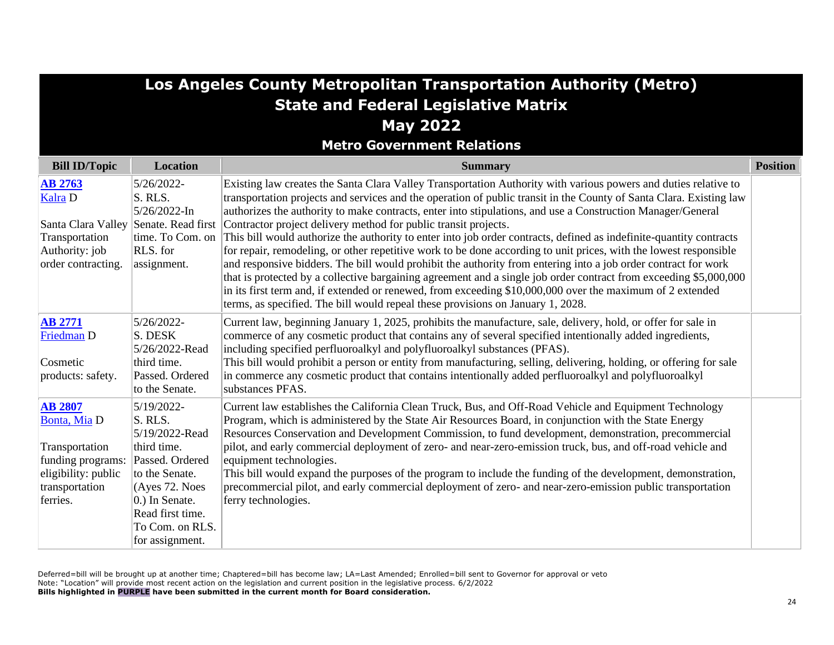| <b>Los Angeles County Metropolitan Transportation Authority (Metro)</b>                                                    |                                                                                                                                                                                           |                                                                                                                                                                                                                                                                                                                                                                                                                                                                                                                                                                                                                                                                                                                                                                                                                                                                                                             |                 |
|----------------------------------------------------------------------------------------------------------------------------|-------------------------------------------------------------------------------------------------------------------------------------------------------------------------------------------|-------------------------------------------------------------------------------------------------------------------------------------------------------------------------------------------------------------------------------------------------------------------------------------------------------------------------------------------------------------------------------------------------------------------------------------------------------------------------------------------------------------------------------------------------------------------------------------------------------------------------------------------------------------------------------------------------------------------------------------------------------------------------------------------------------------------------------------------------------------------------------------------------------------|-----------------|
|                                                                                                                            |                                                                                                                                                                                           | <b>State and Federal Legislative Matrix</b>                                                                                                                                                                                                                                                                                                                                                                                                                                                                                                                                                                                                                                                                                                                                                                                                                                                                 |                 |
|                                                                                                                            |                                                                                                                                                                                           | <b>May 2022</b>                                                                                                                                                                                                                                                                                                                                                                                                                                                                                                                                                                                                                                                                                                                                                                                                                                                                                             |                 |
|                                                                                                                            |                                                                                                                                                                                           | <b>Metro Government Relations</b>                                                                                                                                                                                                                                                                                                                                                                                                                                                                                                                                                                                                                                                                                                                                                                                                                                                                           |                 |
| <b>Bill ID/Topic</b>                                                                                                       | <b>Location</b>                                                                                                                                                                           | <b>Summary</b>                                                                                                                                                                                                                                                                                                                                                                                                                                                                                                                                                                                                                                                                                                                                                                                                                                                                                              | <b>Position</b> |
| <b>AB 2763</b><br>Kalra D<br>Transportation<br>Authority: job<br>order contracting.                                        | 5/26/2022-<br>S. RLS.<br>5/26/2022-In<br>Santa Clara Valley Senate. Read first<br>time. To Com. on<br>RLS. for<br>assignment.                                                             | Existing law creates the Santa Clara Valley Transportation Authority with various powers and duties relative to<br>transportation projects and services and the operation of public transit in the County of Santa Clara. Existing law<br>authorizes the authority to make contracts, enter into stipulations, and use a Construction Manager/General<br>Contractor project delivery method for public transit projects.<br>This bill would authorize the authority to enter into job order contracts, defined as indefinite-quantity contracts<br>for repair, remodeling, or other repetitive work to be done according to unit prices, with the lowest responsible<br>and responsive bidders. The bill would prohibit the authority from entering into a job order contract for work<br>that is protected by a collective bargaining agreement and a single job order contract from exceeding \$5,000,000 |                 |
|                                                                                                                            |                                                                                                                                                                                           | in its first term and, if extended or renewed, from exceeding \$10,000,000 over the maximum of 2 extended<br>terms, as specified. The bill would repeal these provisions on January 1, 2028.                                                                                                                                                                                                                                                                                                                                                                                                                                                                                                                                                                                                                                                                                                                |                 |
| <b>AB 2771</b><br>Friedman D<br>Cosmetic<br>products: safety.                                                              | 5/26/2022-<br>S. DESK<br>5/26/2022-Read<br>third time.<br>Passed. Ordered<br>to the Senate.                                                                                               | Current law, beginning January 1, 2025, prohibits the manufacture, sale, delivery, hold, or offer for sale in<br>commerce of any cosmetic product that contains any of several specified intentionally added ingredients,<br>including specified perfluoroalkyl and polyfluoroalkyl substances (PFAS).<br>This bill would prohibit a person or entity from manufacturing, selling, delivering, holding, or offering for sale<br>in commerce any cosmetic product that contains intentionally added perfluoroalkyl and polyfluoroalkyl<br>substances PFAS.                                                                                                                                                                                                                                                                                                                                                   |                 |
| <b>AB 2807</b><br>Bonta, Mia D<br>Transportation<br>funding programs:<br>eligibility: public<br>transportation<br>ferries. | 5/19/2022-<br>S. RLS.<br>5/19/2022-Read<br>third time.<br>Passed. Ordered<br>to the Senate.<br>(Ayes 72. Noes<br>0.) In Senate.<br>Read first time.<br>To Com. on RLS.<br>for assignment. | Current law establishes the California Clean Truck, Bus, and Off-Road Vehicle and Equipment Technology<br>Program, which is administered by the State Air Resources Board, in conjunction with the State Energy<br>Resources Conservation and Development Commission, to fund development, demonstration, precommercial<br>pilot, and early commercial deployment of zero- and near-zero-emission truck, bus, and off-road vehicle and<br>equipment technologies.<br>This bill would expand the purposes of the program to include the funding of the development, demonstration,<br>precommercial pilot, and early commercial deployment of zero- and near-zero-emission public transportation<br>ferry technologies.                                                                                                                                                                                      |                 |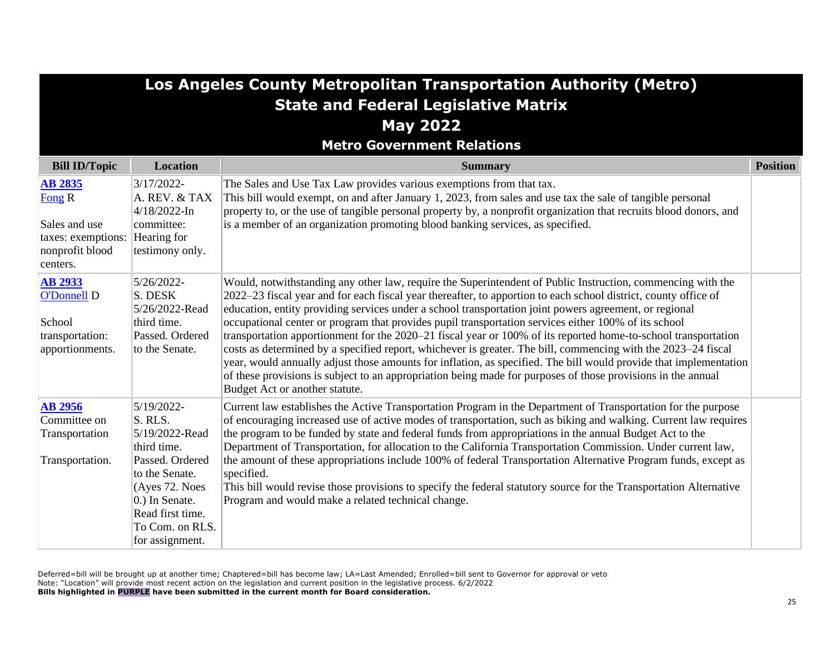| Los Angeles County Metropolitan Transportation Authority (Metro)                                 |                                                                                                                                                                                           |                                                                                                                                                                                                                                                                                                                                                                                                                                                                                                                                                                                                                                                                                                                                                                                                                                                                                                                                                            |                 |
|--------------------------------------------------------------------------------------------------|-------------------------------------------------------------------------------------------------------------------------------------------------------------------------------------------|------------------------------------------------------------------------------------------------------------------------------------------------------------------------------------------------------------------------------------------------------------------------------------------------------------------------------------------------------------------------------------------------------------------------------------------------------------------------------------------------------------------------------------------------------------------------------------------------------------------------------------------------------------------------------------------------------------------------------------------------------------------------------------------------------------------------------------------------------------------------------------------------------------------------------------------------------------|-----------------|
|                                                                                                  |                                                                                                                                                                                           | <b>State and Federal Legislative Matrix</b>                                                                                                                                                                                                                                                                                                                                                                                                                                                                                                                                                                                                                                                                                                                                                                                                                                                                                                                |                 |
|                                                                                                  |                                                                                                                                                                                           | <b>May 2022</b>                                                                                                                                                                                                                                                                                                                                                                                                                                                                                                                                                                                                                                                                                                                                                                                                                                                                                                                                            |                 |
|                                                                                                  |                                                                                                                                                                                           | <b>Metro Government Relations</b>                                                                                                                                                                                                                                                                                                                                                                                                                                                                                                                                                                                                                                                                                                                                                                                                                                                                                                                          |                 |
| <b>Bill ID/Topic</b>                                                                             | <b>Location</b>                                                                                                                                                                           | <b>Summary</b>                                                                                                                                                                                                                                                                                                                                                                                                                                                                                                                                                                                                                                                                                                                                                                                                                                                                                                                                             | <b>Position</b> |
| <b>AB 2835</b><br>Fong $R$<br>Sales and use<br>taxes: exemptions:<br>nonprofit blood<br>centers. | $3/17/2022$ -<br>A. REV. & TAX<br>$4/18/2022$ -In<br>committee:<br>Hearing for<br>testimony only.                                                                                         | The Sales and Use Tax Law provides various exemptions from that tax.<br>This bill would exempt, on and after January 1, 2023, from sales and use tax the sale of tangible personal<br>property to, or the use of tangible personal property by, a nonprofit organization that recruits blood donors, and<br>is a member of an organization promoting blood banking services, as specified.                                                                                                                                                                                                                                                                                                                                                                                                                                                                                                                                                                 |                 |
| <b>AB 2933</b><br>O'Donnell D<br>School<br>transportation:<br>apportionments.                    | 5/26/2022-<br>S. DESK<br>5/26/2022-Read<br>third time.<br>Passed. Ordered<br>to the Senate.                                                                                               | Would, notwithstanding any other law, require the Superintendent of Public Instruction, commencing with the<br>2022–23 fiscal year and for each fiscal year thereafter, to apportion to each school district, county office of<br>education, entity providing services under a school transportation joint powers agreement, or regional<br>occupational center or program that provides pupil transportation services either 100% of its school<br>transportation apportionment for the 2020–21 fiscal year or 100% of its reported home-to-school transportation<br>costs as determined by a specified report, whichever is greater. The bill, commencing with the 2023–24 fiscal<br>year, would annually adjust those amounts for inflation, as specified. The bill would provide that implementation<br>of these provisions is subject to an appropriation being made for purposes of those provisions in the annual<br>Budget Act or another statute. |                 |
| <b>AB 2956</b><br>Committee on<br>Transportation<br>Transportation.                              | 5/19/2022-<br>S. RLS.<br>5/19/2022-Read<br>third time.<br>Passed. Ordered<br>to the Senate.<br>(Ayes 72. Noes<br>0.) In Senate.<br>Read first time.<br>To Com. on RLS.<br>for assignment. | Current law establishes the Active Transportation Program in the Department of Transportation for the purpose<br>of encouraging increased use of active modes of transportation, such as biking and walking. Current law requires<br>the program to be funded by state and federal funds from appropriations in the annual Budget Act to the<br>Department of Transportation, for allocation to the California Transportation Commission. Under current law,<br>the amount of these appropriations include 100% of federal Transportation Alternative Program funds, except as<br>specified.<br>This bill would revise those provisions to specify the federal statutory source for the Transportation Alternative<br>Program and would make a related technical change.                                                                                                                                                                                   |                 |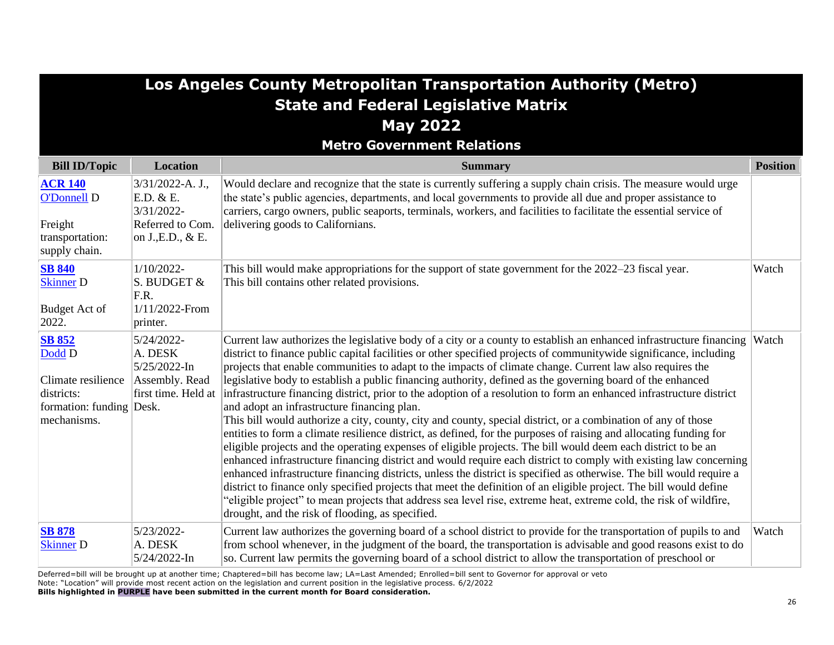| Los Angeles County Metropolitan Transportation Authority (Metro)<br><b>State and Federal Legislative Matrix</b><br><b>May 2022</b><br><b>Metro Government Relations</b> |                                                                                       |                                                                                                                                                                                                                                                                                                                                                                                                                                                                                                                                                                                                                                                                                                                                                                                                                                                                                                                                                                                                                                                                                                                                                                                                                                                                                                                                                                                                                                                                                                                                                         |                 |
|-------------------------------------------------------------------------------------------------------------------------------------------------------------------------|---------------------------------------------------------------------------------------|---------------------------------------------------------------------------------------------------------------------------------------------------------------------------------------------------------------------------------------------------------------------------------------------------------------------------------------------------------------------------------------------------------------------------------------------------------------------------------------------------------------------------------------------------------------------------------------------------------------------------------------------------------------------------------------------------------------------------------------------------------------------------------------------------------------------------------------------------------------------------------------------------------------------------------------------------------------------------------------------------------------------------------------------------------------------------------------------------------------------------------------------------------------------------------------------------------------------------------------------------------------------------------------------------------------------------------------------------------------------------------------------------------------------------------------------------------------------------------------------------------------------------------------------------------|-----------------|
| <b>Bill ID/Topic</b>                                                                                                                                                    | <b>Location</b>                                                                       | <b>Summary</b>                                                                                                                                                                                                                                                                                                                                                                                                                                                                                                                                                                                                                                                                                                                                                                                                                                                                                                                                                                                                                                                                                                                                                                                                                                                                                                                                                                                                                                                                                                                                          | <b>Position</b> |
| <b>ACR 140</b><br><b>O'Donnell D</b><br>Freight<br>transportation:<br>supply chain.                                                                                     | 3/31/2022-A. J.,<br>E.D. & E.<br>3/31/2022-<br>Referred to Com.<br>on J., E.D., $&E.$ | Would declare and recognize that the state is currently suffering a supply chain crisis. The measure would urge<br>the state's public agencies, departments, and local governments to provide all due and proper assistance to<br>carriers, cargo owners, public seaports, terminals, workers, and facilities to facilitate the essential service of<br>delivering goods to Californians.                                                                                                                                                                                                                                                                                                                                                                                                                                                                                                                                                                                                                                                                                                                                                                                                                                                                                                                                                                                                                                                                                                                                                               |                 |
| <b>SB 840</b><br><b>Skinner</b> D<br><b>Budget Act of</b><br>2022.                                                                                                      | $1/10/2022$ -<br>S. BUDGET &<br>F.R.<br>1/11/2022-From<br>printer.                    | This bill would make appropriations for the support of state government for the 2022–23 fiscal year.<br>This bill contains other related provisions.                                                                                                                                                                                                                                                                                                                                                                                                                                                                                                                                                                                                                                                                                                                                                                                                                                                                                                                                                                                                                                                                                                                                                                                                                                                                                                                                                                                                    | Watch           |
| <b>SB 852</b><br>Dodd D<br>Climate resilience<br>districts:<br>formation: funding Desk.<br>mechanisms.                                                                  | 5/24/2022-<br>A. DESK<br>5/25/2022-In<br>Assembly. Read<br>first time. Held at        | Current law authorizes the legislative body of a city or a county to establish an enhanced infrastructure financing Watch<br>district to finance public capital facilities or other specified projects of community wide significance, including<br>projects that enable communities to adapt to the impacts of climate change. Current law also requires the<br>legislative body to establish a public financing authority, defined as the governing board of the enhanced<br>infrastructure financing district, prior to the adoption of a resolution to form an enhanced infrastructure district<br>and adopt an infrastructure financing plan.<br>This bill would authorize a city, county, city and county, special district, or a combination of any of those<br>entities to form a climate resilience district, as defined, for the purposes of raising and allocating funding for<br>eligible projects and the operating expenses of eligible projects. The bill would deem each district to be an<br>enhanced infrastructure financing district and would require each district to comply with existing law concerning<br>enhanced infrastructure financing districts, unless the district is specified as otherwise. The bill would require a<br>district to finance only specified projects that meet the definition of an eligible project. The bill would define<br>"eligible project" to mean projects that address sea level rise, extreme heat, extreme cold, the risk of wildfire,<br>drought, and the risk of flooding, as specified. |                 |
| <b>SB 878</b><br><b>Skinner</b> D                                                                                                                                       | 5/23/2022-<br>A. DESK<br>5/24/2022-In                                                 | Current law authorizes the governing board of a school district to provide for the transportation of pupils to and<br>from school whenever, in the judgment of the board, the transportation is advisable and good reasons exist to do<br>so. Current law permits the governing board of a school district to allow the transportation of preschool or                                                                                                                                                                                                                                                                                                                                                                                                                                                                                                                                                                                                                                                                                                                                                                                                                                                                                                                                                                                                                                                                                                                                                                                                  | Watch           |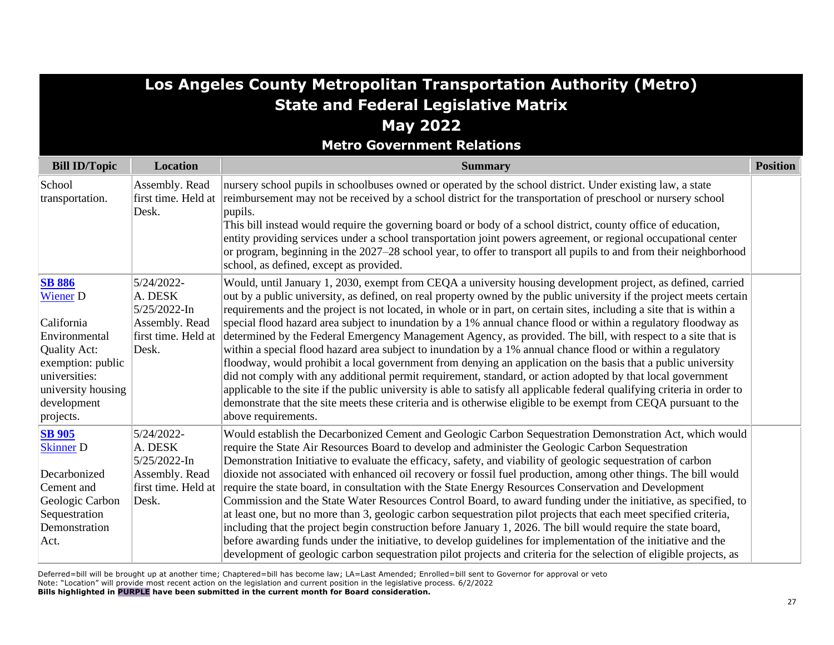| Los Angeles County Metropolitan Transportation Authority (Metro)                                                                                                        |                                                                                            |                                                                                                                                                                                                                                                                                                                                                                                                                                                                                                                                                                                                                                                                                                                                                                                                                                                                                                                                                                                                                                                                                                                                                                                                                       |                 |
|-------------------------------------------------------------------------------------------------------------------------------------------------------------------------|--------------------------------------------------------------------------------------------|-----------------------------------------------------------------------------------------------------------------------------------------------------------------------------------------------------------------------------------------------------------------------------------------------------------------------------------------------------------------------------------------------------------------------------------------------------------------------------------------------------------------------------------------------------------------------------------------------------------------------------------------------------------------------------------------------------------------------------------------------------------------------------------------------------------------------------------------------------------------------------------------------------------------------------------------------------------------------------------------------------------------------------------------------------------------------------------------------------------------------------------------------------------------------------------------------------------------------|-----------------|
|                                                                                                                                                                         |                                                                                            | <b>State and Federal Legislative Matrix</b>                                                                                                                                                                                                                                                                                                                                                                                                                                                                                                                                                                                                                                                                                                                                                                                                                                                                                                                                                                                                                                                                                                                                                                           |                 |
|                                                                                                                                                                         |                                                                                            | <b>May 2022</b>                                                                                                                                                                                                                                                                                                                                                                                                                                                                                                                                                                                                                                                                                                                                                                                                                                                                                                                                                                                                                                                                                                                                                                                                       |                 |
|                                                                                                                                                                         |                                                                                            | <b>Metro Government Relations</b>                                                                                                                                                                                                                                                                                                                                                                                                                                                                                                                                                                                                                                                                                                                                                                                                                                                                                                                                                                                                                                                                                                                                                                                     |                 |
| <b>Bill ID/Topic</b>                                                                                                                                                    | Location                                                                                   | <b>Summary</b>                                                                                                                                                                                                                                                                                                                                                                                                                                                                                                                                                                                                                                                                                                                                                                                                                                                                                                                                                                                                                                                                                                                                                                                                        | <b>Position</b> |
| School<br>transportation.                                                                                                                                               | Assembly. Read<br>first time. Held at<br>Desk.                                             | nursery school pupils in schoolbuses owned or operated by the school district. Under existing law, a state<br>reimbursement may not be received by a school district for the transportation of preschool or nursery school<br>pupils.<br>This bill instead would require the governing board or body of a school district, county office of education,<br>entity providing services under a school transportation joint powers agreement, or regional occupational center<br>or program, beginning in the 2027-28 school year, to offer to transport all pupils to and from their neighborhood<br>school, as defined, except as provided.                                                                                                                                                                                                                                                                                                                                                                                                                                                                                                                                                                             |                 |
| <b>SB 886</b><br><b>Wiener D</b><br>California<br>Environmental<br>Quality Act:<br>exemption: public<br>universities:<br>university housing<br>development<br>projects. | 5/24/2022-<br>A. DESK<br>$5/25/2022$ -In<br>Assembly. Read<br>first time. Held at<br>Desk. | Would, until January 1, 2030, exempt from CEQA a university housing development project, as defined, carried<br>out by a public university, as defined, on real property owned by the public university if the project meets certain<br>requirements and the project is not located, in whole or in part, on certain sites, including a site that is within a<br>special flood hazard area subject to inundation by a 1% annual chance flood or within a regulatory floodway as<br>determined by the Federal Emergency Management Agency, as provided. The bill, with respect to a site that is<br>within a special flood hazard area subject to inundation by a 1% annual chance flood or within a regulatory<br>floodway, would prohibit a local government from denying an application on the basis that a public university<br>did not comply with any additional permit requirement, standard, or action adopted by that local government<br>applicable to the site if the public university is able to satisfy all applicable federal qualifying criteria in order to<br>demonstrate that the site meets these criteria and is otherwise eligible to be exempt from CEQA pursuant to the<br>above requirements. |                 |
| <b>SB</b> 905<br><b>Skinner</b> D<br>Decarbonized<br>Cement and<br>Geologic Carbon<br>Sequestration<br>Demonstration<br>Act.                                            | 5/24/2022-<br>A. DESK<br>5/25/2022-In<br>Assembly. Read<br>first time. Held at<br>Desk.    | Would establish the Decarbonized Cement and Geologic Carbon Sequestration Demonstration Act, which would<br>require the State Air Resources Board to develop and administer the Geologic Carbon Sequestration<br>Demonstration Initiative to evaluate the efficacy, safety, and viability of geologic sequestration of carbon<br>dioxide not associated with enhanced oil recovery or fossil fuel production, among other things. The bill would<br>require the state board, in consultation with the State Energy Resources Conservation and Development<br>Commission and the State Water Resources Control Board, to award funding under the initiative, as specified, to<br>at least one, but no more than 3, geologic carbon sequestration pilot projects that each meet specified criteria,<br>including that the project begin construction before January 1, 2026. The bill would require the state board,<br>before awarding funds under the initiative, to develop guidelines for implementation of the initiative and the<br>development of geologic carbon sequestration pilot projects and criteria for the selection of eligible projects, as                                                           |                 |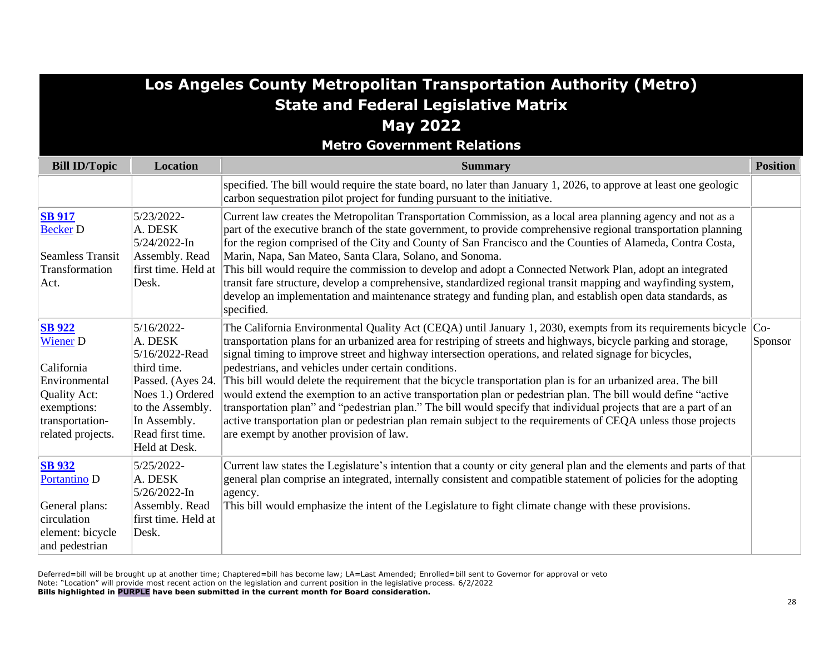|                                                                                                                                        |                                                                                                                                                                             | Los Angeles County Metropolitan Transportation Authority (Metro)                                                                                                                                                                                                                                                                                                                                                                                                                                                                                                                                                                                                                                                                                                                                                                                                                                                              |                 |
|----------------------------------------------------------------------------------------------------------------------------------------|-----------------------------------------------------------------------------------------------------------------------------------------------------------------------------|-------------------------------------------------------------------------------------------------------------------------------------------------------------------------------------------------------------------------------------------------------------------------------------------------------------------------------------------------------------------------------------------------------------------------------------------------------------------------------------------------------------------------------------------------------------------------------------------------------------------------------------------------------------------------------------------------------------------------------------------------------------------------------------------------------------------------------------------------------------------------------------------------------------------------------|-----------------|
|                                                                                                                                        |                                                                                                                                                                             | <b>State and Federal Legislative Matrix</b>                                                                                                                                                                                                                                                                                                                                                                                                                                                                                                                                                                                                                                                                                                                                                                                                                                                                                   |                 |
|                                                                                                                                        |                                                                                                                                                                             | <b>May 2022</b>                                                                                                                                                                                                                                                                                                                                                                                                                                                                                                                                                                                                                                                                                                                                                                                                                                                                                                               |                 |
|                                                                                                                                        |                                                                                                                                                                             | <b>Metro Government Relations</b>                                                                                                                                                                                                                                                                                                                                                                                                                                                                                                                                                                                                                                                                                                                                                                                                                                                                                             |                 |
| <b>Bill ID/Topic</b>                                                                                                                   | Location                                                                                                                                                                    | <b>Summary</b>                                                                                                                                                                                                                                                                                                                                                                                                                                                                                                                                                                                                                                                                                                                                                                                                                                                                                                                | <b>Position</b> |
|                                                                                                                                        |                                                                                                                                                                             | specified. The bill would require the state board, no later than January 1, 2026, to approve at least one geologic<br>carbon sequestration pilot project for funding pursuant to the initiative.                                                                                                                                                                                                                                                                                                                                                                                                                                                                                                                                                                                                                                                                                                                              |                 |
| <b>SB</b> 917<br><b>Becker D</b><br><b>Seamless Transit</b><br>Transformation<br>Act.                                                  | 5/23/2022-<br>A. DESK<br>5/24/2022-In<br>Assembly. Read<br>first time. Held at<br>Desk.                                                                                     | Current law creates the Metropolitan Transportation Commission, as a local area planning agency and not as a<br>part of the executive branch of the state government, to provide comprehensive regional transportation planning<br>for the region comprised of the City and County of San Francisco and the Counties of Alameda, Contra Costa,<br>Marin, Napa, San Mateo, Santa Clara, Solano, and Sonoma.<br>This bill would require the commission to develop and adopt a Connected Network Plan, adopt an integrated<br>transit fare structure, develop a comprehensive, standardized regional transit mapping and wayfinding system,<br>develop an implementation and maintenance strategy and funding plan, and establish open data standards, as<br>specified.                                                                                                                                                          |                 |
| <b>SB</b> 922<br><b>Wiener D</b><br>California<br>Environmental<br>Quality Act:<br>exemptions:<br>transportation-<br>related projects. | $5/16/2022$ -<br>A. DESK<br>5/16/2022-Read<br>third time.<br>Passed. (Ayes 24.<br>Noes 1.) Ordered<br>to the Assembly.<br>In Assembly.<br>Read first time.<br>Held at Desk. | The California Environmental Quality Act (CEQA) until January 1, 2030, exempts from its requirements bicycle $ $ Co-<br>transportation plans for an urbanized area for restriping of streets and highways, bicycle parking and storage,<br>signal timing to improve street and highway intersection operations, and related signage for bicycles,<br>pedestrians, and vehicles under certain conditions.<br>This bill would delete the requirement that the bicycle transportation plan is for an urbanized area. The bill<br>would extend the exemption to an active transportation plan or pedestrian plan. The bill would define "active<br>transportation plan" and "pedestrian plan." The bill would specify that individual projects that are a part of an<br>active transportation plan or pedestrian plan remain subject to the requirements of CEQA unless those projects<br>are exempt by another provision of law. | Sponsor         |
| <b>SB</b> 932<br><b>Portantino D</b><br>General plans:<br>circulation<br>element: bicycle<br>and pedestrian                            | 5/25/2022-<br>A. DESK<br>5/26/2022-In<br>Assembly. Read<br>first time. Held at<br>Desk.                                                                                     | Current law states the Legislature's intention that a county or city general plan and the elements and parts of that<br>general plan comprise an integrated, internally consistent and compatible statement of policies for the adopting<br>agency.<br>This bill would emphasize the intent of the Legislature to fight climate change with these provisions.                                                                                                                                                                                                                                                                                                                                                                                                                                                                                                                                                                 |                 |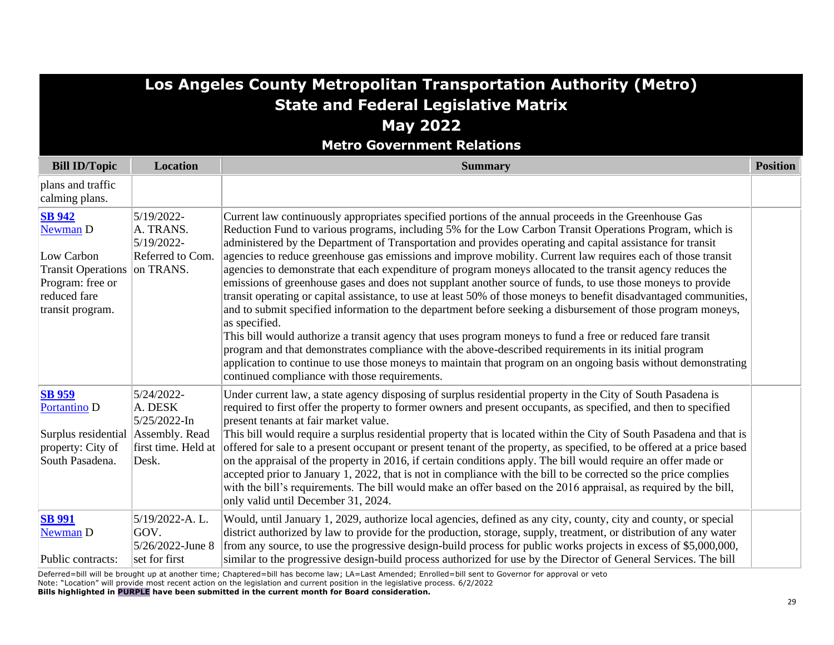# **Los Angeles County Metropolitan Transportation Authority (Metro) State and Federal Legislative Matrix May 2022**

**Metro Government Relations**

| <b>Bill ID/Topic</b>                                                                                                            | <b>Location</b>                                                       | <b>Summary</b>                                                                                                                                                                                                                                                                                                                                                                                                                                                                                                                                                                                                                                                                                                                                                                                                                                                                                                                                                                                                                                                                                                                                                                                                                                                                                                                 | <b>Position</b> |
|---------------------------------------------------------------------------------------------------------------------------------|-----------------------------------------------------------------------|--------------------------------------------------------------------------------------------------------------------------------------------------------------------------------------------------------------------------------------------------------------------------------------------------------------------------------------------------------------------------------------------------------------------------------------------------------------------------------------------------------------------------------------------------------------------------------------------------------------------------------------------------------------------------------------------------------------------------------------------------------------------------------------------------------------------------------------------------------------------------------------------------------------------------------------------------------------------------------------------------------------------------------------------------------------------------------------------------------------------------------------------------------------------------------------------------------------------------------------------------------------------------------------------------------------------------------|-----------------|
| plans and traffic<br>calming plans.                                                                                             |                                                                       |                                                                                                                                                                                                                                                                                                                                                                                                                                                                                                                                                                                                                                                                                                                                                                                                                                                                                                                                                                                                                                                                                                                                                                                                                                                                                                                                |                 |
| <b>SB 942</b><br>Newman D<br>Low Carbon<br>Transit Operations on TRANS.<br>Program: free or<br>reduced fare<br>transit program. | 5/19/2022-<br>A. TRANS.<br>5/19/2022-<br>Referred to Com.             | Current law continuously appropriates specified portions of the annual proceeds in the Greenhouse Gas<br>Reduction Fund to various programs, including 5% for the Low Carbon Transit Operations Program, which is<br>administered by the Department of Transportation and provides operating and capital assistance for transit<br>agencies to reduce greenhouse gas emissions and improve mobility. Current law requires each of those transit<br>agencies to demonstrate that each expenditure of program moneys allocated to the transit agency reduces the<br>emissions of greenhouse gases and does not supplant another source of funds, to use those moneys to provide<br>transit operating or capital assistance, to use at least 50% of those moneys to benefit disadvantaged communities,<br>and to submit specified information to the department before seeking a disbursement of those program moneys,<br>as specified.<br>This bill would authorize a transit agency that uses program moneys to fund a free or reduced fare transit<br>program and that demonstrates compliance with the above-described requirements in its initial program<br>application to continue to use those moneys to maintain that program on an ongoing basis without demonstrating<br>continued compliance with those requirements. |                 |
| <b>SB 959</b><br>Portantino <sub>D</sub><br>Surplus residential   Assembly. Read<br>property: City of<br>South Pasadena.        | 5/24/2022-<br>A. DESK<br>5/25/2022-In<br>first time. Held at<br>Desk. | Under current law, a state agency disposing of surplus residential property in the City of South Pasadena is<br>required to first offer the property to former owners and present occupants, as specified, and then to specified<br>present tenants at fair market value.<br>This bill would require a surplus residential property that is located within the City of South Pasadena and that is<br>offered for sale to a present occupant or present tenant of the property, as specified, to be offered at a price based<br>on the appraisal of the property in 2016, if certain conditions apply. The bill would require an offer made or<br>accepted prior to January 1, 2022, that is not in compliance with the bill to be corrected so the price complies<br>with the bill's requirements. The bill would make an offer based on the 2016 appraisal, as required by the bill,<br>only valid until December 31, 2024.                                                                                                                                                                                                                                                                                                                                                                                                   |                 |
| <b>SB 991</b><br>Newman D<br>Public contracts:                                                                                  | 5/19/2022-A.L.<br>GOV.<br>5/26/2022-June 8<br>set for first           | Would, until January 1, 2029, authorize local agencies, defined as any city, county, city and county, or special<br>district authorized by law to provide for the production, storage, supply, treatment, or distribution of any water<br>from any source, to use the progressive design-build process for public works projects in excess of \$5,000,000,<br>similar to the progressive design-build process authorized for use by the Director of General Services. The bill                                                                                                                                                                                                                                                                                                                                                                                                                                                                                                                                                                                                                                                                                                                                                                                                                                                 |                 |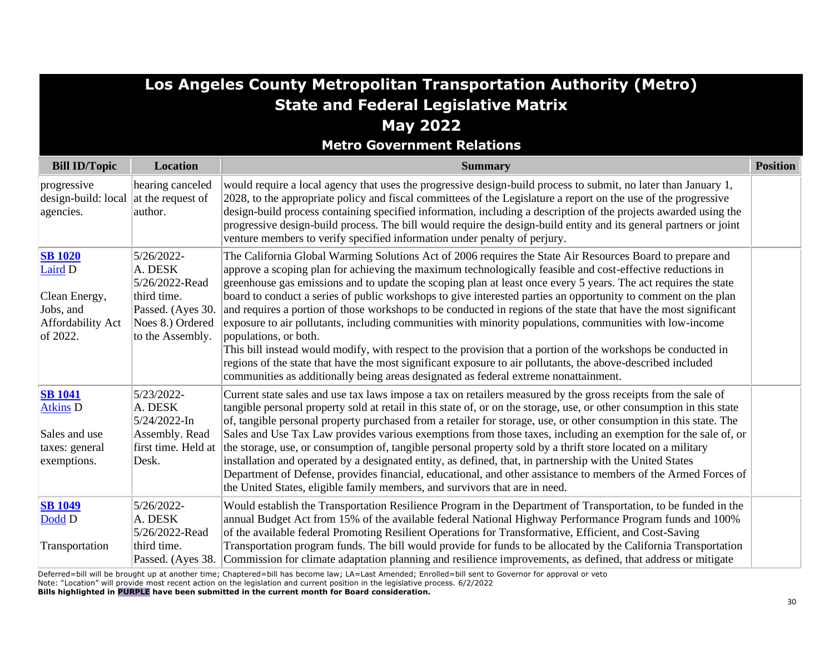| Los Angeles County Metropolitan Transportation Authority (Metro)                         |                                                                                                                     |                                                                                                                                                                                                                                                                                                                                                                                                                                                                                                                                                                                                                                                                                                                                                                                                                                                                                                                                                                                                                                                |                 |
|------------------------------------------------------------------------------------------|---------------------------------------------------------------------------------------------------------------------|------------------------------------------------------------------------------------------------------------------------------------------------------------------------------------------------------------------------------------------------------------------------------------------------------------------------------------------------------------------------------------------------------------------------------------------------------------------------------------------------------------------------------------------------------------------------------------------------------------------------------------------------------------------------------------------------------------------------------------------------------------------------------------------------------------------------------------------------------------------------------------------------------------------------------------------------------------------------------------------------------------------------------------------------|-----------------|
|                                                                                          |                                                                                                                     | <b>State and Federal Legislative Matrix</b>                                                                                                                                                                                                                                                                                                                                                                                                                                                                                                                                                                                                                                                                                                                                                                                                                                                                                                                                                                                                    |                 |
|                                                                                          |                                                                                                                     | <b>May 2022</b>                                                                                                                                                                                                                                                                                                                                                                                                                                                                                                                                                                                                                                                                                                                                                                                                                                                                                                                                                                                                                                |                 |
|                                                                                          |                                                                                                                     | <b>Metro Government Relations</b>                                                                                                                                                                                                                                                                                                                                                                                                                                                                                                                                                                                                                                                                                                                                                                                                                                                                                                                                                                                                              |                 |
| <b>Bill ID/Topic</b>                                                                     | <b>Location</b>                                                                                                     | <b>Summary</b>                                                                                                                                                                                                                                                                                                                                                                                                                                                                                                                                                                                                                                                                                                                                                                                                                                                                                                                                                                                                                                 | <b>Position</b> |
| progressive<br>design-build: local $\vert$ at the request of<br>agencies.                | hearing canceled<br>author.                                                                                         | would require a local agency that uses the progressive design-build process to submit, no later than January 1,<br>2028, to the appropriate policy and fiscal committees of the Legislature a report on the use of the progressive<br>design-build process containing specified information, including a description of the projects awarded using the<br>progressive design-build process. The bill would require the design-build entity and its general partners or joint<br>venture members to verify specified information under penalty of perjury.                                                                                                                                                                                                                                                                                                                                                                                                                                                                                      |                 |
| <b>SB 1020</b><br>Laird D<br>Clean Energy,<br>Jobs, and<br>Affordability Act<br>of 2022. | 5/26/2022-<br>A. DESK<br>5/26/2022-Read<br>third time.<br>Passed. (Ayes 30.<br>Noes 8.) Ordered<br>to the Assembly. | The California Global Warming Solutions Act of 2006 requires the State Air Resources Board to prepare and<br>approve a scoping plan for achieving the maximum technologically feasible and cost-effective reductions in<br>greenhouse gas emissions and to update the scoping plan at least once every 5 years. The act requires the state<br>board to conduct a series of public workshops to give interested parties an opportunity to comment on the plan<br>and requires a portion of those workshops to be conducted in regions of the state that have the most significant<br>exposure to air pollutants, including communities with minority populations, communities with low-income<br>populations, or both.<br>This bill instead would modify, with respect to the provision that a portion of the workshops be conducted in<br>regions of the state that have the most significant exposure to air pollutants, the above-described included<br>communities as additionally being areas designated as federal extreme nonattainment. |                 |
| <b>SB</b> 1041<br><b>Atkins D</b><br>Sales and use<br>taxes: general<br>exemptions.      | 5/23/2022-<br>A. DESK<br>5/24/2022-In<br>Assembly. Read<br>first time. Held at<br>Desk.                             | Current state sales and use tax laws impose a tax on retailers measured by the gross receipts from the sale of<br>tangible personal property sold at retail in this state of, or on the storage, use, or other consumption in this state<br>of, tangible personal property purchased from a retailer for storage, use, or other consumption in this state. The<br>Sales and Use Tax Law provides various exemptions from those taxes, including an exemption for the sale of, or<br>the storage, use, or consumption of, tangible personal property sold by a thrift store located on a military<br>installation and operated by a designated entity, as defined, that, in partnership with the United States<br>Department of Defense, provides financial, educational, and other assistance to members of the Armed Forces of<br>the United States, eligible family members, and survivors that are in need.                                                                                                                                 |                 |
| <b>SB 1049</b><br>Dodd D<br>Transportation                                               | 5/26/2022-<br>A. DESK<br>5/26/2022-Read<br>third time.<br>Passed. (Ayes 38.                                         | Would establish the Transportation Resilience Program in the Department of Transportation, to be funded in the<br>annual Budget Act from 15% of the available federal National Highway Performance Program funds and 100%<br>of the available federal Promoting Resilient Operations for Transformative, Efficient, and Cost-Saving<br>Transportation program funds. The bill would provide for funds to be allocated by the California Transportation<br>Commission for climate adaptation planning and resilience improvements, as defined, that address or mitigate                                                                                                                                                                                                                                                                                                                                                                                                                                                                         |                 |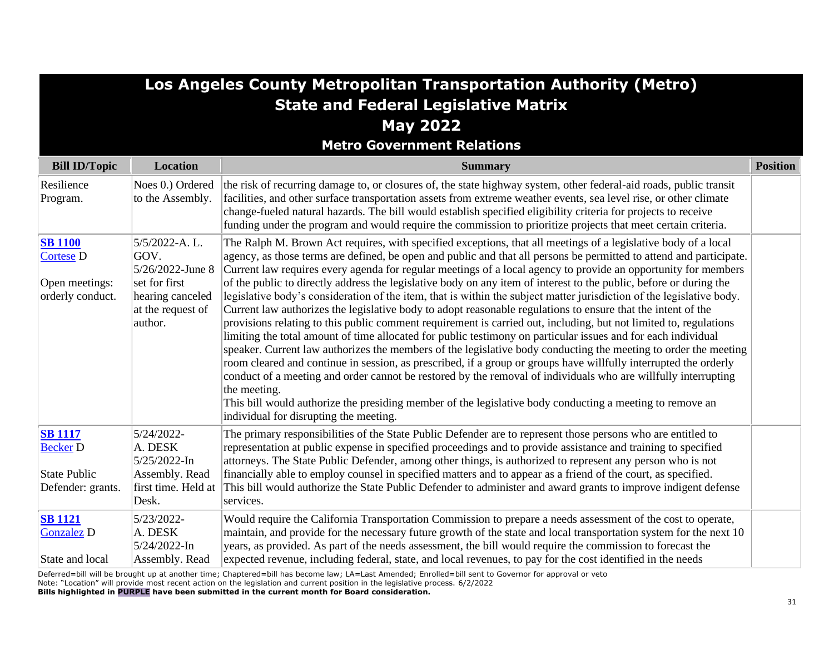|                                                                               |                                                                                                                | Los Angeles County Metropolitan Transportation Authority (Metro)                                                                                                                                                                                                                                                                                                                                                                                                                                                                                                                                                                                                                                                                                                                                                                                                                                                                                                                                                                                                                                                                                                                                                                                                                                                                                                                                                                                                                            |                 |
|-------------------------------------------------------------------------------|----------------------------------------------------------------------------------------------------------------|---------------------------------------------------------------------------------------------------------------------------------------------------------------------------------------------------------------------------------------------------------------------------------------------------------------------------------------------------------------------------------------------------------------------------------------------------------------------------------------------------------------------------------------------------------------------------------------------------------------------------------------------------------------------------------------------------------------------------------------------------------------------------------------------------------------------------------------------------------------------------------------------------------------------------------------------------------------------------------------------------------------------------------------------------------------------------------------------------------------------------------------------------------------------------------------------------------------------------------------------------------------------------------------------------------------------------------------------------------------------------------------------------------------------------------------------------------------------------------------------|-----------------|
|                                                                               |                                                                                                                | <b>State and Federal Legislative Matrix</b>                                                                                                                                                                                                                                                                                                                                                                                                                                                                                                                                                                                                                                                                                                                                                                                                                                                                                                                                                                                                                                                                                                                                                                                                                                                                                                                                                                                                                                                 |                 |
|                                                                               |                                                                                                                | <b>May 2022</b><br><b>Metro Government Relations</b>                                                                                                                                                                                                                                                                                                                                                                                                                                                                                                                                                                                                                                                                                                                                                                                                                                                                                                                                                                                                                                                                                                                                                                                                                                                                                                                                                                                                                                        |                 |
| <b>Bill ID/Topic</b>                                                          | <b>Location</b>                                                                                                | <b>Summary</b>                                                                                                                                                                                                                                                                                                                                                                                                                                                                                                                                                                                                                                                                                                                                                                                                                                                                                                                                                                                                                                                                                                                                                                                                                                                                                                                                                                                                                                                                              | <b>Position</b> |
| Resilience<br>Program.                                                        | Noes 0.) Ordered<br>to the Assembly.                                                                           | the risk of recurring damage to, or closures of, the state highway system, other federal-aid roads, public transit<br>facilities, and other surface transportation assets from extreme weather events, sea level rise, or other climate<br>change-fueled natural hazards. The bill would establish specified eligibility criteria for projects to receive<br>funding under the program and would require the commission to prioritize projects that meet certain criteria.                                                                                                                                                                                                                                                                                                                                                                                                                                                                                                                                                                                                                                                                                                                                                                                                                                                                                                                                                                                                                  |                 |
| <b>SB 1100</b><br><b>Cortese D</b><br>Open meetings:<br>orderly conduct.      | 5/5/2022-A.L.<br>GOV.<br>5/26/2022-June 8<br>set for first<br>hearing canceled<br>at the request of<br>author. | The Ralph M. Brown Act requires, with specified exceptions, that all meetings of a legislative body of a local<br>agency, as those terms are defined, be open and public and that all persons be permitted to attend and participate.<br>Current law requires every agenda for regular meetings of a local agency to provide an opportunity for members<br>of the public to directly address the legislative body on any item of interest to the public, before or during the<br>legislative body's consideration of the item, that is within the subject matter jurisdiction of the legislative body.<br>Current law authorizes the legislative body to adopt reasonable regulations to ensure that the intent of the<br>provisions relating to this public comment requirement is carried out, including, but not limited to, regulations<br>limiting the total amount of time allocated for public testimony on particular issues and for each individual<br>speaker. Current law authorizes the members of the legislative body conducting the meeting to order the meeting<br>room cleared and continue in session, as prescribed, if a group or groups have willfully interrupted the orderly<br>conduct of a meeting and order cannot be restored by the removal of individuals who are willfully interrupting<br>the meeting.<br>This bill would authorize the presiding member of the legislative body conducting a meeting to remove an<br>individual for disrupting the meeting. |                 |
| <b>SB 1117</b><br><b>Becker D</b><br><b>State Public</b><br>Defender: grants. | 5/24/2022-<br>A. DESK<br>5/25/2022-In<br>Assembly. Read<br>first time. Held at<br>Desk.                        | The primary responsibilities of the State Public Defender are to represent those persons who are entitled to<br>representation at public expense in specified proceedings and to provide assistance and training to specified<br>attorneys. The State Public Defender, among other things, is authorized to represent any person who is not<br>financially able to employ counsel in specified matters and to appear as a friend of the court, as specified.<br>This bill would authorize the State Public Defender to administer and award grants to improve indigent defense<br>services.                                                                                                                                                                                                                                                                                                                                                                                                                                                                                                                                                                                                                                                                                                                                                                                                                                                                                                 |                 |
| <b>SB 1121</b><br><b>Gonzalez D</b><br>State and local                        | 5/23/2022-<br>A. DESK<br>5/24/2022-In<br>Assembly. Read                                                        | Would require the California Transportation Commission to prepare a needs assessment of the cost to operate,<br>maintain, and provide for the necessary future growth of the state and local transportation system for the next 10<br>years, as provided. As part of the needs assessment, the bill would require the commission to forecast the<br>expected revenue, including federal, state, and local revenues, to pay for the cost identified in the needs                                                                                                                                                                                                                                                                                                                                                                                                                                                                                                                                                                                                                                                                                                                                                                                                                                                                                                                                                                                                                             |                 |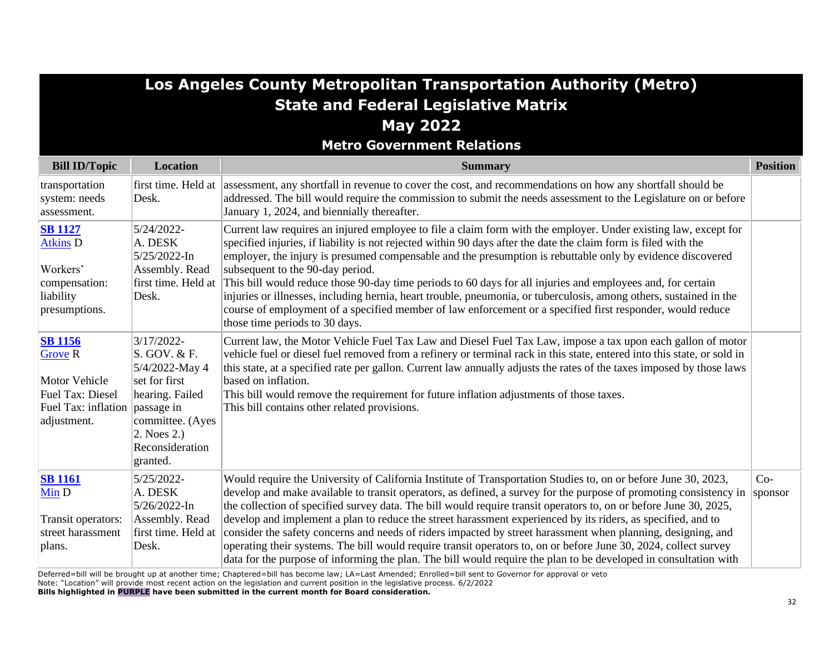| <b>State and Federal Legislative Matrix</b><br><b>May 2022</b><br><b>Metro Government Relations</b>                           |                                                                                                                                                         |                                                                                                                                                                                                                                                                                                                                                                                                                                                                                                                                                                                                                                                                                                                                                                                                                                  |                  |
|-------------------------------------------------------------------------------------------------------------------------------|---------------------------------------------------------------------------------------------------------------------------------------------------------|----------------------------------------------------------------------------------------------------------------------------------------------------------------------------------------------------------------------------------------------------------------------------------------------------------------------------------------------------------------------------------------------------------------------------------------------------------------------------------------------------------------------------------------------------------------------------------------------------------------------------------------------------------------------------------------------------------------------------------------------------------------------------------------------------------------------------------|------------------|
| <b>Bill ID/Topic</b>                                                                                                          | <b>Location</b>                                                                                                                                         | <b>Summary</b>                                                                                                                                                                                                                                                                                                                                                                                                                                                                                                                                                                                                                                                                                                                                                                                                                   | <b>Position</b>  |
| transportation<br>system: needs<br>assessment.                                                                                | Desk.                                                                                                                                                   | first time. Held at assessment, any shortfall in revenue to cover the cost, and recommendations on how any shortfall should be<br>addressed. The bill would require the commission to submit the needs assessment to the Legislature on or before<br>January 1, 2024, and biennially thereafter.                                                                                                                                                                                                                                                                                                                                                                                                                                                                                                                                 |                  |
| <b>SB</b> 1127<br><b>Atkins D</b><br>Workers'<br>compensation:<br>liability<br>presumptions.                                  | 5/24/2022-<br>A. DESK<br>5/25/2022-In<br>Assembly. Read<br>first time. Held at<br>Desk.                                                                 | Current law requires an injured employee to file a claim form with the employer. Under existing law, except for<br>specified injuries, if liability is not rejected within 90 days after the date the claim form is filed with the<br>employer, the injury is presumed compensable and the presumption is rebuttable only by evidence discovered<br>subsequent to the 90-day period.<br>This bill would reduce those 90-day time periods to 60 days for all injuries and employees and, for certain<br>injuries or illnesses, including hernia, heart trouble, pneumonia, or tuberculosis, among others, sustained in the<br>course of employment of a specified member of law enforcement or a specified first responder, would reduce<br>those time periods to 30 days.                                                        |                  |
| <b>SB</b> 1156<br><b>Grove R</b><br><b>Motor Vehicle</b><br>Fuel Tax: Diesel<br>Fuel Tax: inflation passage in<br>adjustment. | 3/17/2022-<br>S. GOV. & F.<br>5/4/2022-May 4<br>set for first<br>hearing. Failed<br>committee. (Ayes<br>$2.$ Noes $2.$ )<br>Reconsideration<br>granted. | Current law, the Motor Vehicle Fuel Tax Law and Diesel Fuel Tax Law, impose a tax upon each gallon of motor<br>vehicle fuel or diesel fuel removed from a refinery or terminal rack in this state, entered into this state, or sold in<br>this state, at a specified rate per gallon. Current law annually adjusts the rates of the taxes imposed by those laws<br>based on inflation.<br>This bill would remove the requirement for future inflation adjustments of those taxes.<br>This bill contains other related provisions.                                                                                                                                                                                                                                                                                                |                  |
| <b>SB</b> 1161<br>Min D<br>Transit operators:<br>street harassment<br>plans.                                                  | 5/25/2022-<br>A. DESK<br>5/26/2022-In<br>Assembly. Read<br>first time. Held at<br>Desk.                                                                 | Would require the University of California Institute of Transportation Studies to, on or before June 30, 2023,<br>develop and make available to transit operators, as defined, a survey for the purpose of promoting consistency in<br>the collection of specified survey data. The bill would require transit operators to, on or before June 30, 2025,<br>develop and implement a plan to reduce the street harassment experienced by its riders, as specified, and to<br>consider the safety concerns and needs of riders impacted by street harassment when planning, designing, and<br>operating their systems. The bill would require transit operators to, on or before June 30, 2024, collect survey<br>data for the purpose of informing the plan. The bill would require the plan to be developed in consultation with | $Co-$<br>sponsor |

**Los Angeles County Metropolitan Transportation Authority (Metro)**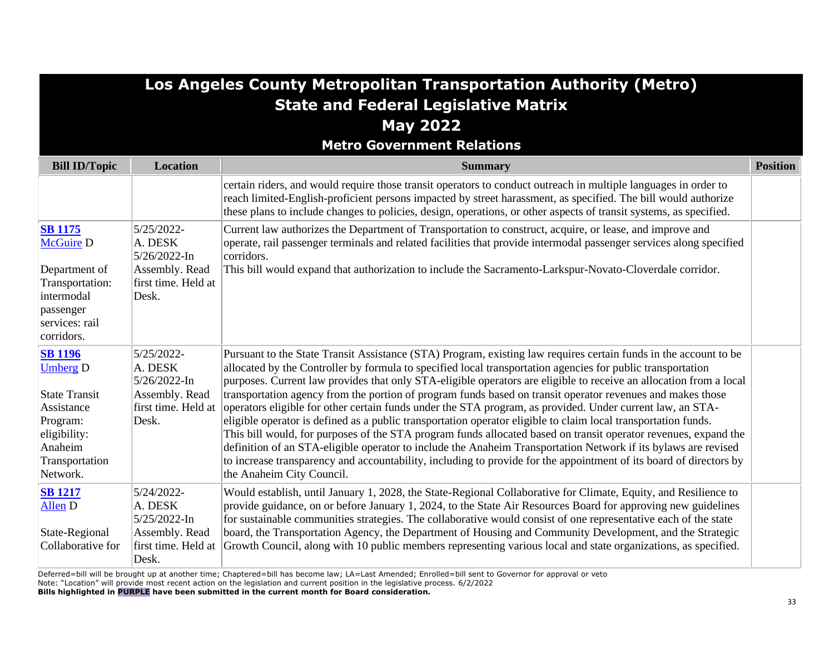|                                                                           |                                                                                | Los Angeles County Metropolitan Transportation Authority (Metro)<br><b>State and Federal Legislative Matrix</b>                                                                                                                                                                                                                                                                                                                                                                                                                                                                   |                 |
|---------------------------------------------------------------------------|--------------------------------------------------------------------------------|-----------------------------------------------------------------------------------------------------------------------------------------------------------------------------------------------------------------------------------------------------------------------------------------------------------------------------------------------------------------------------------------------------------------------------------------------------------------------------------------------------------------------------------------------------------------------------------|-----------------|
|                                                                           |                                                                                | <b>May 2022</b>                                                                                                                                                                                                                                                                                                                                                                                                                                                                                                                                                                   |                 |
|                                                                           |                                                                                | <b>Metro Government Relations</b>                                                                                                                                                                                                                                                                                                                                                                                                                                                                                                                                                 |                 |
| <b>Bill ID/Topic</b>                                                      | <b>Location</b>                                                                | <b>Summary</b>                                                                                                                                                                                                                                                                                                                                                                                                                                                                                                                                                                    | <b>Position</b> |
|                                                                           |                                                                                | certain riders, and would require those transit operators to conduct outreach in multiple languages in order to<br>reach limited-English-proficient persons impacted by street harassment, as specified. The bill would authorize<br>these plans to include changes to policies, design, operations, or other aspects of transit systems, as specified.                                                                                                                                                                                                                           |                 |
| <b>SB 1175</b><br><b>McGuire D</b><br>Department of<br>Transportation:    | 5/25/2022-<br>A. DESK<br>5/26/2022-In<br>Assembly. Read<br>first time. Held at | Current law authorizes the Department of Transportation to construct, acquire, or lease, and improve and<br>operate, rail passenger terminals and related facilities that provide intermodal passenger services along specified<br>corridors.<br>This bill would expand that authorization to include the Sacramento-Larkspur-Novato-Cloverdale corridor.                                                                                                                                                                                                                         |                 |
| intermodal<br>passenger<br>services: rail<br>corridors.                   | Desk.                                                                          |                                                                                                                                                                                                                                                                                                                                                                                                                                                                                                                                                                                   |                 |
| <b>SB 1196</b><br><b>Umberg D</b>                                         | 5/25/2022-<br>A. DESK<br>5/26/2022-In                                          | Pursuant to the State Transit Assistance (STA) Program, existing law requires certain funds in the account to be<br>allocated by the Controller by formula to specified local transportation agencies for public transportation<br>purposes. Current law provides that only STA-eligible operators are eligible to receive an allocation from a local                                                                                                                                                                                                                             |                 |
| <b>State Transit</b><br>Assistance<br>Program:<br>eligibility:<br>Anaheim | Assembly. Read<br>first time. Held at<br>Desk.                                 | transportation agency from the portion of program funds based on transit operator revenues and makes those<br>operators eligible for other certain funds under the STA program, as provided. Under current law, an STA-<br>eligible operator is defined as a public transportation operator eligible to claim local transportation funds.<br>This bill would, for purposes of the STA program funds allocated based on transit operator revenues, expand the<br>definition of an STA-eligible operator to include the Anaheim Transportation Network if its bylaws are revised    |                 |
| Transportation<br>Network.                                                |                                                                                | to increase transparency and accountability, including to provide for the appointment of its board of directors by<br>the Anaheim City Council.                                                                                                                                                                                                                                                                                                                                                                                                                                   |                 |
| <b>SB 1217</b><br>Allen D<br>State-Regional<br>Collaborative for          | 5/24/2022-<br>A. DESK<br>5/25/2022-In<br>Assembly. Read<br>first time. Held at | Would establish, until January 1, 2028, the State-Regional Collaborative for Climate, Equity, and Resilience to<br>provide guidance, on or before January 1, 2024, to the State Air Resources Board for approving new guidelines<br>for sustainable communities strategies. The collaborative would consist of one representative each of the state<br>board, the Transportation Agency, the Department of Housing and Community Development, and the Strategic<br>Growth Council, along with 10 public members representing various local and state organizations, as specified. |                 |
|                                                                           | Desk.                                                                          |                                                                                                                                                                                                                                                                                                                                                                                                                                                                                                                                                                                   |                 |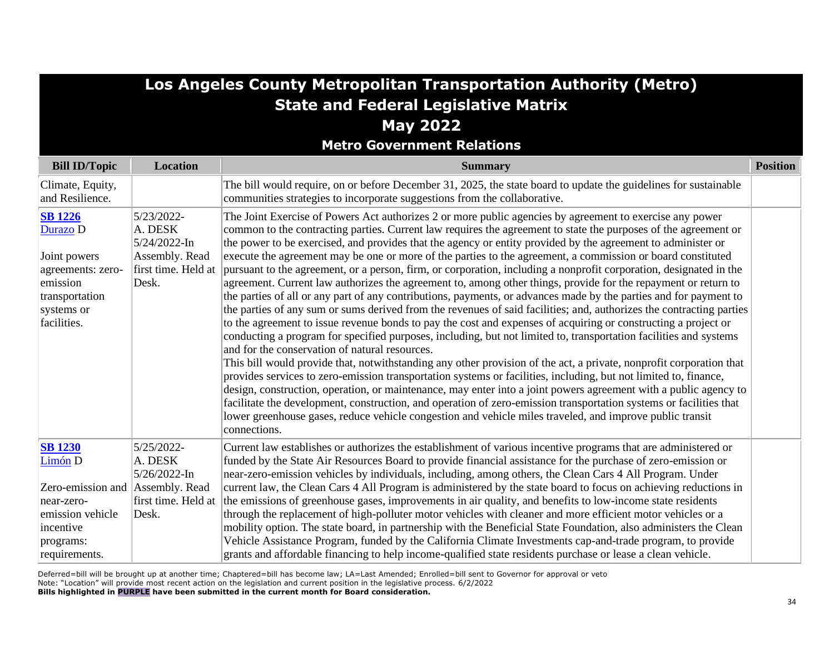# **Los Angeles County Metropolitan Transportation Authority (Metro) State and Federal Legislative Matrix May 2022**

**Metro Government Relations**

| <b>Bill ID/Topic</b>                                                            | <b>Location</b>                                | <b>Summary</b>                                                                                                                                                                                                                                                                                                                                                                                                                                                                                                                                                                                                                                                                                                                                                                                                                                                                                         | <b>Position</b> |
|---------------------------------------------------------------------------------|------------------------------------------------|--------------------------------------------------------------------------------------------------------------------------------------------------------------------------------------------------------------------------------------------------------------------------------------------------------------------------------------------------------------------------------------------------------------------------------------------------------------------------------------------------------------------------------------------------------------------------------------------------------------------------------------------------------------------------------------------------------------------------------------------------------------------------------------------------------------------------------------------------------------------------------------------------------|-----------------|
| Climate, Equity,<br>and Resilience.                                             |                                                | The bill would require, on or before December 31, 2025, the state board to update the guidelines for sustainable<br>communities strategies to incorporate suggestions from the collaborative.                                                                                                                                                                                                                                                                                                                                                                                                                                                                                                                                                                                                                                                                                                          |                 |
| <b>SB</b> 1226<br>Durazo D                                                      | 5/23/2022-<br>A. DESK<br>5/24/2022-In          | The Joint Exercise of Powers Act authorizes 2 or more public agencies by agreement to exercise any power<br>common to the contracting parties. Current law requires the agreement to state the purposes of the agreement or<br>the power to be exercised, and provides that the agency or entity provided by the agreement to administer or                                                                                                                                                                                                                                                                                                                                                                                                                                                                                                                                                            |                 |
| Joint powers<br>agreements: zero-<br>emission                                   | Assembly. Read<br>first time. Held at<br>Desk. | execute the agreement may be one or more of the parties to the agreement, a commission or board constituted<br>pursuant to the agreement, or a person, firm, or corporation, including a nonprofit corporation, designated in the<br>agreement. Current law authorizes the agreement to, among other things, provide for the repayment or return to                                                                                                                                                                                                                                                                                                                                                                                                                                                                                                                                                    |                 |
| transportation<br>systems or                                                    |                                                | the parties of all or any part of any contributions, payments, or advances made by the parties and for payment to<br>the parties of any sum or sums derived from the revenues of said facilities; and, authorizes the contracting parties                                                                                                                                                                                                                                                                                                                                                                                                                                                                                                                                                                                                                                                              |                 |
| facilities.                                                                     |                                                | to the agreement to issue revenue bonds to pay the cost and expenses of acquiring or constructing a project or<br>conducting a program for specified purposes, including, but not limited to, transportation facilities and systems<br>and for the conservation of natural resources.<br>This bill would provide that, notwithstanding any other provision of the act, a private, nonprofit corporation that<br>provides services to zero-emission transportation systems or facilities, including, but not limited to, finance,<br>design, construction, operation, or maintenance, may enter into a joint powers agreement with a public agency to<br>facilitate the development, construction, and operation of zero-emission transportation systems or facilities that<br>lower greenhouse gases, reduce vehicle congestion and vehicle miles traveled, and improve public transit<br>connections. |                 |
| <b>SB 1230</b><br>Limón D                                                       | 5/25/2022-<br>A. DESK<br>5/26/2022-In          | Current law establishes or authorizes the establishment of various incentive programs that are administered or<br>funded by the State Air Resources Board to provide financial assistance for the purchase of zero-emission or<br>near-zero-emission vehicles by individuals, including, among others, the Clean Cars 4 All Program. Under                                                                                                                                                                                                                                                                                                                                                                                                                                                                                                                                                             |                 |
| Zero-emission and Assembly. Read<br>near-zero-<br>emission vehicle<br>incentive | first time. Held at<br>Desk.                   | current law, the Clean Cars 4 All Program is administered by the state board to focus on achieving reductions in<br>the emissions of greenhouse gases, improvements in air quality, and benefits to low-income state residents<br>through the replacement of high-polluter motor vehicles with cleaner and more efficient motor vehicles or a<br>mobility option. The state board, in partnership with the Beneficial State Foundation, also administers the Clean                                                                                                                                                                                                                                                                                                                                                                                                                                     |                 |
| programs:<br>requirements.                                                      |                                                | Vehicle Assistance Program, funded by the California Climate Investments cap-and-trade program, to provide<br>grants and affordable financing to help income-qualified state residents purchase or lease a clean vehicle.                                                                                                                                                                                                                                                                                                                                                                                                                                                                                                                                                                                                                                                                              |                 |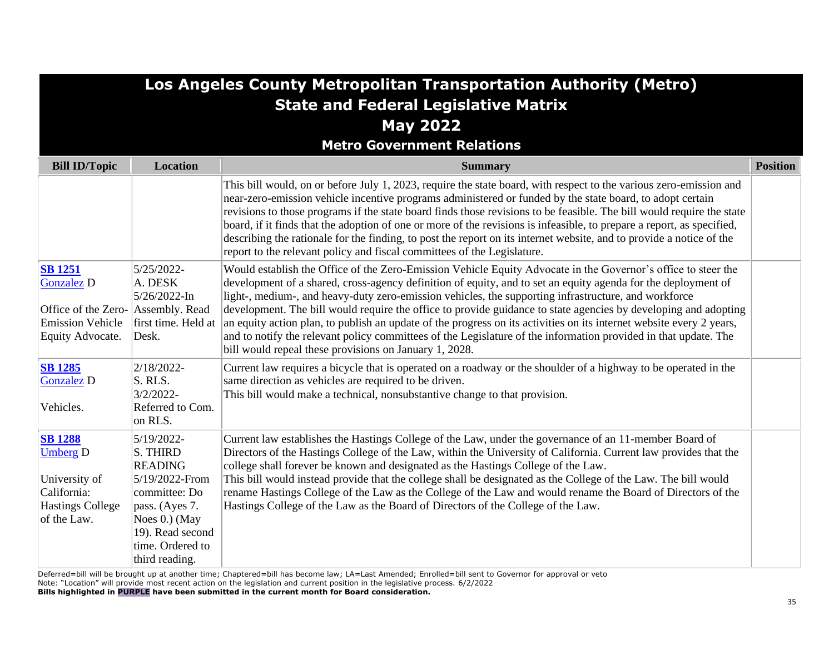|                                                                                                                          |                                                                                                                                                                             | Los Angeles County Metropolitan Transportation Authority (Metro)                                                                                                                                                                                                                                                                                                                                                                                                                                                                                                                                                                                                                                                                                               |                 |
|--------------------------------------------------------------------------------------------------------------------------|-----------------------------------------------------------------------------------------------------------------------------------------------------------------------------|----------------------------------------------------------------------------------------------------------------------------------------------------------------------------------------------------------------------------------------------------------------------------------------------------------------------------------------------------------------------------------------------------------------------------------------------------------------------------------------------------------------------------------------------------------------------------------------------------------------------------------------------------------------------------------------------------------------------------------------------------------------|-----------------|
|                                                                                                                          |                                                                                                                                                                             | <b>State and Federal Legislative Matrix</b>                                                                                                                                                                                                                                                                                                                                                                                                                                                                                                                                                                                                                                                                                                                    |                 |
|                                                                                                                          |                                                                                                                                                                             | <b>May 2022</b>                                                                                                                                                                                                                                                                                                                                                                                                                                                                                                                                                                                                                                                                                                                                                |                 |
|                                                                                                                          |                                                                                                                                                                             | <b>Metro Government Relations</b>                                                                                                                                                                                                                                                                                                                                                                                                                                                                                                                                                                                                                                                                                                                              |                 |
| <b>Bill ID/Topic</b>                                                                                                     | <b>Location</b>                                                                                                                                                             | <b>Summary</b>                                                                                                                                                                                                                                                                                                                                                                                                                                                                                                                                                                                                                                                                                                                                                 | <b>Position</b> |
|                                                                                                                          |                                                                                                                                                                             | This bill would, on or before July 1, 2023, require the state board, with respect to the various zero-emission and<br>near-zero-emission vehicle incentive programs administered or funded by the state board, to adopt certain<br>revisions to those programs if the state board finds those revisions to be feasible. The bill would require the state<br>board, if it finds that the adoption of one or more of the revisions is infeasible, to prepare a report, as specified,<br>describing the rationale for the finding, to post the report on its internet website, and to provide a notice of the<br>report to the relevant policy and fiscal committees of the Legislature.                                                                          |                 |
| <b>SB</b> 1251<br><b>Gonzalez D</b><br>Office of the Zero- Assembly. Read<br><b>Emission Vehicle</b><br>Equity Advocate. | 5/25/2022-<br>A. DESK<br>5/26/2022-In<br>first time. Held at<br>Desk.                                                                                                       | Would establish the Office of the Zero-Emission Vehicle Equity Advocate in the Governor's office to steer the<br>development of a shared, cross-agency definition of equity, and to set an equity agenda for the deployment of<br>light-, medium-, and heavy-duty zero-emission vehicles, the supporting infrastructure, and workforce<br>development. The bill would require the office to provide guidance to state agencies by developing and adopting<br>an equity action plan, to publish an update of the progress on its activities on its internet website every 2 years,<br>and to notify the relevant policy committees of the Legislature of the information provided in that update. The<br>bill would repeal these provisions on January 1, 2028. |                 |
| <b>SB</b> 1285<br><b>Gonzalez D</b><br>Vehicles.                                                                         | 2/18/2022-<br>S. RLS.<br>3/2/2022-<br>Referred to Com.<br>on RLS.                                                                                                           | Current law requires a bicycle that is operated on a roadway or the shoulder of a highway to be operated in the<br>same direction as vehicles are required to be driven.<br>This bill would make a technical, nonsubstantive change to that provision.                                                                                                                                                                                                                                                                                                                                                                                                                                                                                                         |                 |
| <b>SB</b> 1288<br><b>Umberg D</b><br>University of<br>California:<br><b>Hastings College</b><br>of the Law.              | 5/19/2022-<br>S. THIRD<br><b>READING</b><br>5/19/2022-From<br>committee: Do<br>pass. (Ayes 7.<br>Noes $0.$ ) (May<br>19). Read second<br>time. Ordered to<br>third reading. | Current law establishes the Hastings College of the Law, under the governance of an 11-member Board of<br>Directors of the Hastings College of the Law, within the University of California. Current law provides that the<br>college shall forever be known and designated as the Hastings College of the Law.<br>This bill would instead provide that the college shall be designated as the College of the Law. The bill would<br>rename Hastings College of the Law as the College of the Law and would rename the Board of Directors of the<br>Hastings College of the Law as the Board of Directors of the College of the Law.                                                                                                                           |                 |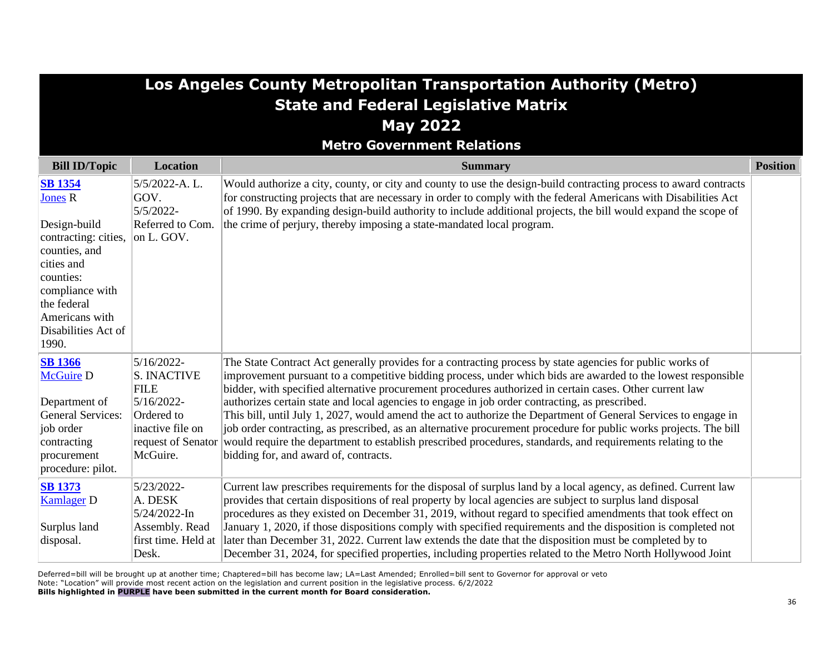|                                                                                                                                                                          | Los Angeles County Metropolitan Transportation Authority (Metro)                                                                  |                                                                                                                                                                                                                                                                                                                                                                                                                                                                                                                                                                                                                                                                                                                                                                                                                                           |                 |  |
|--------------------------------------------------------------------------------------------------------------------------------------------------------------------------|-----------------------------------------------------------------------------------------------------------------------------------|-------------------------------------------------------------------------------------------------------------------------------------------------------------------------------------------------------------------------------------------------------------------------------------------------------------------------------------------------------------------------------------------------------------------------------------------------------------------------------------------------------------------------------------------------------------------------------------------------------------------------------------------------------------------------------------------------------------------------------------------------------------------------------------------------------------------------------------------|-----------------|--|
|                                                                                                                                                                          |                                                                                                                                   | <b>State and Federal Legislative Matrix</b>                                                                                                                                                                                                                                                                                                                                                                                                                                                                                                                                                                                                                                                                                                                                                                                               |                 |  |
|                                                                                                                                                                          |                                                                                                                                   | <b>May 2022</b>                                                                                                                                                                                                                                                                                                                                                                                                                                                                                                                                                                                                                                                                                                                                                                                                                           |                 |  |
|                                                                                                                                                                          |                                                                                                                                   | <b>Metro Government Relations</b>                                                                                                                                                                                                                                                                                                                                                                                                                                                                                                                                                                                                                                                                                                                                                                                                         |                 |  |
| <b>Bill ID/Topic</b>                                                                                                                                                     | <b>Location</b>                                                                                                                   | <b>Summary</b>                                                                                                                                                                                                                                                                                                                                                                                                                                                                                                                                                                                                                                                                                                                                                                                                                            | <b>Position</b> |  |
| <b>SB</b> 1354<br><b>Jones R</b><br>Design-build<br>contracting: cities,<br>counties, and<br>cities and<br>counties:<br>compliance with<br>the federal<br>Americans with | 5/5/2022-A.L.<br>GOV.<br>5/5/2022-<br>Referred to Com.<br>on L. GOV.                                                              | Would authorize a city, county, or city and county to use the design-build contracting process to award contracts<br>for constructing projects that are necessary in order to comply with the federal Americans with Disabilities Act<br>of 1990. By expanding design-build authority to include additional projects, the bill would expand the scope of<br>the crime of perjury, thereby imposing a state-mandated local program.                                                                                                                                                                                                                                                                                                                                                                                                        |                 |  |
| Disabilities Act of<br>1990.                                                                                                                                             |                                                                                                                                   |                                                                                                                                                                                                                                                                                                                                                                                                                                                                                                                                                                                                                                                                                                                                                                                                                                           |                 |  |
| <b>SB 1366</b><br><b>McGuire D</b><br>Department of<br><b>General Services:</b><br>job order<br>contracting<br>procurement<br>procedure: pilot.                          | 5/16/2022-<br><b>S. INACTIVE</b><br><b>FILE</b><br>5/16/2022-<br>Ordered to<br>inactive file on<br>request of Senator<br>McGuire. | The State Contract Act generally provides for a contracting process by state agencies for public works of<br>improvement pursuant to a competitive bidding process, under which bids are awarded to the lowest responsible<br>bidder, with specified alternative procurement procedures authorized in certain cases. Other current law<br>authorizes certain state and local agencies to engage in job order contracting, as prescribed.<br>This bill, until July 1, 2027, would amend the act to authorize the Department of General Services to engage in<br>job order contracting, as prescribed, as an alternative procurement procedure for public works projects. The bill<br>would require the department to establish prescribed procedures, standards, and requirements relating to the<br>bidding for, and award of, contracts. |                 |  |
| <b>SB 1373</b><br><b>Kamlager D</b><br>Surplus land<br>disposal.                                                                                                         | 5/23/2022-<br>A. DESK<br>5/24/2022-In<br>Assembly. Read<br>first time. Held at<br>Desk.                                           | Current law prescribes requirements for the disposal of surplus land by a local agency, as defined. Current law<br>provides that certain dispositions of real property by local agencies are subject to surplus land disposal<br>procedures as they existed on December 31, 2019, without regard to specified amendments that took effect on<br>January 1, 2020, if those dispositions comply with specified requirements and the disposition is completed not<br>later than December 31, 2022. Current law extends the date that the disposition must be completed by to<br>December 31, 2024, for specified properties, including properties related to the Metro North Hollywood Joint                                                                                                                                                 |                 |  |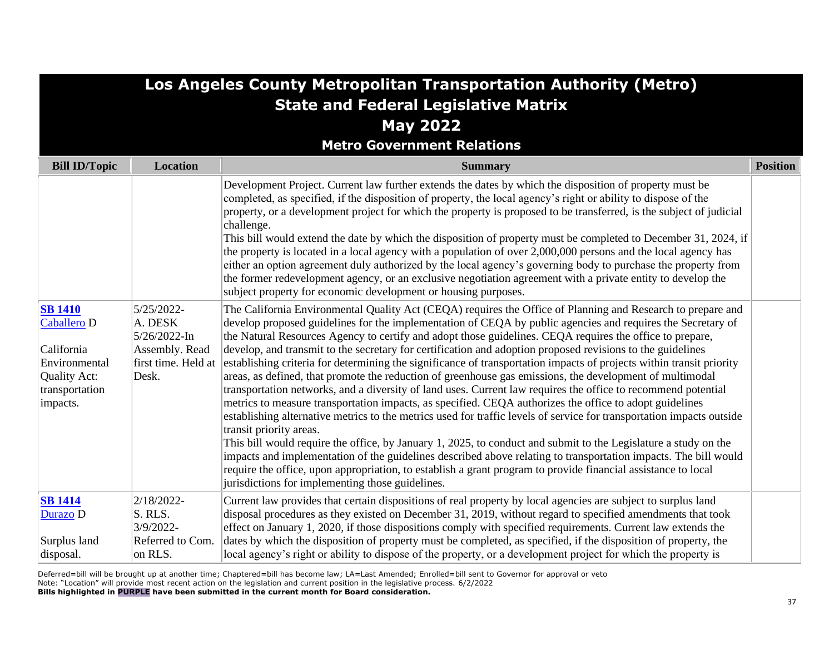| Los Angeles County Metropolitan Transportation Authority (Metro)                                           |                                                                                         |                                                                                                                                                                                                                                                                                                                                                                                                                                                                                                                                                                                                                                                                                                                                                                                                                                                                                                                                                                                                                                                                                                                                                                                                                                                                                                                                                                                                                                                                                     |                 |  |  |  |  |
|------------------------------------------------------------------------------------------------------------|-----------------------------------------------------------------------------------------|-------------------------------------------------------------------------------------------------------------------------------------------------------------------------------------------------------------------------------------------------------------------------------------------------------------------------------------------------------------------------------------------------------------------------------------------------------------------------------------------------------------------------------------------------------------------------------------------------------------------------------------------------------------------------------------------------------------------------------------------------------------------------------------------------------------------------------------------------------------------------------------------------------------------------------------------------------------------------------------------------------------------------------------------------------------------------------------------------------------------------------------------------------------------------------------------------------------------------------------------------------------------------------------------------------------------------------------------------------------------------------------------------------------------------------------------------------------------------------------|-----------------|--|--|--|--|
| <b>State and Federal Legislative Matrix</b>                                                                |                                                                                         |                                                                                                                                                                                                                                                                                                                                                                                                                                                                                                                                                                                                                                                                                                                                                                                                                                                                                                                                                                                                                                                                                                                                                                                                                                                                                                                                                                                                                                                                                     |                 |  |  |  |  |
| <b>May 2022</b>                                                                                            |                                                                                         |                                                                                                                                                                                                                                                                                                                                                                                                                                                                                                                                                                                                                                                                                                                                                                                                                                                                                                                                                                                                                                                                                                                                                                                                                                                                                                                                                                                                                                                                                     |                 |  |  |  |  |
| <b>Metro Government Relations</b>                                                                          |                                                                                         |                                                                                                                                                                                                                                                                                                                                                                                                                                                                                                                                                                                                                                                                                                                                                                                                                                                                                                                                                                                                                                                                                                                                                                                                                                                                                                                                                                                                                                                                                     |                 |  |  |  |  |
| <b>Bill ID/Topic</b>                                                                                       | Location                                                                                | <b>Summary</b>                                                                                                                                                                                                                                                                                                                                                                                                                                                                                                                                                                                                                                                                                                                                                                                                                                                                                                                                                                                                                                                                                                                                                                                                                                                                                                                                                                                                                                                                      | <b>Position</b> |  |  |  |  |
|                                                                                                            |                                                                                         | Development Project. Current law further extends the dates by which the disposition of property must be<br>completed, as specified, if the disposition of property, the local agency's right or ability to dispose of the<br>property, or a development project for which the property is proposed to be transferred, is the subject of judicial<br>challenge.<br>This bill would extend the date by which the disposition of property must be completed to December 31, 2024, if<br>the property is located in a local agency with a population of over 2,000,000 persons and the local agency has<br>either an option agreement duly authorized by the local agency's governing body to purchase the property from<br>the former redevelopment agency, or an exclusive negotiation agreement with a private entity to develop the<br>subject property for economic development or housing purposes.                                                                                                                                                                                                                                                                                                                                                                                                                                                                                                                                                                               |                 |  |  |  |  |
| <b>SB 1410</b><br>Caballero D<br>California<br>Environmental<br>Quality Act:<br>transportation<br>impacts. | 5/25/2022-<br>A. DESK<br>5/26/2022-In<br>Assembly. Read<br>first time. Held at<br>Desk. | The California Environmental Quality Act (CEQA) requires the Office of Planning and Research to prepare and<br>develop proposed guidelines for the implementation of CEQA by public agencies and requires the Secretary of<br>the Natural Resources Agency to certify and adopt those guidelines. CEQA requires the office to prepare,<br>develop, and transmit to the secretary for certification and adoption proposed revisions to the guidelines<br>establishing criteria for determining the significance of transportation impacts of projects within transit priority<br>areas, as defined, that promote the reduction of greenhouse gas emissions, the development of multimodal<br>transportation networks, and a diversity of land uses. Current law requires the office to recommend potential<br>metrics to measure transportation impacts, as specified. CEQA authorizes the office to adopt guidelines<br>establishing alternative metrics to the metrics used for traffic levels of service for transportation impacts outside<br>transit priority areas.<br>This bill would require the office, by January 1, 2025, to conduct and submit to the Legislature a study on the<br>impacts and implementation of the guidelines described above relating to transportation impacts. The bill would<br>require the office, upon appropriation, to establish a grant program to provide financial assistance to local<br>jurisdictions for implementing those guidelines. |                 |  |  |  |  |
| <b>SB</b> 1414<br>Durazo D<br>Surplus land<br>disposal.                                                    | 2/18/2022-<br>S. RLS.<br>3/9/2022-<br>Referred to Com.<br>on RLS.                       | Current law provides that certain dispositions of real property by local agencies are subject to surplus land<br>disposal procedures as they existed on December 31, 2019, without regard to specified amendments that took<br>effect on January 1, 2020, if those dispositions comply with specified requirements. Current law extends the<br>dates by which the disposition of property must be completed, as specified, if the disposition of property, the<br>local agency's right or ability to dispose of the property, or a development project for which the property is                                                                                                                                                                                                                                                                                                                                                                                                                                                                                                                                                                                                                                                                                                                                                                                                                                                                                                    |                 |  |  |  |  |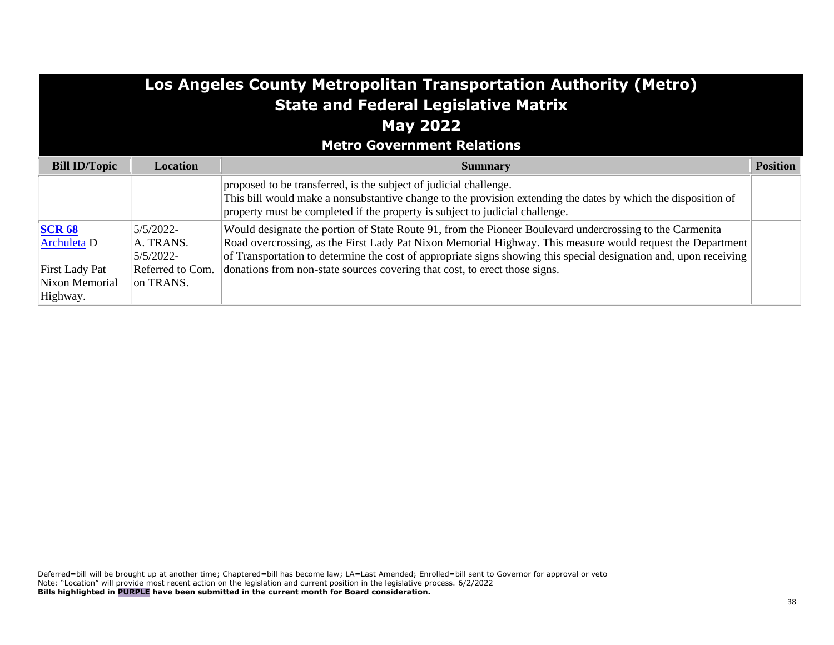| Los Angeles County Metropolitan Transportation Authority (Metro)<br><b>State and Federal Legislative Matrix</b><br><b>May 2022</b><br><b>Metro Government Relations</b> |                                     |                                                                                                                                                                                                                                                                                                                                             |                 |  |  |  |
|-------------------------------------------------------------------------------------------------------------------------------------------------------------------------|-------------------------------------|---------------------------------------------------------------------------------------------------------------------------------------------------------------------------------------------------------------------------------------------------------------------------------------------------------------------------------------------|-----------------|--|--|--|
| <b>Bill ID/Topic</b>                                                                                                                                                    | <b>Location</b>                     | <b>Summary</b>                                                                                                                                                                                                                                                                                                                              | <b>Position</b> |  |  |  |
|                                                                                                                                                                         |                                     | proposed to be transferred, is the subject of judicial challenge.<br>This bill would make a nonsubstantive change to the provision extending the dates by which the disposition of<br>property must be completed if the property is subject to judicial challenge.                                                                          |                 |  |  |  |
| <b>SCR 68</b><br><b>Archuleta</b> D                                                                                                                                     | 5/5/2022-<br>A. TRANS.<br>5/5/2022- | Would designate the portion of State Route 91, from the Pioneer Boulevard undercrossing to the Carmenita<br>Road overcrossing, as the First Lady Pat Nixon Memorial Highway. This measure would request the Department<br>of Transportation to determine the cost of appropriate signs showing this special designation and, upon receiving |                 |  |  |  |
| <b>First Lady Pat</b><br>Nixon Memorial<br>Highway.                                                                                                                     | Referred to Com.<br>on TRANS.       | donations from non-state sources covering that cost, to erect those signs.                                                                                                                                                                                                                                                                  |                 |  |  |  |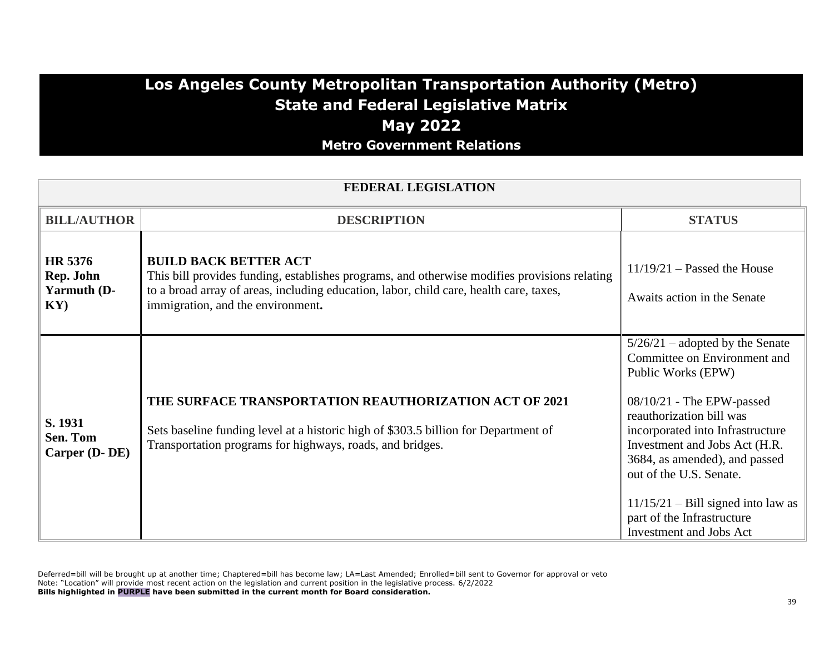### **Los Angeles County Metropolitan Transportation Authority (Metro) State and Federal Legislative Matrix May 2022 Metro Government Relations**

| <b>FEDERAL LEGISLATION</b>                            |                                                                                                                                                                                                                                                             |                                                                                                                                                                                                                                                                                                                                                                                             |  |  |
|-------------------------------------------------------|-------------------------------------------------------------------------------------------------------------------------------------------------------------------------------------------------------------------------------------------------------------|---------------------------------------------------------------------------------------------------------------------------------------------------------------------------------------------------------------------------------------------------------------------------------------------------------------------------------------------------------------------------------------------|--|--|
| <b>BILL/AUTHOR</b>                                    | <b>DESCRIPTION</b>                                                                                                                                                                                                                                          | <b>STATUS</b>                                                                                                                                                                                                                                                                                                                                                                               |  |  |
| HR 5376<br>Rep. John<br>Yarmuth (D-<br>$\mathbf{KY})$ | <b>BUILD BACK BETTER ACT</b><br>This bill provides funding, establishes programs, and otherwise modifies provisions relating<br>to a broad array of areas, including education, labor, child care, health care, taxes,<br>immigration, and the environment. | $11/19/21$ – Passed the House<br>Awaits action in the Senate                                                                                                                                                                                                                                                                                                                                |  |  |
| S. 1931<br>Sen. Tom<br>Carper (D-DE)                  | THE SURFACE TRANSPORTATION REAUTHORIZATION ACT OF 2021<br>Sets baseline funding level at a historic high of \$303.5 billion for Department of<br>Transportation programs for highways, roads, and bridges.                                                  | $5/26/21$ – adopted by the Senate<br>Committee on Environment and<br>Public Works (EPW)<br>$08/10/21$ - The EPW-passed<br>reauthorization bill was<br>incorporated into Infrastructure<br>Investment and Jobs Act (H.R.<br>3684, as amended), and passed<br>out of the U.S. Senate.<br>$11/15/21$ – Bill signed into law as<br>part of the Infrastructure<br><b>Investment and Jobs Act</b> |  |  |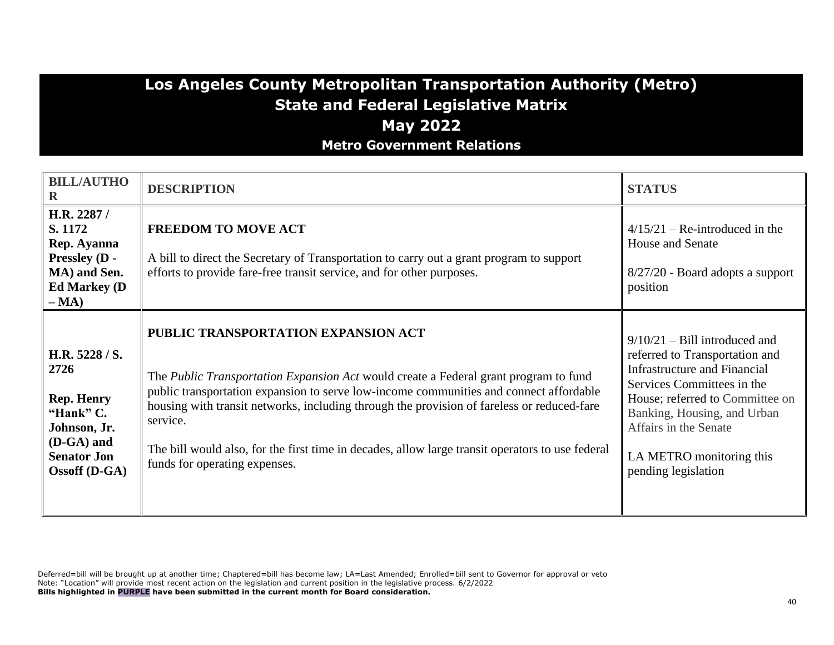### **Los Angeles County Metropolitan Transportation Authority (Metro) State and Federal Legislative Matrix May 2022 Metro Government Relations**

| <b>BILL/AUTHO</b><br>$\mathbf R$                                                                                                     | <b>DESCRIPTION</b>                                                                                                                                                                                                                                                                                                                                                                                                                                                   | <b>STATUS</b>                                                                                                                                                                                                                                                                 |
|--------------------------------------------------------------------------------------------------------------------------------------|----------------------------------------------------------------------------------------------------------------------------------------------------------------------------------------------------------------------------------------------------------------------------------------------------------------------------------------------------------------------------------------------------------------------------------------------------------------------|-------------------------------------------------------------------------------------------------------------------------------------------------------------------------------------------------------------------------------------------------------------------------------|
| H.R. 2287 /<br>S. 1172<br>Rep. Ayanna<br>Pressley (D -<br>MA) and Sen.<br><b>Ed Markey (D)</b><br>$-MA)$                             | <b>FREEDOM TO MOVE ACT</b><br>A bill to direct the Secretary of Transportation to carry out a grant program to support<br>efforts to provide fare-free transit service, and for other purposes.                                                                                                                                                                                                                                                                      | $4/15/21$ – Re-introduced in the<br>House and Senate<br>8/27/20 - Board adopts a support<br>position                                                                                                                                                                          |
| H.R. 5228 / S.<br>2726<br><b>Rep. Henry</b><br>"Hank" C.<br>Johnson, Jr.<br>(D-GA) and<br><b>Senator Jon</b><br><b>Ossoff</b> (D-GA) | PUBLIC TRANSPORTATION EXPANSION ACT<br>The Public Transportation Expansion Act would create a Federal grant program to fund<br>public transportation expansion to serve low-income communities and connect affordable<br>housing with transit networks, including through the provision of fareless or reduced-fare<br>service.<br>The bill would also, for the first time in decades, allow large transit operators to use federal<br>funds for operating expenses. | $9/10/21 -$ Bill introduced and<br>referred to Transportation and<br>Infrastructure and Financial<br>Services Committees in the<br>House; referred to Committee on<br>Banking, Housing, and Urban<br>Affairs in the Senate<br>LA METRO monitoring this<br>pending legislation |